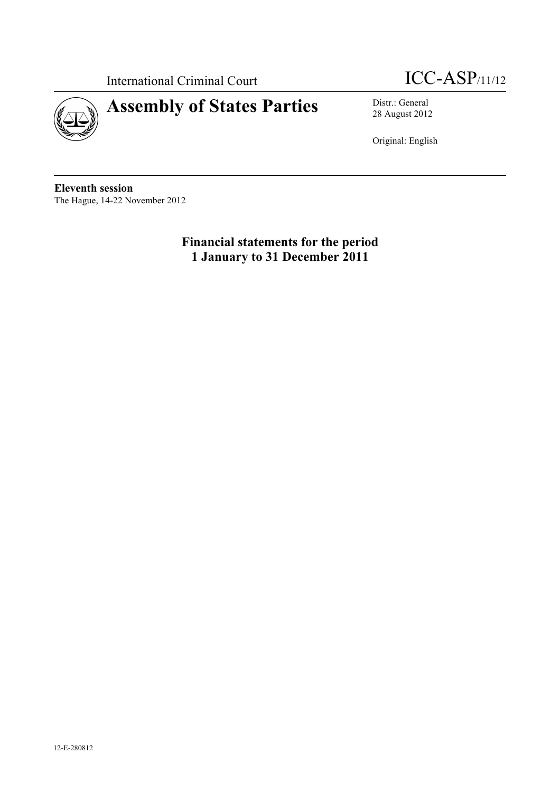

# International Criminal Court **ICC-ASP**/11/12

28 August 2012

Original: English

**Eleventh session** The Hague, 14-22 November 2012

> **Financial statements for the period 1 January to 31 December 2011**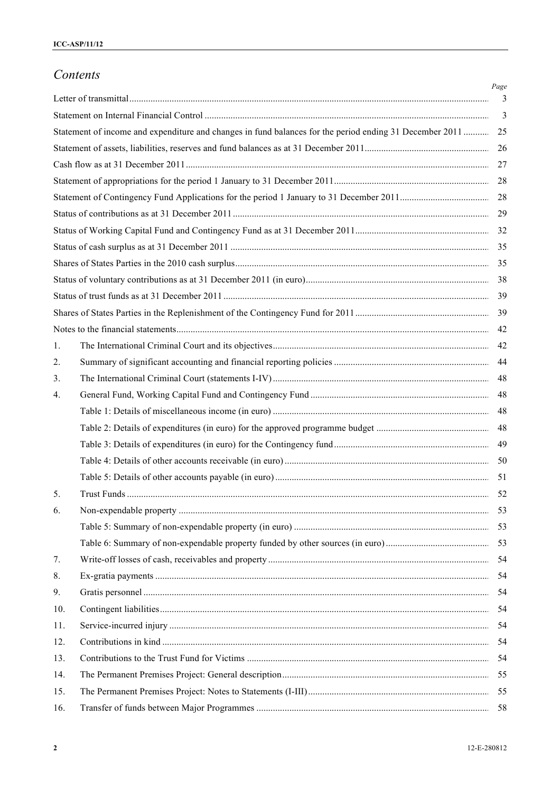## *Contents*

|     |                                                                                                         | Page<br>3      |
|-----|---------------------------------------------------------------------------------------------------------|----------------|
|     |                                                                                                         | $\overline{3}$ |
|     | Statement of income and expenditure and changes in fund balances for the period ending 31 December 2011 | 25             |
|     |                                                                                                         | 26             |
|     |                                                                                                         | 27             |
|     |                                                                                                         |                |
|     |                                                                                                         | 28             |
|     |                                                                                                         | 29             |
|     |                                                                                                         | 32             |
|     |                                                                                                         |                |
|     |                                                                                                         |                |
|     |                                                                                                         |                |
|     |                                                                                                         |                |
|     |                                                                                                         |                |
|     |                                                                                                         |                |
|     |                                                                                                         |                |
| 1.  |                                                                                                         | 44             |
| 2.  |                                                                                                         |                |
| 3.  |                                                                                                         | 48             |
| 4.  |                                                                                                         | 48             |
|     |                                                                                                         | 48             |
|     |                                                                                                         | 48             |
|     |                                                                                                         | 49             |
|     |                                                                                                         |                |
|     |                                                                                                         |                |
| 5.  |                                                                                                         |                |
| 6.  |                                                                                                         |                |
|     |                                                                                                         |                |
|     |                                                                                                         |                |
| 7.  |                                                                                                         | 54             |
| 8.  |                                                                                                         | -54            |
| 9.  |                                                                                                         | -54            |
| 10. |                                                                                                         | -54            |
| 11. |                                                                                                         | 54             |
| 12. |                                                                                                         | 54             |
| 13. |                                                                                                         | 54             |
| 14. |                                                                                                         |                |
| 15. |                                                                                                         |                |
| 16. |                                                                                                         |                |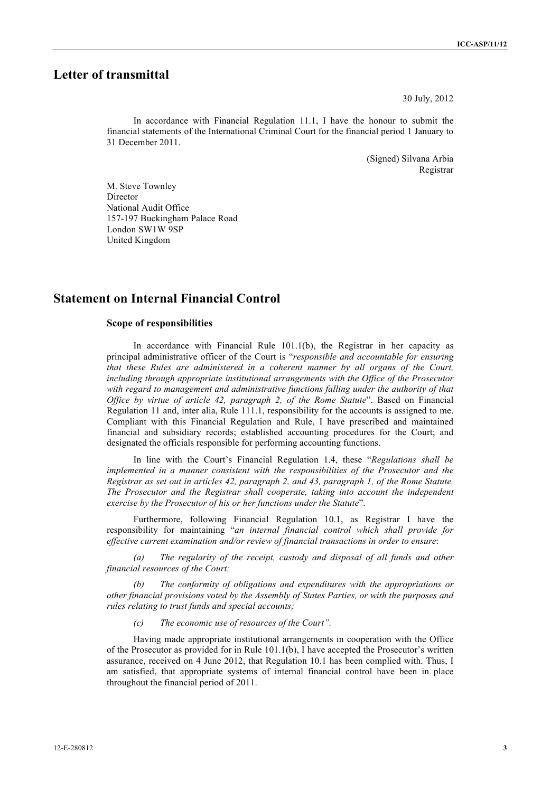## **Letter of transmittal**

30 July, 2012

In accordance with Financial Regulation 11.1, I have the honour to submit the financial statements of the International Criminal Court for the financial period 1 January to 31 December 2011.

> (Signed) Silvana Arbia Registrar

M. Steve Townley Director National Audit Office 157-197 Buckingham Palace Road London SW1W 9SP United Kingdom

## **Statement on Internal Financial Control**

#### **Scope of responsibilities**

In accordance with Financial Rule 101.1(b), the Registrar in her capacity as principal administrative officer of the Court is "*responsible and accountable for ensuring that these Rules are administered in a coherent manner by all organs of the Court, including through appropriate institutional arrangements with the Office of the Prosecutor with regard to management and administrative functions falling under the authority of that Office by virtue of article 42, paragraph 2, of the Rome Statute*". Based on Financial Regulation 11 and, inter alia, Rule 111.1, responsibility for the accounts is assigned to me. Compliant with this Financial Regulation and Rule, I have prescribed and maintained financial and subsidiary records; established accounting procedures for the Court; and designated the officials responsible for performing accounting functions.

In line with the Court's Financial Regulation 1.4, these "*Regulations shall be implemented in a manner consistent with the responsibilities of the Prosecutor and the Registrar as set out in articles 42, paragraph 2, and 43, paragraph 1, of the Rome Statute. The Prosecutor and the Registrar shall cooperate, taking into account the independent exercise by the Prosecutor of his or her functions under the Statute*".

Furthermore, following Financial Regulation 10.1, as Registrar I have the responsibility for maintaining "*an internal financial control which shall provide for effective current examination and/or review of financial transactions in order to ensure*:

*(a) The regularity of the receipt, custody and disposal of all funds and other financial resources of the Court;* 

*(b) The conformity of obligations and expenditures with the appropriations or other financial provisions voted by the Assembly of States Parties, or with the purposes and rules relating to trust funds and special accounts;* 

*(c) The economic use of resources of the Court".*

Having made appropriate institutional arrangements in cooperation with the Office of the Prosecutor as provided for in Rule 101.1(b), I have accepted the Prosecutor's written assurance, received on 4 June 2012, that Regulation 10.1 has been complied with. Thus, I am satisfied, that appropriate systems of internal financial control have been in place throughout the financial period of 2011.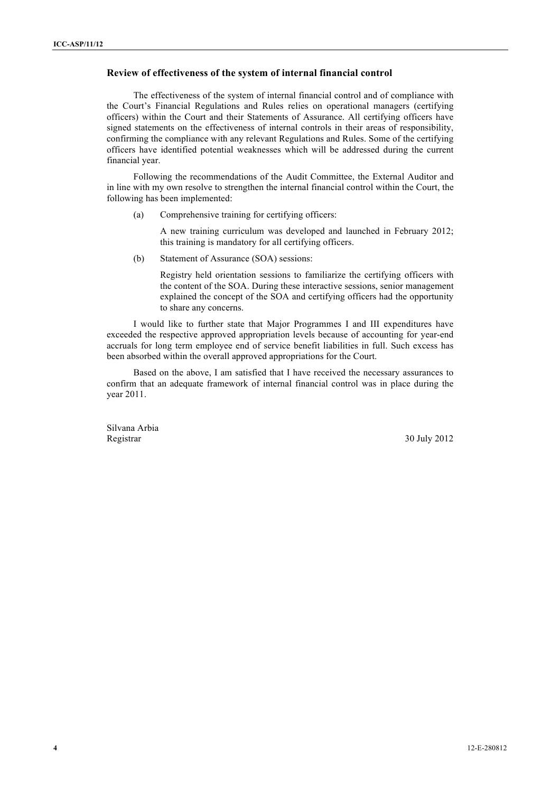#### **Review of effectiveness of the system of internal financial control**

The effectiveness of the system of internal financial control and of compliance with the Court's Financial Regulations and Rules relies on operational managers (certifying officers) within the Court and their Statements of Assurance. All certifying officers have signed statements on the effectiveness of internal controls in their areas of responsibility, confirming the compliance with any relevant Regulations and Rules. Some of the certifying officers have identified potential weaknesses which will be addressed during the current financial year.

Following the recommendations of the Audit Committee, the External Auditor and in line with my own resolve to strengthen the internal financial control within the Court, the following has been implemented:

(a) Comprehensive training for certifying officers:

A new training curriculum was developed and launched in February 2012; this training is mandatory for all certifying officers.

(b) Statement of Assurance (SOA) sessions:

Registry held orientation sessions to familiarize the certifying officers with the content of the SOA. During these interactive sessions, senior management explained the concept of the SOA and certifying officers had the opportunity to share any concerns.

I would like to further state that Major Programmes I and III expenditures have exceeded the respective approved appropriation levels because of accounting for year-end accruals for long term employee end of service benefit liabilities in full. Such excess has been absorbed within the overall approved appropriations for the Court.

Based on the above, I am satisfied that I have received the necessary assurances to confirm that an adequate framework of internal financial control was in place during the year 2011.

Silvana Arbia Registrar 30 July 2012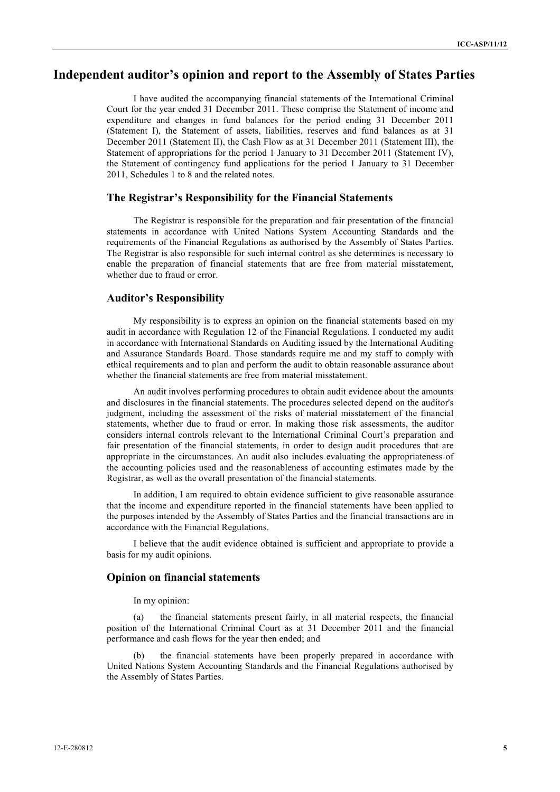## **Independent auditor's opinion and report to the Assembly of States Parties**

I have audited the accompanying financial statements of the International Criminal Court for the year ended 31 December 2011. These comprise the Statement of income and expenditure and changes in fund balances for the period ending 31 December 2011 (Statement I), the Statement of assets, liabilities, reserves and fund balances as at 31 December 2011 (Statement II), the Cash Flow as at 31 December 2011 (Statement III), the Statement of appropriations for the period 1 January to 31 December 2011 (Statement IV), the Statement of contingency fund applications for the period 1 January to 31 December 2011, Schedules 1 to 8 and the related notes.

#### **The Registrar's Responsibility for the Financial Statements**

The Registrar is responsible for the preparation and fair presentation of the financial statements in accordance with United Nations System Accounting Standards and the requirements of the Financial Regulations as authorised by the Assembly of States Parties. The Registrar is also responsible for such internal control as she determines is necessary to enable the preparation of financial statements that are free from material misstatement, whether due to fraud or error.

#### **Auditor's Responsibility**

My responsibility is to express an opinion on the financial statements based on my audit in accordance with Regulation 12 of the Financial Regulations. I conducted my audit in accordance with International Standards on Auditing issued by the International Auditing and Assurance Standards Board. Those standards require me and my staff to comply with ethical requirements and to plan and perform the audit to obtain reasonable assurance about whether the financial statements are free from material misstatement.

An audit involves performing procedures to obtain audit evidence about the amounts and disclosures in the financial statements. The procedures selected depend on the auditor's judgment, including the assessment of the risks of material misstatement of the financial statements, whether due to fraud or error. In making those risk assessments, the auditor considers internal controls relevant to the International Criminal Court's preparation and fair presentation of the financial statements, in order to design audit procedures that are appropriate in the circumstances. An audit also includes evaluating the appropriateness of the accounting policies used and the reasonableness of accounting estimates made by the Registrar, as well as the overall presentation of the financial statements.

In addition, I am required to obtain evidence sufficient to give reasonable assurance that the income and expenditure reported in the financial statements have been applied to the purposes intended by the Assembly of States Parties and the financial transactions are in accordance with the Financial Regulations.

I believe that the audit evidence obtained is sufficient and appropriate to provide a basis for my audit opinions.

#### **Opinion on financial statements**

In my opinion:

(a) the financial statements present fairly, in all material respects, the financial position of the International Criminal Court as at 31 December 2011 and the financial performance and cash flows for the year then ended; and

(b) the financial statements have been properly prepared in accordance with United Nations System Accounting Standards and the Financial Regulations authorised by the Assembly of States Parties.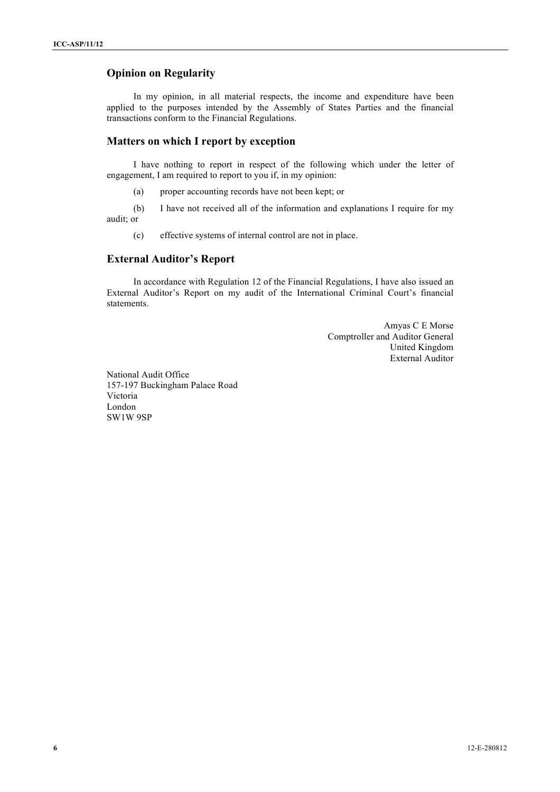### **Opinion on Regularity**

In my opinion, in all material respects, the income and expenditure have been applied to the purposes intended by the Assembly of States Parties and the financial transactions conform to the Financial Regulations.

#### **Matters on which I report by exception**

I have nothing to report in respect of the following which under the letter of engagement, I am required to report to you if, in my opinion:

(a) proper accounting records have not been kept; or

(b) I have not received all of the information and explanations I require for my audit; or

(c) effective systems of internal control are not in place.

#### **External Auditor's Report**

In accordance with Regulation 12 of the Financial Regulations, I have also issued an External Auditor's Report on my audit of the International Criminal Court's financial statements.

> Amyas C E Morse Comptroller and Auditor General United Kingdom External Auditor

National Audit Office 157-197 Buckingham Palace Road Victoria London SW1W 9SP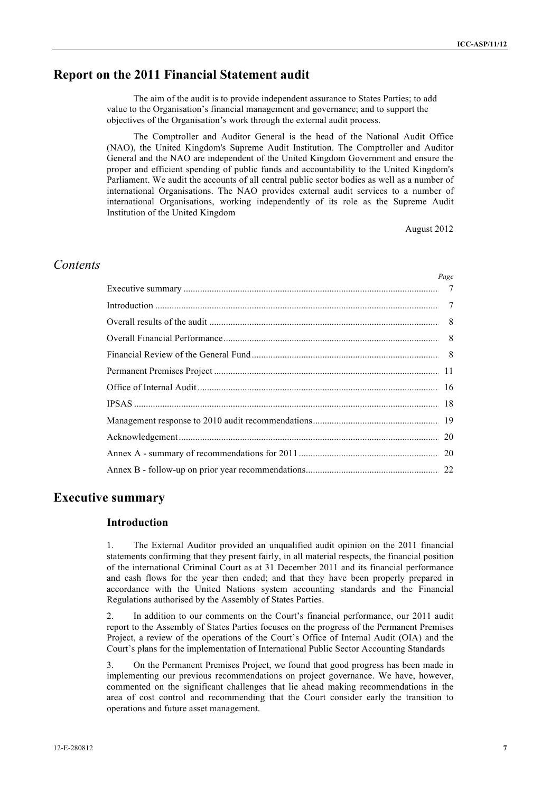## **Report on the 2011 Financial Statement audit**

The aim of the audit is to provide independent assurance to States Parties; to add value to the Organisation's financial management and governance; and to support the objectives of the Organisation's work through the external audit process.

The Comptroller and Auditor General is the head of the National Audit Office (NAO), the United Kingdom's Supreme Audit Institution. The Comptroller and Auditor General and the NAO are independent of the United Kingdom Government and ensure the proper and efficient spending of public funds and accountability to the United Kingdom's Parliament. We audit the accounts of all central public sector bodies as well as a number of international Organisations. The NAO provides external audit services to a number of international Organisations, working independently of its role as the Supreme Audit Institution of the United Kingdom

August 2012

## *Contents*

| Page |
|------|
|      |
|      |
|      |
|      |
|      |
|      |
|      |
|      |
|      |
|      |
|      |
|      |

### **Executive summary**

#### **Introduction**

1. The External Auditor provided an unqualified audit opinion on the 2011 financial statements confirming that they present fairly, in all material respects, the financial position of the international Criminal Court as at 31 December 2011 and its financial performance and cash flows for the year then ended; and that they have been properly prepared in accordance with the United Nations system accounting standards and the Financial Regulations authorised by the Assembly of States Parties.

2. In addition to our comments on the Court's financial performance, our 2011 audit report to the Assembly of States Parties focuses on the progress of the Permanent Premises Project, a review of the operations of the Court's Office of Internal Audit (OIA) and the Court's plans for the implementation of International Public Sector Accounting Standards

3. On the Permanent Premises Project, we found that good progress has been made in implementing our previous recommendations on project governance. We have, however, commented on the significant challenges that lie ahead making recommendations in the area of cost control and recommending that the Court consider early the transition to operations and future asset management.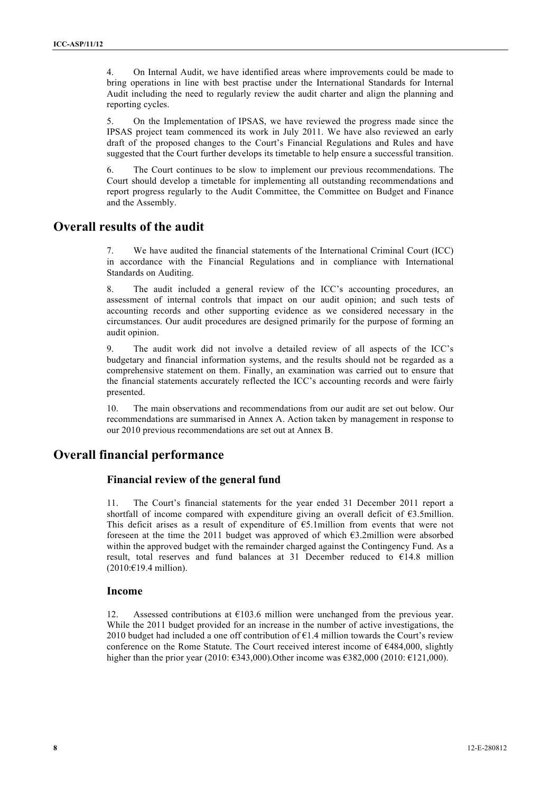4. On Internal Audit, we have identified areas where improvements could be made to bring operations in line with best practise under the International Standards for Internal Audit including the need to regularly review the audit charter and align the planning and reporting cycles.

5. On the Implementation of IPSAS, we have reviewed the progress made since the IPSAS project team commenced its work in July 2011. We have also reviewed an early draft of the proposed changes to the Court's Financial Regulations and Rules and have suggested that the Court further develops its timetable to help ensure a successful transition.

6. The Court continues to be slow to implement our previous recommendations. The Court should develop a timetable for implementing all outstanding recommendations and report progress regularly to the Audit Committee, the Committee on Budget and Finance and the Assembly.

## **Overall results of the audit**

7. We have audited the financial statements of the International Criminal Court (ICC) in accordance with the Financial Regulations and in compliance with International Standards on Auditing.

8. The audit included a general review of the ICC's accounting procedures, an assessment of internal controls that impact on our audit opinion; and such tests of accounting records and other supporting evidence as we considered necessary in the circumstances. Our audit procedures are designed primarily for the purpose of forming an audit opinion.

9. The audit work did not involve a detailed review of all aspects of the ICC's budgetary and financial information systems, and the results should not be regarded as a comprehensive statement on them. Finally, an examination was carried out to ensure that the financial statements accurately reflected the ICC's accounting records and were fairly presented.

10. The main observations and recommendations from our audit are set out below. Our recommendations are summarised in Annex A. Action taken by management in response to our 2010 previous recommendations are set out at Annex B.

## **Overall financial performance**

### **Financial review of the general fund**

11. The Court's financial statements for the year ended 31 December 2011 report a shortfall of income compared with expenditure giving an overall deficit of  $\epsilon$ 3.5million. This deficit arises as a result of expenditure of  $\epsilon$ 5.1million from events that were not foreseen at the time the 2011 budget was approved of which  $\epsilon$ 3.2million were absorbed within the approved budget with the remainder charged against the Contingency Fund. As a result, total reserves and fund balances at 31 December reduced to  $E14.8$  million (2010:€19.4 million).

#### **Income**

12. Assessed contributions at  $\epsilon$ 103.6 million were unchanged from the previous year. While the 2011 budget provided for an increase in the number of active investigations, the 2010 budget had included a one off contribution of  $E1.4$  million towards the Court's review conference on the Rome Statute. The Court received interest income of  $\epsilon$ 484,000, slightly higher than the prior year (2010:  $\epsilon$ 343,000). Other income was  $\epsilon$ 382,000 (2010:  $\epsilon$ 121,000).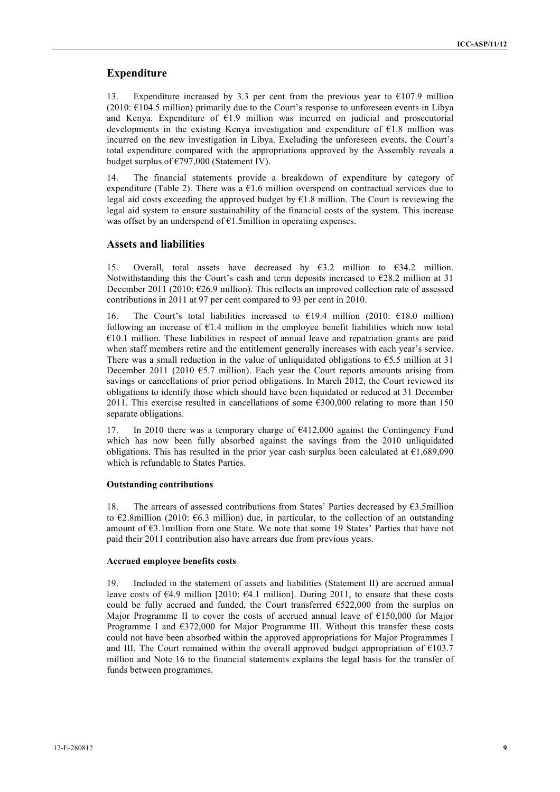#### **Expenditure**

13. Expenditure increased by 3.3 per cent from the previous year to  $€107.9$  million  $(2010: \text{£}104.5 \text{ million})$  primarily due to the Court's response to unforeseen events in Libya and Kenya. Expenditure of  $E1.9$  million was incurred on judicial and prosecutorial developments in the existing Kenya investigation and expenditure of  $E1.8$  million was incurred on the new investigation in Libya. Excluding the unforeseen events, the Court's total expenditure compared with the appropriations approved by the Assembly reveals a budget surplus of €797,000 (Statement IV).

14. The financial statements provide a breakdown of expenditure by category of expenditure (Table 2). There was a  $E1.6$  million overspend on contractual services due to legal aid costs exceeding the approved budget by  $E1.8$  million. The Court is reviewing the legal aid system to ensure sustainability of the financial costs of the system. This increase was offset by an underspend of  $E1.5$ million in operating expenses.

#### **Assets and liabilities**

15. Overall, total assets have decreased by  $\epsilon$ 3.2 million to  $\epsilon$ 34.2 million. Notwithstanding this the Court's cash and term deposits increased to  $E28.2$  million at 31 December 2011 (2010: €26.9 million). This reflects an improved collection rate of assessed contributions in 2011 at 97 per cent compared to 93 per cent in 2010.

16. The Court's total liabilities increased to  $\epsilon$ 19.4 million (2010:  $\epsilon$ 18.0 million) following an increase of  $E1.4$  million in the employee benefit liabilities which now total  $€10.1$  million. These liabilities in respect of annual leave and repatriation grants are paid when staff members retire and the entitlement generally increases with each year's service. There was a small reduction in the value of unliquidated obligations to  $65.5$  million at 31 December 2011 (2010  $65.7$  million). Each year the Court reports amounts arising from savings or cancellations of prior period obligations. In March 2012, the Court reviewed its obligations to identify those which should have been liquidated or reduced at 31 December 2011. This exercise resulted in cancellations of some  $\epsilon$ 300,000 relating to more than 150 separate obligations.

17. In 2010 there was a temporary charge of €412,000 against the Contingency Fund which has now been fully absorbed against the savings from the 2010 unliquidated obligations. This has resulted in the prior year cash surplus been calculated at  $\epsilon$ 1,689,090 which is refundable to States Parties.

#### **Outstanding contributions**

18. The arrears of assessed contributions from States' Parties decreased by €3.5million to  $\epsilon$ 2.8million (2010:  $\epsilon$ 6.3 million) due, in particular, to the collection of an outstanding amount of  $63.1$ million from one State. We note that some 19 States' Parties that have not paid their 2011 contribution also have arrears due from previous years.

#### **Accrued employee benefits costs**

19. Included in the statement of assets and liabilities (Statement II) are accrued annual leave costs of  $\epsilon$ 4.9 million [2010:  $\epsilon$ 4.1 million]. During 2011, to ensure that these costs could be fully accrued and funded, the Court transferred  $6522,000$  from the surplus on Major Programme II to cover the costs of accrued annual leave of €150,000 for Major Programme I and  $6372,000$  for Major Programme III. Without this transfer these costs could not have been absorbed within the approved appropriations for Major Programmes I and III. The Court remained within the overall approved budget appropriation of  $E103.7$ million and Note 16 to the financial statements explains the legal basis for the transfer of funds between programmes.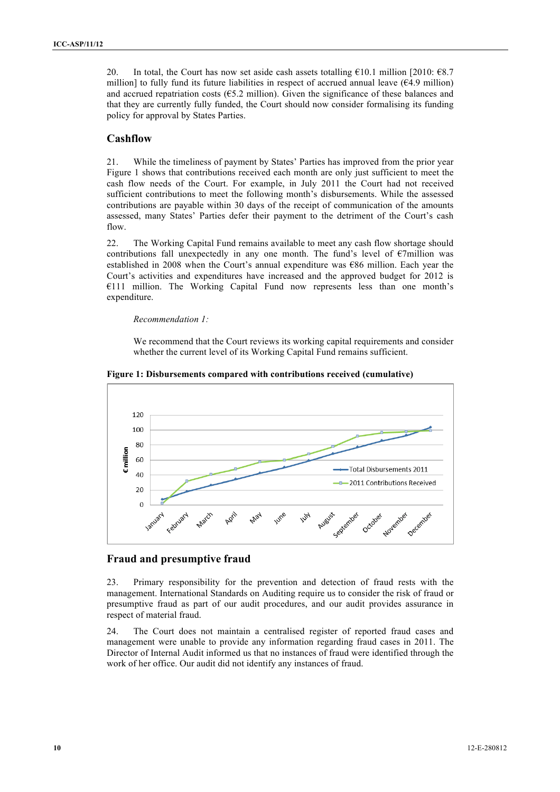20. In total, the Court has now set aside cash assets totalling  $\epsilon$ 10.1 million [2010:  $\epsilon$ 8.7 million] to fully fund its future liabilities in respect of accrued annual leave ( $64.9$  million) and accrued repatriation costs ( $65.2$  million). Given the significance of these balances and that they are currently fully funded, the Court should now consider formalising its funding policy for approval by States Parties.

## **Cashflow**

21. While the timeliness of payment by States' Parties has improved from the prior year Figure 1 shows that contributions received each month are only just sufficient to meet the cash flow needs of the Court. For example, in July 2011 the Court had not received sufficient contributions to meet the following month's disbursements. While the assessed contributions are payable within 30 days of the receipt of communication of the amounts assessed, many States' Parties defer their payment to the detriment of the Court's cash flow.

22. The Working Capital Fund remains available to meet any cash flow shortage should contributions fall unexpectedly in any one month. The fund's level of €7million was established in 2008 when the Court's annual expenditure was €86 million. Each year the Court's activities and expenditures have increased and the approved budget for 2012 is €111 million. The Working Capital Fund now represents less than one month's expenditure.

#### *Recommendation 1:*

We recommend that the Court reviews its working capital requirements and consider whether the current level of its Working Capital Fund remains sufficient.



**Figure 1: Disbursements compared with contributions received (cumulative)**

#### **Fraud and presumptive fraud**

23. Primary responsibility for the prevention and detection of fraud rests with the management. International Standards on Auditing require us to consider the risk of fraud or presumptive fraud as part of our audit procedures, and our audit provides assurance in respect of material fraud.

24. The Court does not maintain a centralised register of reported fraud cases and management were unable to provide any information regarding fraud cases in 2011. The Director of Internal Audit informed us that no instances of fraud were identified through the work of her office. Our audit did not identify any instances of fraud.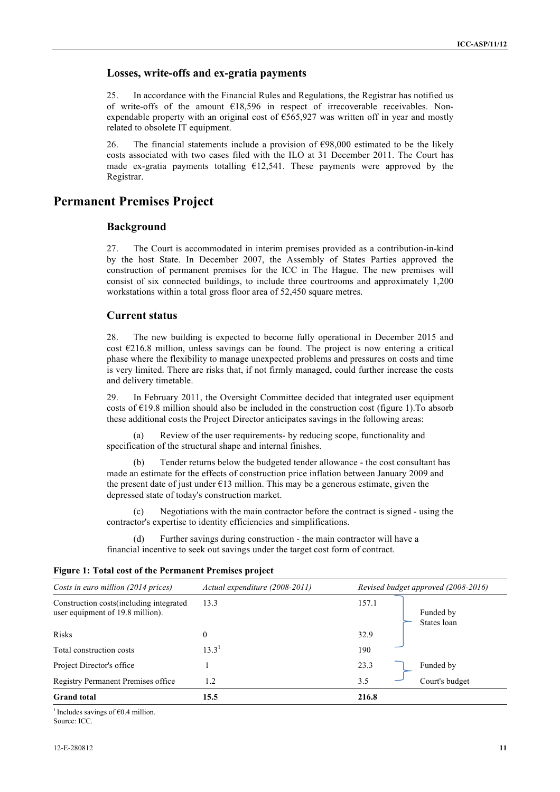#### **Losses, write-offs and ex-gratia payments**

25. In accordance with the Financial Rules and Regulations, the Registrar has notified us of write-offs of the amount €18,596 in respect of irrecoverable receivables. Nonexpendable property with an original cost of €565,927 was written off in year and mostly related to obsolete IT equipment.

26. The financial statements include a provision of  $\epsilon$ 98,000 estimated to be the likely costs associated with two cases filed with the ILO at 31 December 2011. The Court has made ex-gratia payments totalling  $E12,541$ . These payments were approved by the Registrar.

## **Permanent Premises Project**

### **Background**

27. The Court is accommodated in interim premises provided as a contribution-in-kind by the host State. In December 2007, the Assembly of States Parties approved the construction of permanent premises for the ICC in The Hague. The new premises will consist of six connected buildings, to include three courtrooms and approximately 1,200 workstations within a total gross floor area of 52,450 square metres.

### **Current status**

28. The new building is expected to become fully operational in December 2015 and cost  $\epsilon$ 216.8 million, unless savings can be found. The project is now entering a critical phase where the flexibility to manage unexpected problems and pressures on costs and time is very limited. There are risks that, if not firmly managed, could further increase the costs and delivery timetable.

29. In February 2011, the Oversight Committee decided that integrated user equipment costs of  $E19.8$  million should also be included in the construction cost (figure 1). To absorb these additional costs the Project Director anticipates savings in the following areas:

(a) Review of the user requirements- by reducing scope, functionality and specification of the structural shape and internal finishes.

(b) Tender returns below the budgeted tender allowance - the cost consultant has made an estimate for the effects of construction price inflation between January 2009 and the present date of just under  $E13$  million. This may be a generous estimate, given the depressed state of today's construction market.

(c) Negotiations with the main contractor before the contract is signed - using the contractor's expertise to identity efficiencies and simplifications.

(d) Further savings during construction - the main contractor will have a financial incentive to seek out savings under the target cost form of contract.

| Costs in euro million (2014 prices)                                           | Actual expenditure (2008-2011) | Revised budget approved (2008-2016) |  |  |  |  |
|-------------------------------------------------------------------------------|--------------------------------|-------------------------------------|--|--|--|--|
| Construction costs (including integrated)<br>user equipment of 19.8 million). | 13.3                           | 157.1<br>Funded by<br>States loan   |  |  |  |  |
| <b>Risks</b>                                                                  | $\Omega$                       | 32.9                                |  |  |  |  |
| Total construction costs                                                      | $13.3^{1}$                     | 190                                 |  |  |  |  |
| Project Director's office                                                     |                                | 23.3<br>Funded by                   |  |  |  |  |
| Registry Permanent Premises office                                            | 1.2                            | Court's budget<br>3.5               |  |  |  |  |
| <b>Grand</b> total                                                            | 15.5                           | 216.8                               |  |  |  |  |

#### **Figure 1: Total cost of the Permanent Premises project**

<sup>1</sup> Includes savings of  $\epsilon$ 0.4 million. Source: ICC.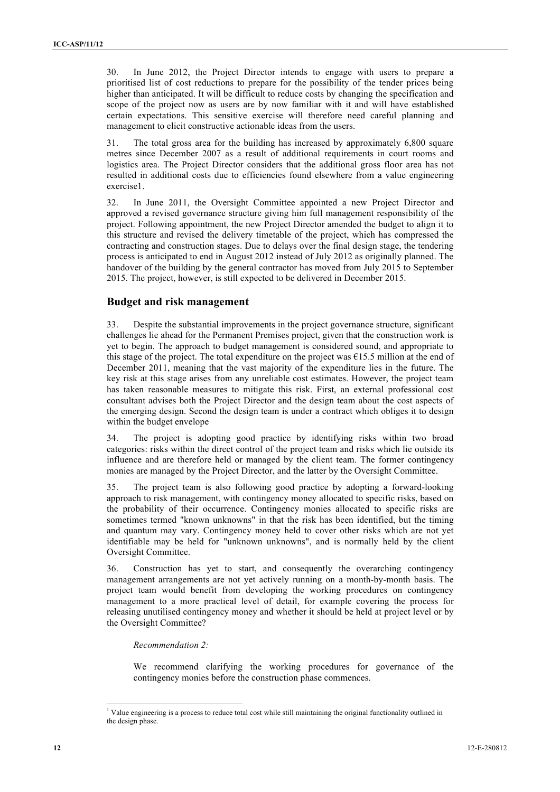30. In June 2012, the Project Director intends to engage with users to prepare a prioritised list of cost reductions to prepare for the possibility of the tender prices being higher than anticipated. It will be difficult to reduce costs by changing the specification and scope of the project now as users are by now familiar with it and will have established certain expectations. This sensitive exercise will therefore need careful planning and management to elicit constructive actionable ideas from the users.

31. The total gross area for the building has increased by approximately 6,800 square metres since December 2007 as a result of additional requirements in court rooms and logistics area. The Project Director considers that the additional gross floor area has not resulted in additional costs due to efficiencies found elsewhere from a value engineering exercise1.

32. In June 2011, the Oversight Committee appointed a new Project Director and approved a revised governance structure giving him full management responsibility of the project. Following appointment, the new Project Director amended the budget to align it to this structure and revised the delivery timetable of the project, which has compressed the contracting and construction stages. Due to delays over the final design stage, the tendering process is anticipated to end in August 2012 instead of July 2012 as originally planned. The handover of the building by the general contractor has moved from July 2015 to September 2015. The project, however, is still expected to be delivered in December 2015.

#### **Budget and risk management**

33. Despite the substantial improvements in the project governance structure, significant challenges lie ahead for the Permanent Premises project, given that the construction work is yet to begin. The approach to budget management is considered sound, and appropriate to this stage of the project. The total expenditure on the project was  $£15.5$  million at the end of December 2011, meaning that the vast majority of the expenditure lies in the future. The key risk at this stage arises from any unreliable cost estimates. However, the project team has taken reasonable measures to mitigate this risk. First, an external professional cost consultant advises both the Project Director and the design team about the cost aspects of the emerging design. Second the design team is under a contract which obliges it to design within the budget envelope

34. The project is adopting good practice by identifying risks within two broad categories: risks within the direct control of the project team and risks which lie outside its influence and are therefore held or managed by the client team. The former contingency monies are managed by the Project Director, and the latter by the Oversight Committee.

35. The project team is also following good practice by adopting a forward-looking approach to risk management, with contingency money allocated to specific risks, based on the probability of their occurrence. Contingency monies allocated to specific risks are sometimes termed "known unknowns" in that the risk has been identified, but the timing and quantum may vary. Contingency money held to cover other risks which are not yet identifiable may be held for "unknown unknowns", and is normally held by the client Oversight Committee.

36. Construction has yet to start, and consequently the overarching contingency management arrangements are not yet actively running on a month-by-month basis. The project team would benefit from developing the working procedures on contingency management to a more practical level of detail, for example covering the process for releasing unutilised contingency money and whether it should be held at project level or by the Oversight Committee?

*Recommendation 2:*

We recommend clarifying the working procedures for governance of the contingency monies before the construction phase commences.

 $\frac{1}{1}$ <sup>1</sup> Value engineering is a process to reduce total cost while still maintaining the original functionality outlined in the design phase.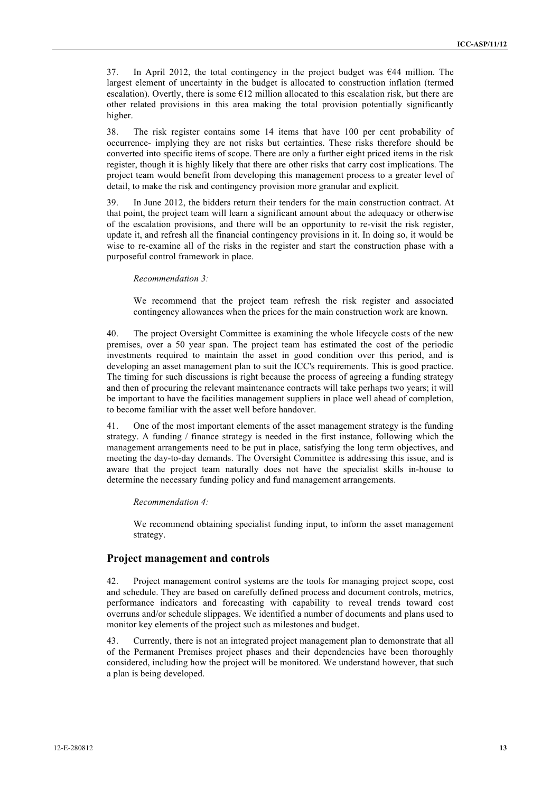37. In April 2012, the total contingency in the project budget was €44 million. The largest element of uncertainty in the budget is allocated to construction inflation (termed escalation). Overtly, there is some  $E12$  million allocated to this escalation risk, but there are other related provisions in this area making the total provision potentially significantly higher.

38. The risk register contains some 14 items that have 100 per cent probability of occurrence- implying they are not risks but certainties. These risks therefore should be converted into specific items of scope. There are only a further eight priced items in the risk register, though it is highly likely that there are other risks that carry cost implications. The project team would benefit from developing this management process to a greater level of detail, to make the risk and contingency provision more granular and explicit.

39. In June 2012, the bidders return their tenders for the main construction contract. At that point, the project team will learn a significant amount about the adequacy or otherwise of the escalation provisions, and there will be an opportunity to re-visit the risk register, update it, and refresh all the financial contingency provisions in it. In doing so, it would be wise to re-examine all of the risks in the register and start the construction phase with a purposeful control framework in place.

#### *Recommendation 3:*

We recommend that the project team refresh the risk register and associated contingency allowances when the prices for the main construction work are known.

40. The project Oversight Committee is examining the whole lifecycle costs of the new premises, over a 50 year span. The project team has estimated the cost of the periodic investments required to maintain the asset in good condition over this period, and is developing an asset management plan to suit the ICC's requirements. This is good practice. The timing for such discussions is right because the process of agreeing a funding strategy and then of procuring the relevant maintenance contracts will take perhaps two years; it will be important to have the facilities management suppliers in place well ahead of completion, to become familiar with the asset well before handover.

41. One of the most important elements of the asset management strategy is the funding strategy. A funding / finance strategy is needed in the first instance, following which the management arrangements need to be put in place, satisfying the long term objectives, and meeting the day-to-day demands. The Oversight Committee is addressing this issue, and is aware that the project team naturally does not have the specialist skills in-house to determine the necessary funding policy and fund management arrangements.

#### *Recommendation 4:*

We recommend obtaining specialist funding input, to inform the asset management strategy.

#### **Project management and controls**

42. Project management control systems are the tools for managing project scope, cost and schedule. They are based on carefully defined process and document controls, metrics, performance indicators and forecasting with capability to reveal trends toward cost overruns and/or schedule slippages. We identified a number of documents and plans used to monitor key elements of the project such as milestones and budget.

43. Currently, there is not an integrated project management plan to demonstrate that all of the Permanent Premises project phases and their dependencies have been thoroughly considered, including how the project will be monitored. We understand however, that such a plan is being developed.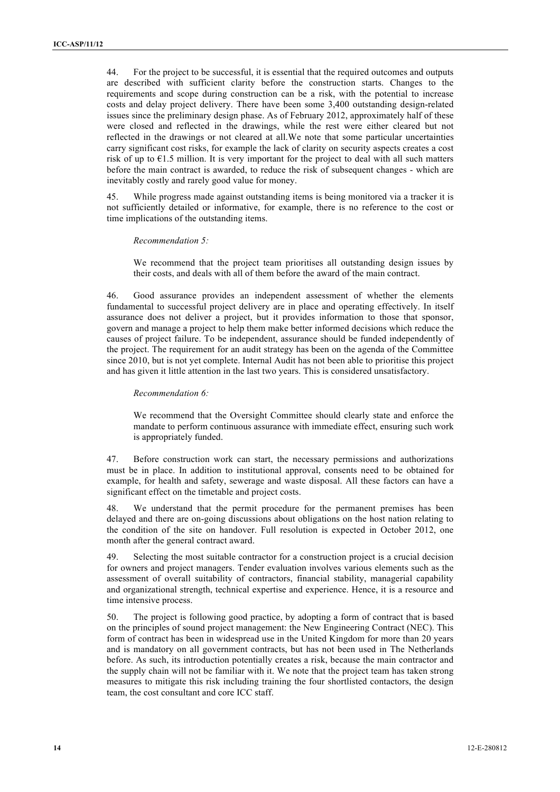44. For the project to be successful, it is essential that the required outcomes and outputs are described with sufficient clarity before the construction starts. Changes to the requirements and scope during construction can be a risk, with the potential to increase costs and delay project delivery. There have been some 3,400 outstanding design-related issues since the preliminary design phase. As of February 2012, approximately half of these were closed and reflected in the drawings, while the rest were either cleared but not reflected in the drawings or not cleared at all.We note that some particular uncertainties carry significant cost risks, for example the lack of clarity on security aspects creates a cost risk of up to  $E$ 1.5 million. It is very important for the project to deal with all such matters before the main contract is awarded, to reduce the risk of subsequent changes - which are inevitably costly and rarely good value for money.

45. While progress made against outstanding items is being monitored via a tracker it is not sufficiently detailed or informative, for example, there is no reference to the cost or time implications of the outstanding items.

#### *Recommendation 5:*

We recommend that the project team prioritises all outstanding design issues by their costs, and deals with all of them before the award of the main contract.

46. Good assurance provides an independent assessment of whether the elements fundamental to successful project delivery are in place and operating effectively. In itself assurance does not deliver a project, but it provides information to those that sponsor, govern and manage a project to help them make better informed decisions which reduce the causes of project failure. To be independent, assurance should be funded independently of the project. The requirement for an audit strategy has been on the agenda of the Committee since 2010, but is not yet complete. Internal Audit has not been able to prioritise this project and has given it little attention in the last two years. This is considered unsatisfactory.

#### *Recommendation 6:*

We recommend that the Oversight Committee should clearly state and enforce the mandate to perform continuous assurance with immediate effect, ensuring such work is appropriately funded.

47. Before construction work can start, the necessary permissions and authorizations must be in place. In addition to institutional approval, consents need to be obtained for example, for health and safety, sewerage and waste disposal. All these factors can have a significant effect on the timetable and project costs.

48. We understand that the permit procedure for the permanent premises has been delayed and there are on-going discussions about obligations on the host nation relating to the condition of the site on handover. Full resolution is expected in October 2012, one month after the general contract award.

49. Selecting the most suitable contractor for a construction project is a crucial decision for owners and project managers. Tender evaluation involves various elements such as the assessment of overall suitability of contractors, financial stability, managerial capability and organizational strength, technical expertise and experience. Hence, it is a resource and time intensive process.

50. The project is following good practice, by adopting a form of contract that is based on the principles of sound project management: the New Engineering Contract (NEC). This form of contract has been in widespread use in the United Kingdom for more than 20 years and is mandatory on all government contracts, but has not been used in The Netherlands before. As such, its introduction potentially creates a risk, because the main contractor and the supply chain will not be familiar with it. We note that the project team has taken strong measures to mitigate this risk including training the four shortlisted contactors, the design team, the cost consultant and core ICC staff.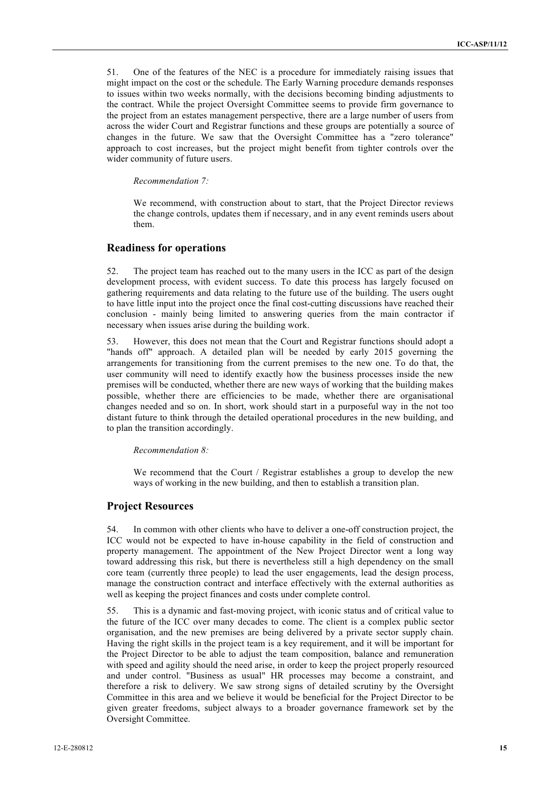51. One of the features of the NEC is a procedure for immediately raising issues that might impact on the cost or the schedule. The Early Warning procedure demands responses to issues within two weeks normally, with the decisions becoming binding adjustments to the contract. While the project Oversight Committee seems to provide firm governance to the project from an estates management perspective, there are a large number of users from across the wider Court and Registrar functions and these groups are potentially a source of changes in the future. We saw that the Oversight Committee has a "zero tolerance" approach to cost increases, but the project might benefit from tighter controls over the wider community of future users.

*Recommendation 7:*

We recommend, with construction about to start, that the Project Director reviews the change controls, updates them if necessary, and in any event reminds users about them.

#### **Readiness for operations**

52. The project team has reached out to the many users in the ICC as part of the design development process, with evident success. To date this process has largely focused on gathering requirements and data relating to the future use of the building. The users ought to have little input into the project once the final cost-cutting discussions have reached their conclusion - mainly being limited to answering queries from the main contractor if necessary when issues arise during the building work.

53. However, this does not mean that the Court and Registrar functions should adopt a "hands off" approach. A detailed plan will be needed by early 2015 governing the arrangements for transitioning from the current premises to the new one. To do that, the user community will need to identify exactly how the business processes inside the new premises will be conducted, whether there are new ways of working that the building makes possible, whether there are efficiencies to be made, whether there are organisational changes needed and so on. In short, work should start in a purposeful way in the not too distant future to think through the detailed operational procedures in the new building, and to plan the transition accordingly.

#### *Recommendation 8:*

We recommend that the Court / Registrar establishes a group to develop the new ways of working in the new building, and then to establish a transition plan.

#### **Project Resources**

54. In common with other clients who have to deliver a one-off construction project, the ICC would not be expected to have in-house capability in the field of construction and property management. The appointment of the New Project Director went a long way toward addressing this risk, but there is nevertheless still a high dependency on the small core team (currently three people) to lead the user engagements, lead the design process, manage the construction contract and interface effectively with the external authorities as well as keeping the project finances and costs under complete control.

55. This is a dynamic and fast-moving project, with iconic status and of critical value to the future of the ICC over many decades to come. The client is a complex public sector organisation, and the new premises are being delivered by a private sector supply chain. Having the right skills in the project team is a key requirement, and it will be important for the Project Director to be able to adjust the team composition, balance and remuneration with speed and agility should the need arise, in order to keep the project properly resourced and under control. "Business as usual" HR processes may become a constraint, and therefore a risk to delivery. We saw strong signs of detailed scrutiny by the Oversight Committee in this area and we believe it would be beneficial for the Project Director to be given greater freedoms, subject always to a broader governance framework set by the Oversight Committee.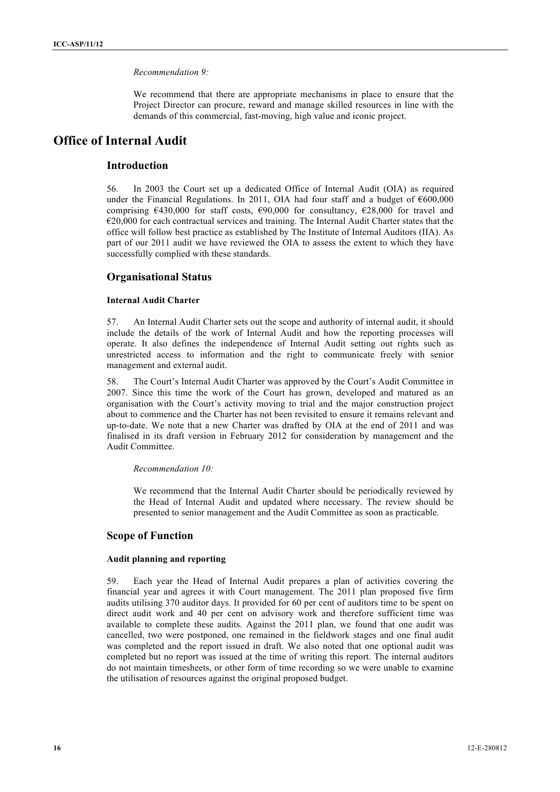#### *Recommendation 9:*

We recommend that there are appropriate mechanisms in place to ensure that the Project Director can procure, reward and manage skilled resources in line with the demands of this commercial, fast-moving, high value and iconic project.

## **Office of Internal Audit**

#### **Introduction**

56. In 2003 the Court set up a dedicated Office of Internal Audit (OIA) as required under the Financial Regulations. In 2011, OIA had four staff and a budget of  $600,000$ comprising  $\epsilon$ 430,000 for staff costs,  $\epsilon$ 90,000 for consultancy,  $\epsilon$ 28,000 for travel and €20,000 for each contractual services and training. The Internal Audit Charter states that the office will follow best practice as established by The Institute of Internal Auditors (IIA). As part of our 2011 audit we have reviewed the OIA to assess the extent to which they have successfully complied with these standards.

#### **Organisational Status**

#### **Internal Audit Charter**

57. An Internal Audit Charter sets out the scope and authority of internal audit, it should include the details of the work of Internal Audit and how the reporting processes will operate. It also defines the independence of Internal Audit setting out rights such as unrestricted access to information and the right to communicate freely with senior management and external audit.

58. The Court's Internal Audit Charter was approved by the Court's Audit Committee in 2007. Since this time the work of the Court has grown, developed and matured as an organisation with the Court's activity moving to trial and the major construction project about to commence and the Charter has not been revisited to ensure it remains relevant and up-to-date. We note that a new Charter was drafted by OIA at the end of 2011 and was finalised in its draft version in February 2012 for consideration by management and the Audit Committee.

#### *Recommendation 10:*

We recommend that the Internal Audit Charter should be periodically reviewed by the Head of Internal Audit and updated where necessary. The review should be presented to senior management and the Audit Committee as soon as practicable.

#### **Scope of Function**

#### **Audit planning and reporting**

59. Each year the Head of Internal Audit prepares a plan of activities covering the financial year and agrees it with Court management. The 2011 plan proposed five firm audits utilising 370 auditor days. It provided for 60 per cent of auditors time to be spent on direct audit work and 40 per cent on advisory work and therefore sufficient time was available to complete these audits. Against the 2011 plan, we found that one audit was cancelled, two were postponed, one remained in the fieldwork stages and one final audit was completed and the report issued in draft. We also noted that one optional audit was completed but no report was issued at the time of writing this report. The internal auditors do not maintain timesheets, or other form of time recording so we were unable to examine the utilisation of resources against the original proposed budget.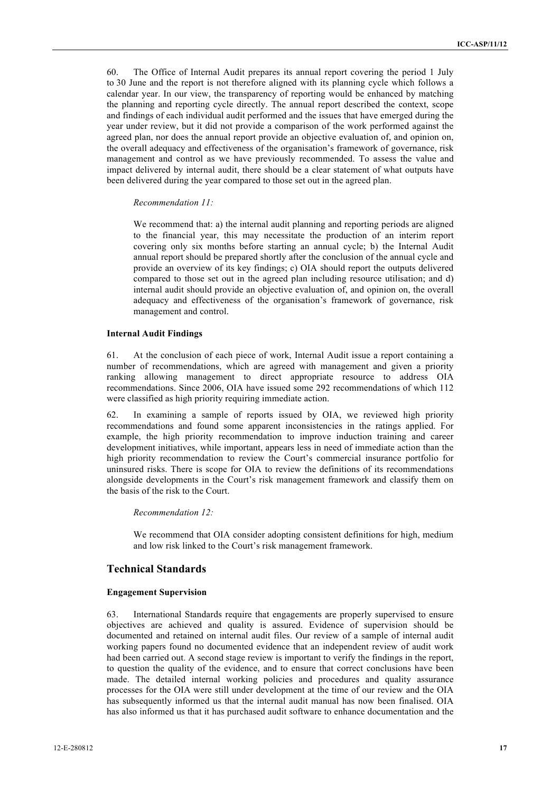60. The Office of Internal Audit prepares its annual report covering the period 1 July to 30 June and the report is not therefore aligned with its planning cycle which follows a calendar year. In our view, the transparency of reporting would be enhanced by matching the planning and reporting cycle directly. The annual report described the context, scope and findings of each individual audit performed and the issues that have emerged during the year under review, but it did not provide a comparison of the work performed against the agreed plan, nor does the annual report provide an objective evaluation of, and opinion on, the overall adequacy and effectiveness of the organisation's framework of governance, risk management and control as we have previously recommended. To assess the value and impact delivered by internal audit, there should be a clear statement of what outputs have been delivered during the year compared to those set out in the agreed plan.

#### *Recommendation 11:*

We recommend that: a) the internal audit planning and reporting periods are aligned to the financial year, this may necessitate the production of an interim report covering only six months before starting an annual cycle; b) the Internal Audit annual report should be prepared shortly after the conclusion of the annual cycle and provide an overview of its key findings; c) OIA should report the outputs delivered compared to those set out in the agreed plan including resource utilisation; and d) internal audit should provide an objective evaluation of, and opinion on, the overall adequacy and effectiveness of the organisation's framework of governance, risk management and control.

#### **Internal Audit Findings**

61. At the conclusion of each piece of work, Internal Audit issue a report containing a number of recommendations, which are agreed with management and given a priority ranking allowing management to direct appropriate resource to address OIA recommendations. Since 2006, OIA have issued some 292 recommendations of which 112 were classified as high priority requiring immediate action.

62. In examining a sample of reports issued by OIA, we reviewed high priority recommendations and found some apparent inconsistencies in the ratings applied. For example, the high priority recommendation to improve induction training and career development initiatives, while important, appears less in need of immediate action than the high priority recommendation to review the Court's commercial insurance portfolio for uninsured risks. There is scope for OIA to review the definitions of its recommendations alongside developments in the Court's risk management framework and classify them on the basis of the risk to the Court.

#### *Recommendation 12:*

We recommend that OIA consider adopting consistent definitions for high, medium and low risk linked to the Court's risk management framework.

#### **Technical Standards**

#### **Engagement Supervision**

63. International Standards require that engagements are properly supervised to ensure objectives are achieved and quality is assured. Evidence of supervision should be documented and retained on internal audit files. Our review of a sample of internal audit working papers found no documented evidence that an independent review of audit work had been carried out. A second stage review is important to verify the findings in the report, to question the quality of the evidence, and to ensure that correct conclusions have been made. The detailed internal working policies and procedures and quality assurance processes for the OIA were still under development at the time of our review and the OIA has subsequently informed us that the internal audit manual has now been finalised. OIA has also informed us that it has purchased audit software to enhance documentation and the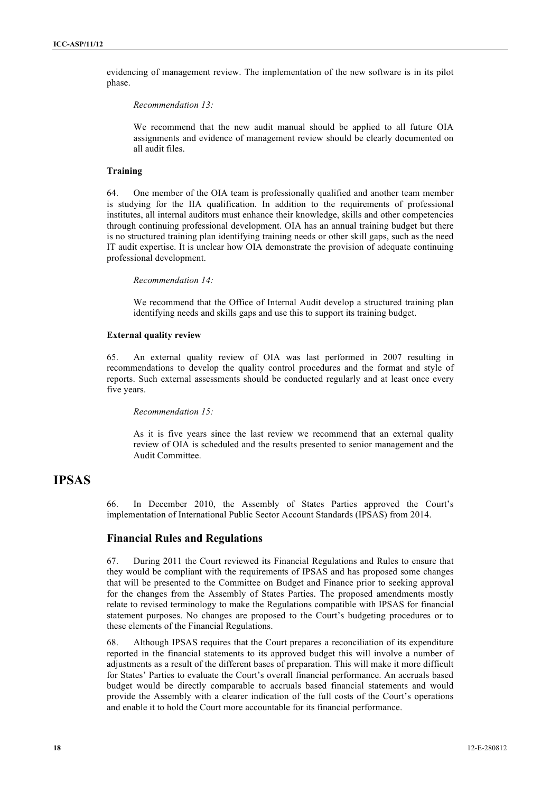evidencing of management review. The implementation of the new software is in its pilot phase.

*Recommendation 13:*

We recommend that the new audit manual should be applied to all future OIA assignments and evidence of management review should be clearly documented on all audit files.

#### **Training**

64. One member of the OIA team is professionally qualified and another team member is studying for the IIA qualification. In addition to the requirements of professional institutes, all internal auditors must enhance their knowledge, skills and other competencies through continuing professional development. OIA has an annual training budget but there is no structured training plan identifying training needs or other skill gaps, such as the need IT audit expertise. It is unclear how OIA demonstrate the provision of adequate continuing professional development.

*Recommendation 14:*

We recommend that the Office of Internal Audit develop a structured training plan identifying needs and skills gaps and use this to support its training budget.

#### **External quality review**

65. An external quality review of OIA was last performed in 2007 resulting in recommendations to develop the quality control procedures and the format and style of reports. Such external assessments should be conducted regularly and at least once every five years.

#### *Recommendation 15:*

As it is five years since the last review we recommend that an external quality review of OIA is scheduled and the results presented to senior management and the Audit Committee.

## **IPSAS**

66. In December 2010, the Assembly of States Parties approved the Court's implementation of International Public Sector Account Standards (IPSAS) from 2014.

#### **Financial Rules and Regulations**

67. During 2011 the Court reviewed its Financial Regulations and Rules to ensure that they would be compliant with the requirements of IPSAS and has proposed some changes that will be presented to the Committee on Budget and Finance prior to seeking approval for the changes from the Assembly of States Parties. The proposed amendments mostly relate to revised terminology to make the Regulations compatible with IPSAS for financial statement purposes. No changes are proposed to the Court's budgeting procedures or to these elements of the Financial Regulations.

68. Although IPSAS requires that the Court prepares a reconciliation of its expenditure reported in the financial statements to its approved budget this will involve a number of adjustments as a result of the different bases of preparation. This will make it more difficult for States' Parties to evaluate the Court's overall financial performance. An accruals based budget would be directly comparable to accruals based financial statements and would provide the Assembly with a clearer indication of the full costs of the Court's operations and enable it to hold the Court more accountable for its financial performance.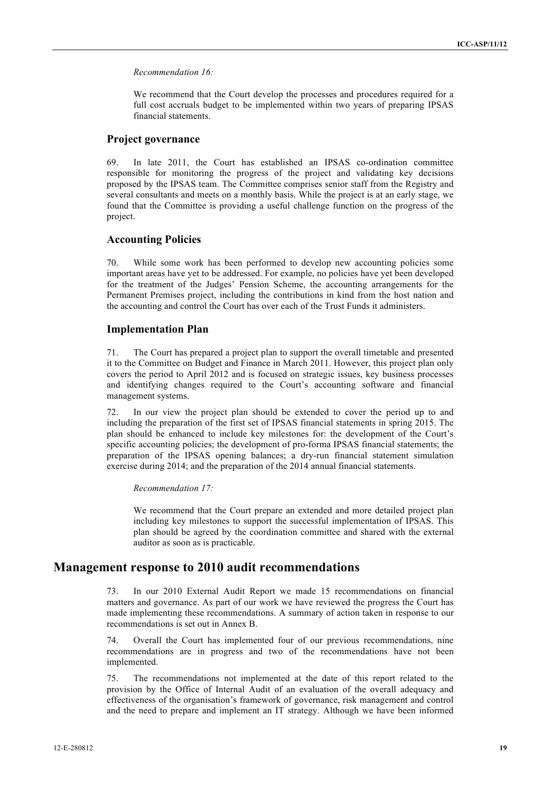#### *Recommendation 16:*

We recommend that the Court develop the processes and procedures required for a full cost accruals budget to be implemented within two years of preparing IPSAS financial statements.

#### **Project governance**

69. In late 2011, the Court has established an IPSAS co-ordination committee responsible for monitoring the progress of the project and validating key decisions proposed by the IPSAS team. The Committee comprises senior staff from the Registry and several consultants and meets on a monthly basis. While the project is at an early stage, we found that the Committee is providing a useful challenge function on the progress of the project.

#### **Accounting Policies**

70. While some work has been performed to develop new accounting policies some important areas have yet to be addressed. For example, no policies have yet been developed for the treatment of the Judges' Pension Scheme, the accounting arrangements for the Permanent Premises project, including the contributions in kind from the host nation and the accounting and control the Court has over each of the Trust Funds it administers.

#### **Implementation Plan**

71. The Court has prepared a project plan to support the overall timetable and presented it to the Committee on Budget and Finance in March 2011. However, this project plan only covers the period to April 2012 and is focused on strategic issues, key business processes and identifying changes required to the Court's accounting software and financial management systems.

72. In our view the project plan should be extended to cover the period up to and including the preparation of the first set of IPSAS financial statements in spring 2015. The plan should be enhanced to include key milestones for: the development of the Court's specific accounting policies; the development of pro-forma IPSAS financial statements; the preparation of the IPSAS opening balances; a dry-run financial statement simulation exercise during 2014; and the preparation of the 2014 annual financial statements.

#### *Recommendation 17:*

We recommend that the Court prepare an extended and more detailed project plan including key milestones to support the successful implementation of IPSAS. This plan should be agreed by the coordination committee and shared with the external auditor as soon as is practicable.

## **Management response to 2010 audit recommendations**

73. In our 2010 External Audit Report we made 15 recommendations on financial matters and governance. As part of our work we have reviewed the progress the Court has made implementing these recommendations. A summary of action taken in response to our recommendations is set out in Annex B.

74. Overall the Court has implemented four of our previous recommendations, nine recommendations are in progress and two of the recommendations have not been implemented.

75. The recommendations not implemented at the date of this report related to the provision by the Office of Internal Audit of an evaluation of the overall adequacy and effectiveness of the organisation's framework of governance, risk management and control and the need to prepare and implement an IT strategy. Although we have been informed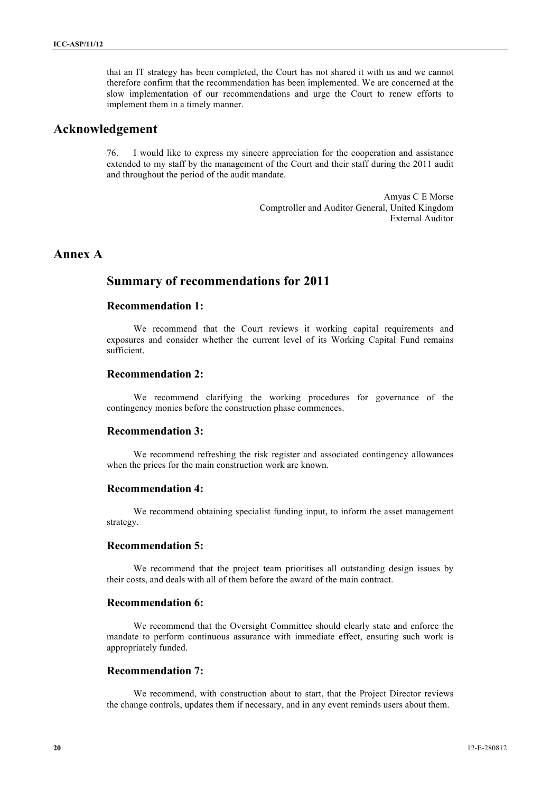that an IT strategy has been completed, the Court has not shared it with us and we cannot therefore confirm that the recommendation has been implemented. We are concerned at the slow implementation of our recommendations and urge the Court to renew efforts to implement them in a timely manner.

## **Acknowledgement**

76. I would like to express my sincere appreciation for the cooperation and assistance extended to my staff by the management of the Court and their staff during the 2011 audit and throughout the period of the audit mandate.

> Amyas C E Morse Comptroller and Auditor General, United Kingdom External Auditor

## **Annex A**

## **Summary of recommendations for 2011**

#### **Recommendation 1:**

We recommend that the Court reviews it working capital requirements and exposures and consider whether the current level of its Working Capital Fund remains sufficient.

#### **Recommendation 2:**

We recommend clarifying the working procedures for governance of the contingency monies before the construction phase commences.

#### **Recommendation 3:**

We recommend refreshing the risk register and associated contingency allowances when the prices for the main construction work are known.

#### **Recommendation 4:**

We recommend obtaining specialist funding input, to inform the asset management strategy.

#### **Recommendation 5:**

We recommend that the project team prioritises all outstanding design issues by their costs, and deals with all of them before the award of the main contract.

#### **Recommendation 6:**

We recommend that the Oversight Committee should clearly state and enforce the mandate to perform continuous assurance with immediate effect, ensuring such work is appropriately funded.

#### **Recommendation 7:**

We recommend, with construction about to start, that the Project Director reviews the change controls, updates them if necessary, and in any event reminds users about them.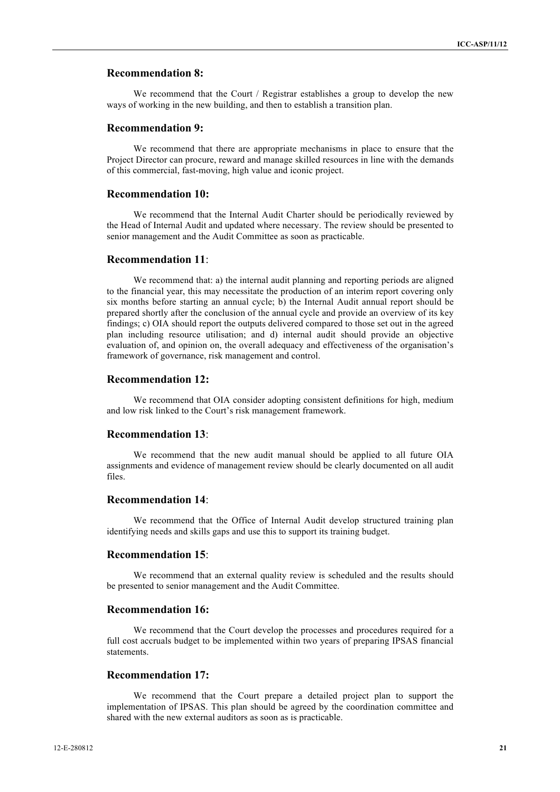#### **Recommendation 8:**

We recommend that the Court / Registrar establishes a group to develop the new ways of working in the new building, and then to establish a transition plan.

#### **Recommendation 9:**

We recommend that there are appropriate mechanisms in place to ensure that the Project Director can procure, reward and manage skilled resources in line with the demands of this commercial, fast-moving, high value and iconic project.

#### **Recommendation 10:**

We recommend that the Internal Audit Charter should be periodically reviewed by the Head of Internal Audit and updated where necessary. The review should be presented to senior management and the Audit Committee as soon as practicable.

#### **Recommendation 11**:

We recommend that: a) the internal audit planning and reporting periods are aligned to the financial year, this may necessitate the production of an interim report covering only six months before starting an annual cycle; b) the Internal Audit annual report should be prepared shortly after the conclusion of the annual cycle and provide an overview of its key findings; c) OIA should report the outputs delivered compared to those set out in the agreed plan including resource utilisation; and d) internal audit should provide an objective evaluation of, and opinion on, the overall adequacy and effectiveness of the organisation's framework of governance, risk management and control.

#### **Recommendation 12:**

We recommend that OIA consider adopting consistent definitions for high, medium and low risk linked to the Court's risk management framework.

#### **Recommendation 13**:

We recommend that the new audit manual should be applied to all future OIA assignments and evidence of management review should be clearly documented on all audit files.

#### **Recommendation 14**:

We recommend that the Office of Internal Audit develop structured training plan identifying needs and skills gaps and use this to support its training budget.

#### **Recommendation 15**:

We recommend that an external quality review is scheduled and the results should be presented to senior management and the Audit Committee.

#### **Recommendation 16:**

We recommend that the Court develop the processes and procedures required for a full cost accruals budget to be implemented within two years of preparing IPSAS financial statements.

#### **Recommendation 17:**

We recommend that the Court prepare a detailed project plan to support the implementation of IPSAS. This plan should be agreed by the coordination committee and shared with the new external auditors as soon as is practicable.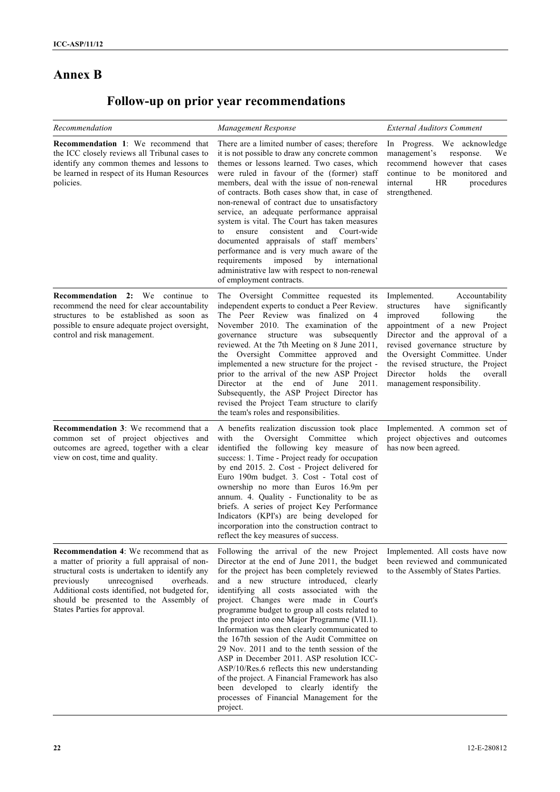## **Annex B**

# **Follow-up on prior year recommendations**

| Recommendation                                                                                                                                                                                                                                                                                                           | Management Response                                                                                                                                                                                                                                                                                                                                                                                                                                                                                                                                                                                                                                                                                                                                                           | <b>External Auditors Comment</b>                                                                                                                                                                                                                                                                                                                        |
|--------------------------------------------------------------------------------------------------------------------------------------------------------------------------------------------------------------------------------------------------------------------------------------------------------------------------|-------------------------------------------------------------------------------------------------------------------------------------------------------------------------------------------------------------------------------------------------------------------------------------------------------------------------------------------------------------------------------------------------------------------------------------------------------------------------------------------------------------------------------------------------------------------------------------------------------------------------------------------------------------------------------------------------------------------------------------------------------------------------------|---------------------------------------------------------------------------------------------------------------------------------------------------------------------------------------------------------------------------------------------------------------------------------------------------------------------------------------------------------|
| <b>Recommendation 1:</b> We recommend that<br>the ICC closely reviews all Tribunal cases to<br>identify any common themes and lessons to<br>be learned in respect of its Human Resources<br>policies.                                                                                                                    | There are a limited number of cases; therefore<br>it is not possible to draw any concrete common<br>themes or lessons learned. Two cases, which<br>were ruled in favour of the (former) staff<br>members, deal with the issue of non-renewal<br>of contracts. Both cases show that, in case of<br>non-renewal of contract due to unsatisfactory<br>service, an adequate performance appraisal<br>system is vital. The Court has taken measures<br>ensure<br>consistent<br>and<br>Court-wide<br>to<br>documented appraisals of staff members'<br>performance and is very much aware of the<br>requirements<br>imposed<br>by international<br>administrative law with respect to non-renewal<br>of employment contracts.                                                        | In Progress. We acknowledge<br>management's<br>response.<br>We<br>recommend however that cases<br>continue to be monitored and<br>internal<br>HR.<br>procedures<br>strengthened.                                                                                                                                                                        |
| <b>Recommendation 2:</b> We continue to<br>recommend the need for clear accountability<br>structures to be established as soon as<br>possible to ensure adequate project oversight,<br>control and risk management.                                                                                                      | The Oversight Committee requested its<br>independent experts to conduct a Peer Review.<br>The Peer Review was finalized on 4<br>November 2010. The examination of the<br>subsequently<br>governance<br>structure<br>was<br>reviewed. At the 7th Meeting on 8 June 2011,<br>the Oversight Committee approved and<br>implemented a new structure for the project -<br>prior to the arrival of the new ASP Project<br>Director at the end of June<br>2011.<br>Subsequently, the ASP Project Director has<br>revised the Project Team structure to clarify<br>the team's roles and responsibilities.                                                                                                                                                                              | Implemented.<br>Accountability<br>structures<br>significantly<br>have<br>improved<br>following<br>the<br>appointment of a new Project<br>Director and the approval of a<br>revised governance structure by<br>the Oversight Committee. Under<br>the revised structure, the Project<br>Director<br>holds<br>the<br>overall<br>management responsibility. |
| <b>Recommendation 3:</b> We recommend that a<br>common set of project objectives and<br>outcomes are agreed, together with a clear<br>view on cost, time and quality.                                                                                                                                                    | A benefits realization discussion took place<br>Committee<br>which<br>with<br>the<br>Oversight<br>identified the following key measure of<br>success: 1. Time - Project ready for occupation<br>by end 2015. 2. Cost - Project delivered for<br>Euro 190m budget. 3. Cost - Total cost of<br>ownership no more than Euros 16.9m per<br>annum. 4. Quality - Functionality to be as<br>briefs. A series of project Key Performance<br>Indicators (KPI's) are being developed for<br>incorporation into the construction contract to<br>reflect the key measures of success.                                                                                                                                                                                                     | Implemented. A common set of<br>project objectives and outcomes<br>has now been agreed.                                                                                                                                                                                                                                                                 |
| <b>Recommendation 4:</b> We recommend that as<br>a matter of priority a full appraisal of non-<br>structural costs is undertaken to identify any<br>unrecognised<br>previously<br>overheads.<br>Additional costs identified, not budgeted for,<br>should be presented to the Assembly of<br>States Parties for approval. | Following the arrival of the new Project<br>Director at the end of June 2011, the budget<br>for the project has been completely reviewed<br>and a new structure introduced, clearly<br>identifying all costs associated with the<br>project. Changes were made in Court's<br>programme budget to group all costs related to<br>the project into one Major Programme (VII.1).<br>Information was then clearly communicated to<br>the 167th session of the Audit Committee on<br>29 Nov. 2011 and to the tenth session of the<br>ASP in December 2011. ASP resolution ICC-<br>ASP/10/Res.6 reflects this new understanding<br>of the project. A Financial Framework has also<br>been developed to clearly identify the<br>processes of Financial Management for the<br>project. | Implemented. All costs have now<br>been reviewed and communicated<br>to the Assembly of States Parties.                                                                                                                                                                                                                                                 |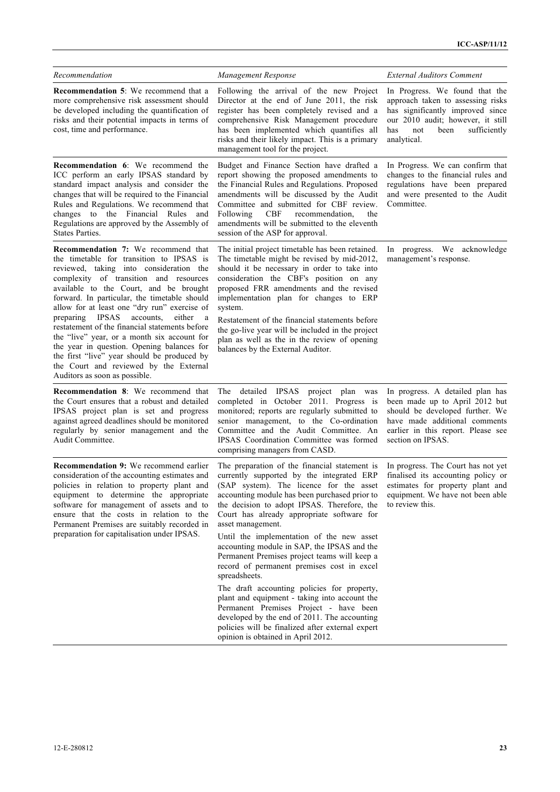| Recommendation                                                                                                                                                                                                                                                                                                                                                                                                                                                                                                                                                                                                                                  | Management Response                                                                                                                                                                                                                                                                                                                                                                                                                                                                                                                                                                                                                                                                                                                                                                                     | <b>External Auditors Comment</b>                                                                                                                                                                  |
|-------------------------------------------------------------------------------------------------------------------------------------------------------------------------------------------------------------------------------------------------------------------------------------------------------------------------------------------------------------------------------------------------------------------------------------------------------------------------------------------------------------------------------------------------------------------------------------------------------------------------------------------------|---------------------------------------------------------------------------------------------------------------------------------------------------------------------------------------------------------------------------------------------------------------------------------------------------------------------------------------------------------------------------------------------------------------------------------------------------------------------------------------------------------------------------------------------------------------------------------------------------------------------------------------------------------------------------------------------------------------------------------------------------------------------------------------------------------|---------------------------------------------------------------------------------------------------------------------------------------------------------------------------------------------------|
| <b>Recommendation 5:</b> We recommend that a<br>more comprehensive risk assessment should<br>be developed including the quantification of<br>risks and their potential impacts in terms of<br>cost, time and performance.                                                                                                                                                                                                                                                                                                                                                                                                                       | Following the arrival of the new Project<br>Director at the end of June 2011, the risk<br>register has been completely revised and a<br>comprehensive Risk Management procedure<br>has been implemented which quantifies all<br>risks and their likely impact. This is a primary<br>management tool for the project.                                                                                                                                                                                                                                                                                                                                                                                                                                                                                    | In Progress. We found that the<br>approach taken to assessing risks<br>has significantly improved since<br>our 2010 audit; however, it still<br>been<br>has<br>not<br>sufficiently<br>analytical. |
| Recommendation 6: We recommend the<br>ICC perform an early IPSAS standard by<br>standard impact analysis and consider the<br>changes that will be required to the Financial<br>Rules and Regulations. We recommend that<br>changes to the Financial Rules and<br>Regulations are approved by the Assembly of<br>States Parties.                                                                                                                                                                                                                                                                                                                 | Budget and Finance Section have drafted a<br>report showing the proposed amendments to<br>the Financial Rules and Regulations. Proposed<br>amendments will be discussed by the Audit<br>Committee and submitted for CBF review.<br><b>CBF</b><br>recommendation.<br>Following<br>the<br>amendments will be submitted to the eleventh<br>session of the ASP for approval.                                                                                                                                                                                                                                                                                                                                                                                                                                | In Progress. We can confirm that<br>changes to the financial rules and<br>regulations have been prepared<br>and were presented to the Audit<br>Committee.                                         |
| <b>Recommendation 7:</b> We recommend that<br>the timetable for transition to IPSAS is<br>reviewed, taking into consideration the<br>complexity of transition and resources<br>available to the Court, and be brought<br>forward. In particular, the timetable should<br>allow for at least one "dry run" exercise of<br>preparing IPSAS<br>accounts,<br>either<br>a a<br>restatement of the financial statements before<br>the "live" year, or a month six account for<br>the year in question. Opening balances for<br>the first "live" year should be produced by<br>the Court and reviewed by the External<br>Auditors as soon as possible. | The initial project timetable has been retained.<br>The timetable might be revised by mid-2012,<br>should it be necessary in order to take into<br>consideration the CBF's position on any<br>proposed FRR amendments and the revised<br>implementation plan for changes to ERP<br>system.<br>Restatement of the financial statements before<br>the go-live year will be included in the project<br>plan as well as the in the review of opening<br>balances by the External Auditor.                                                                                                                                                                                                                                                                                                                   | We acknowledge<br>In progress.<br>management's response.                                                                                                                                          |
| <b>Recommendation 8:</b> We recommend that<br>the Court ensures that a robust and detailed<br>IPSAS project plan is set and progress<br>against agreed deadlines should be monitored<br>regularly by senior management and the<br>Audit Committee.                                                                                                                                                                                                                                                                                                                                                                                              | The detailed IPSAS project plan was<br>completed in October 2011. Progress is<br>monitored; reports are regularly submitted to<br>senior management, to the Co-ordination<br>Committee and the Audit Committee. An<br>IPSAS Coordination Committee was formed<br>comprising managers from CASD.                                                                                                                                                                                                                                                                                                                                                                                                                                                                                                         | In progress. A detailed plan has<br>been made up to April 2012 but<br>should be developed further. We<br>have made additional comments<br>earlier in this report. Please see<br>section on IPSAS. |
| Recommendation 9: We recommend earlier<br>consideration of the accounting estimates and<br>policies in relation to property plant and<br>equipment to determine the appropriate<br>software for management of assets and to<br>ensure that the costs in relation to the<br>Permanent Premises are suitably recorded in<br>preparation for capitalisation under IPSAS.                                                                                                                                                                                                                                                                           | The preparation of the financial statement is<br>currently supported by the integrated ERP<br>(SAP system). The licence for the asset<br>accounting module has been purchased prior to<br>the decision to adopt IPSAS. Therefore, the<br>Court has already appropriate software for<br>asset management.<br>Until the implementation of the new asset<br>accounting module in SAP, the IPSAS and the<br>Permanent Premises project teams will keep a<br>record of permanent premises cost in excel<br>spreadsheets.<br>The draft accounting policies for property,<br>plant and equipment - taking into account the<br>Permanent Premises Project - have been<br>developed by the end of 2011. The accounting<br>policies will be finalized after external expert<br>opinion is obtained in April 2012. | In progress. The Court has not yet<br>finalised its accounting policy or<br>estimates for property plant and<br>equipment. We have not been able<br>to review this.                               |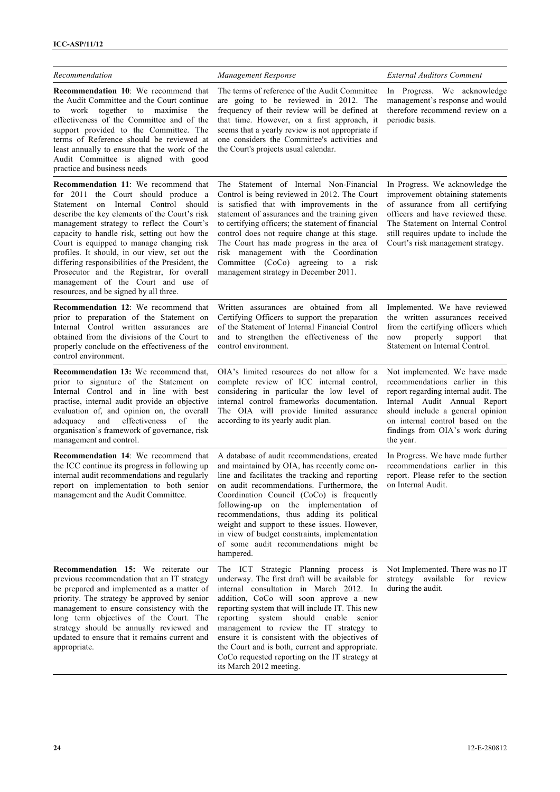| Recommendation                                                                                                                                                                                                                                                                                                                                                                                                                                                                                                                                    | Management Response                                                                                                                                                                                                                                                                                                                                                                                                                                                                                       | <b>External Auditors Comment</b>                                                                                                                                                                                                                                 |
|---------------------------------------------------------------------------------------------------------------------------------------------------------------------------------------------------------------------------------------------------------------------------------------------------------------------------------------------------------------------------------------------------------------------------------------------------------------------------------------------------------------------------------------------------|-----------------------------------------------------------------------------------------------------------------------------------------------------------------------------------------------------------------------------------------------------------------------------------------------------------------------------------------------------------------------------------------------------------------------------------------------------------------------------------------------------------|------------------------------------------------------------------------------------------------------------------------------------------------------------------------------------------------------------------------------------------------------------------|
| <b>Recommendation 10:</b> We recommend that<br>the Audit Committee and the Court continue<br>work together to maximise<br>the<br>to<br>effectiveness of the Committee and of the<br>support provided to the Committee. The<br>terms of Reference should be reviewed at<br>least annually to ensure that the work of the<br>Audit Committee is aligned with good<br>practice and business needs                                                                                                                                                    | The terms of reference of the Audit Committee<br>are going to be reviewed in 2012. The<br>frequency of their review will be defined at<br>that time. However, on a first approach, it<br>seems that a yearly review is not appropriate if<br>one considers the Committee's activities and<br>the Court's projects usual calendar.                                                                                                                                                                         | In Progress. We acknowledge<br>management's response and would<br>therefore recommend review on a<br>periodic basis.                                                                                                                                             |
| Recommendation 11: We recommend that<br>for 2011 the Court should produce a<br>Statement on Internal Control should<br>describe the key elements of the Court's risk<br>management strategy to reflect the Court's<br>capacity to handle risk, setting out how the<br>Court is equipped to manage changing risk<br>profiles. It should, in our view, set out the<br>differing responsibilities of the President, the<br>Prosecutor and the Registrar, for overall<br>management of the Court and use of<br>resources, and be signed by all three. | The Statement of Internal Non-Financial<br>Control is being reviewed in 2012. The Court<br>is satisfied that with improvements in the<br>statement of assurances and the training given<br>to certifying officers; the statement of financial<br>control does not require change at this stage.<br>The Court has made progress in the area of<br>risk management with the Coordination<br>Committee (CoCo) agreeing to a risk<br>management strategy in December 2011.                                    | In Progress. We acknowledge the<br>improvement obtaining statements<br>of assurance from all certifying<br>officers and have reviewed these.<br>The Statement on Internal Control<br>still requires update to include the<br>Court's risk management strategy.   |
| <b>Recommendation 12:</b> We recommend that<br>prior to preparation of the Statement on<br>Internal Control written assurances are<br>obtained from the divisions of the Court to<br>properly conclude on the effectiveness of the<br>control environment.                                                                                                                                                                                                                                                                                        | Written assurances are obtained from all<br>Certifying Officers to support the preparation<br>of the Statement of Internal Financial Control<br>and to strengthen the effectiveness of the<br>control environment.                                                                                                                                                                                                                                                                                        | Implemented. We have reviewed<br>the written assurances received<br>from the certifying officers which<br>properly<br>support<br>now<br>that<br>Statement on Internal Control.                                                                                   |
| Recommendation 13: We recommend that,<br>prior to signature of the Statement on<br>Internal Control and in line with best<br>practise, internal audit provide an objective<br>evaluation of, and opinion on, the overall<br>and<br>effectiveness<br>adequacy<br>of<br>the<br>organisation's framework of governance, risk<br>management and control.                                                                                                                                                                                              | OIA's limited resources do not allow for a<br>complete review of ICC internal control,<br>considering in particular the low level of<br>internal control frameworks documentation.<br>The OIA will provide limited assurance<br>according to its yearly audit plan.                                                                                                                                                                                                                                       | Not implemented. We have made<br>recommendations earlier in this<br>report regarding internal audit. The<br>Internal Audit Annual Report<br>should include a general opinion<br>on internal control based on the<br>findings from OIA's work during<br>the year. |
| <b>Recommendation 14:</b> We recommend that<br>the ICC continue its progress in following up<br>internal audit recommendations and regularly<br>report on implementation to both senior<br>management and the Audit Committee.                                                                                                                                                                                                                                                                                                                    | A database of audit recommendations, created<br>and maintained by OIA, has recently come on-<br>line and facilitates the tracking and reporting<br>on audit recommendations. Furthermore, the<br>Coordination Council (CoCo) is frequently<br>following-up on the implementation of<br>recommendations, thus adding its political<br>weight and support to these issues. However,<br>in view of budget constraints, implementation<br>of some audit recommendations might be<br>hampered.                 | In Progress. We have made further<br>recommendations earlier in this<br>report. Please refer to the section<br>on Internal Audit.                                                                                                                                |
| <b>Recommendation 15:</b> We reiterate our<br>previous recommendation that an IT strategy<br>be prepared and implemented as a matter of<br>priority. The strategy be approved by senior<br>management to ensure consistency with the<br>long term objectives of the Court. The<br>strategy should be annually reviewed and<br>updated to ensure that it remains current and<br>appropriate.                                                                                                                                                       | The ICT Strategic Planning process is<br>underway. The first draft will be available for<br>internal consultation in March 2012. In<br>addition, CoCo will soon approve a new<br>reporting system that will include IT. This new<br>reporting system should enable<br>senior<br>management to review the IT strategy to<br>ensure it is consistent with the objectives of<br>the Court and is both, current and appropriate.<br>CoCo requested reporting on the IT strategy at<br>its March 2012 meeting. | Not Implemented. There was no IT<br>strategy<br>available<br>for review<br>during the audit.                                                                                                                                                                     |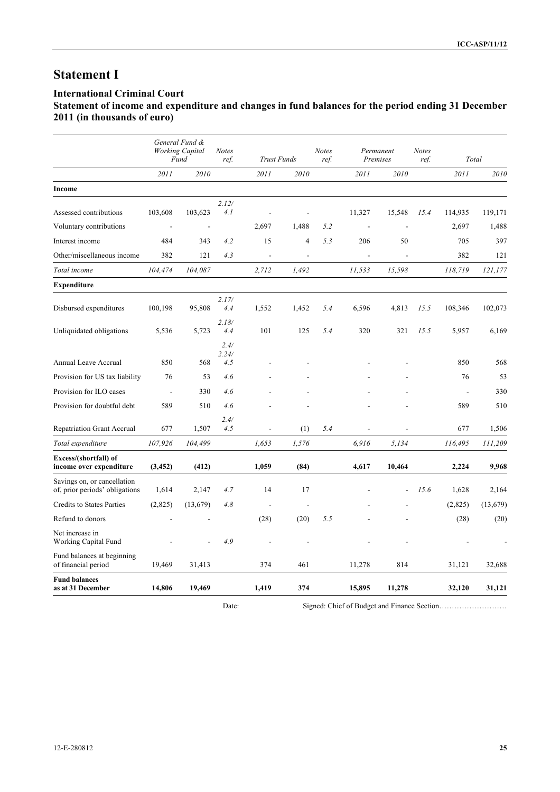## **Statement I**

### **International Criminal Court**

## **Statement of income and expenditure and changes in fund balances for the period ending 31 December 2011 (in thousands of euro)**

|                                                               |                          | General Fund &<br><b>Working Capital</b><br>Fund | <b>Notes</b><br>ref. | <b>Trust Funds</b> |                | <b>Notes</b><br>ref. | Permanent<br>Premises |        | <b>Notes</b><br>ref. | Total          |           |
|---------------------------------------------------------------|--------------------------|--------------------------------------------------|----------------------|--------------------|----------------|----------------------|-----------------------|--------|----------------------|----------------|-----------|
|                                                               | 2011                     | 2010                                             |                      | 2011               | 2010           |                      | 2011                  | 2010   |                      | 2011           | 2010      |
| Income                                                        |                          |                                                  |                      |                    |                |                      |                       |        |                      |                |           |
| Assessed contributions                                        | 103,608                  | 103,623                                          | 2.12/<br>4.1         |                    |                |                      | 11,327                | 15,548 | 15.4                 | 114,935        | 119,171   |
| Voluntary contributions                                       | $\overline{\phantom{a}}$ | $\overline{\phantom{a}}$                         |                      | 2,697              | 1,488          | 5.2                  |                       |        |                      | 2,697          | 1,488     |
| Interest income                                               | 484                      | 343                                              | 4.2                  | 15                 | $\overline{4}$ | 5.3                  | 206                   | 50     |                      | 705            | 397       |
| Other/miscellaneous income                                    | 382                      | 121                                              | 4.3                  | $\overline{a}$     | ÷.             |                      |                       |        |                      | 382            | 121       |
| Total income                                                  | 104,474                  | 104,087                                          |                      | 2,712              | 1,492          |                      | 11,533                | 15,598 |                      | 118,719        | 121,177   |
| <b>Expenditure</b>                                            |                          |                                                  |                      |                    |                |                      |                       |        |                      |                |           |
| Disbursed expenditures                                        | 100,198                  | 95,808                                           | 2.17/<br>4.4         | 1,552              | 1,452          | 5.4                  | 6,596                 | 4,813  | 15.5                 | 108,346        | 102,073   |
| Unliquidated obligations                                      | 5,536                    | 5,723                                            | 2.18/<br>4.4         | 101                | 125            | 5.4                  | 320                   | 321    | 15.5                 | 5,957          | 6,169     |
| Annual Leave Accrual                                          | 850                      | 568                                              | 2.4/<br>2.24/<br>4.5 |                    |                |                      |                       |        |                      | 850            | 568       |
| Provision for US tax liability                                | 76                       | 53                                               | 4.6                  |                    |                |                      |                       |        |                      | 76             | 53        |
| Provision for ILO cases                                       | $\Box$                   | 330                                              | 4.6                  |                    |                |                      |                       |        |                      | $\blacksquare$ | 330       |
| Provision for doubtful debt                                   | 589                      | 510                                              | 4.6                  |                    |                |                      |                       |        |                      | 589            | 510       |
| <b>Repatriation Grant Accrual</b>                             | 677                      | 1,507                                            | 2.4/<br>4.5          | $\blacksquare$     | (1)            | 5.4                  | $\overline{a}$        |        |                      | 677            | 1,506     |
| Total expenditure                                             | 107,926                  | 104,499                                          |                      | 1,653              | 1,576          |                      | 6,916                 | 5,134  |                      | 116,495        | 111,209   |
| Excess/(shortfall) of<br>income over expenditure              | (3, 452)                 | (412)                                            |                      | 1,059              | (84)           |                      | 4,617                 | 10,464 |                      | 2,224          | 9,968     |
| Savings on, or cancellation<br>of, prior periods' obligations | 1,614                    | 2,147                                            | 4.7                  | 14                 | 17             |                      |                       |        | 15.6                 | 1,628          | 2,164     |
| Credits to States Parties                                     | (2,825)                  | (13,679)                                         | 4.8                  | J.                 |                |                      |                       |        |                      | (2,825)        | (13, 679) |
| Refund to donors                                              |                          |                                                  |                      | (28)               | (20)           | 5.5                  |                       |        |                      | (28)           | (20)      |
| Net increase in<br>Working Capital Fund                       |                          |                                                  | 4.9                  |                    |                |                      |                       |        |                      |                |           |
| Fund balances at beginning<br>of financial period             | 19,469                   | 31,413                                           |                      | 374                | 461            |                      | 11,278                | 814    |                      | 31,121         | 32,688    |
| <b>Fund balances</b><br>as at 31 December                     | 14,806                   | 19,469                                           |                      | 1,419              | 374            |                      | 15,895                | 11,278 |                      | 32,120         | 31,121    |

Date: Signed: Chief of Budget and Finance Section……………………………………………………………………………………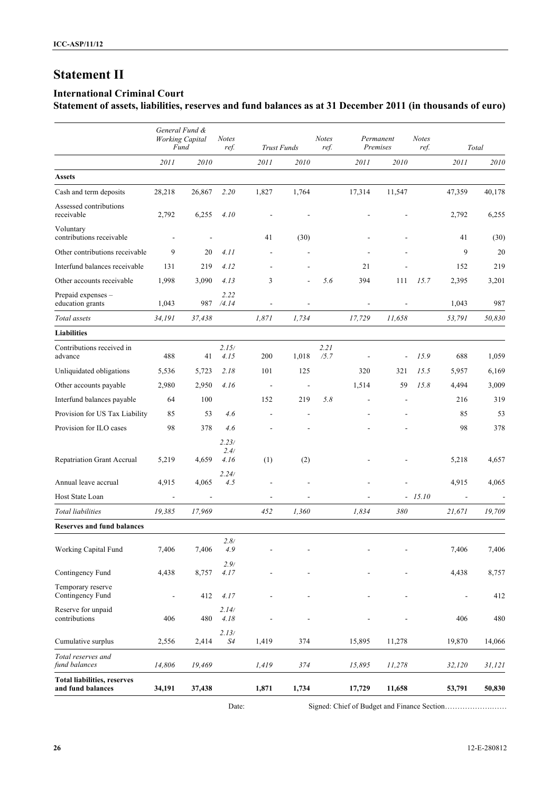## **Statement II**

### **International Criminal Court**

**Statement of assets, liabilities, reserves and fund balances as at 31 December 2011 (in thousands of euro)**

|                                                         | General Fund &<br><b>Working Capital</b><br>Fund |        | <b>Notes</b><br>ref.  | <b>Trust Funds</b>       |       | Notes<br>ref. | Permanent<br>Premises    |                | <b>Notes</b><br>ref. |                          | Total  |
|---------------------------------------------------------|--------------------------------------------------|--------|-----------------------|--------------------------|-------|---------------|--------------------------|----------------|----------------------|--------------------------|--------|
|                                                         | 2011                                             | 2010   |                       | 2011                     | 2010  |               | 2011                     | 2010           |                      | 2011                     | 2010   |
| <b>Assets</b>                                           |                                                  |        |                       |                          |       |               |                          |                |                      |                          |        |
| Cash and term deposits                                  | 28,218                                           | 26,867 | 2.20                  | 1,827                    | 1,764 |               | 17,314                   | 11,547         |                      | 47,359                   | 40,178 |
| Assessed contributions<br>receivable                    | 2,792                                            | 6,255  | 4.10                  |                          |       |               |                          |                |                      | 2,792                    | 6,255  |
| Voluntary<br>contributions receivable                   | $\overline{\phantom{a}}$                         |        |                       | 41                       | (30)  |               |                          |                |                      | 41                       | (30)   |
| Other contributions receivable                          | 9                                                | 20     | 4.11                  | $\overline{\phantom{a}}$ |       |               |                          |                |                      | 9                        | 20     |
| Interfund balances receivable                           | 131                                              | 219    | 4.12                  | $\overline{a}$           |       |               | 21                       |                |                      | 152                      | 219    |
| Other accounts receivable                               | 1,998                                            | 3,090  | 4.13                  | 3                        |       | 5.6           | 394                      | 111            | 15.7                 | 2,395                    | 3,201  |
| Prepaid expenses -<br>education grants                  | 1,043                                            | 987    | 2.22<br>/4.14         |                          |       |               |                          |                |                      | 1,043                    | 987    |
| Total assets                                            | 34,191                                           | 37,438 |                       | 1,871                    | 1.734 |               | 17,729                   | 11,658         |                      | 53,791                   | 50,830 |
| <b>Liabilities</b>                                      |                                                  |        |                       |                          |       |               |                          |                |                      |                          |        |
| Contributions received in<br>advance                    | 488                                              | 41     | 2.15/<br>4.15         | 200                      | 1,018 | 2.21<br>/5.7  | $\overline{\phantom{a}}$ | $\overline{a}$ | 15.9                 | 688                      | 1,059  |
| Unliquidated obligations                                | 5,536                                            | 5,723  | 2.18                  | 101                      | 125   |               | 320                      | 321            | 15.5                 | 5,957                    | 6,169  |
| Other accounts payable                                  | 2,980                                            | 2,950  | 4.16                  | $\overline{\phantom{a}}$ |       |               | 1,514                    | 59             | 15.8                 | 4,494                    | 3,009  |
| Interfund balances payable                              | 64                                               | 100    |                       | 152                      | 219   | 5.8           |                          |                |                      | 216                      | 319    |
| Provision for US Tax Liability                          | 85                                               | 53     | 4.6                   | $\overline{\phantom{a}}$ |       |               |                          |                |                      | 85                       | 53     |
| Provision for ILO cases                                 | 98                                               | 378    | 4.6                   |                          |       |               |                          |                |                      | 98                       | 378    |
| Repatriation Grant Accrual                              | 5,219                                            | 4,659  | 2.23/<br>2.4/<br>4.16 | (1)                      | (2)   |               |                          |                |                      | 5,218                    | 4,657  |
| Annual leave accrual                                    | 4,915                                            | 4,065  | 2.24/<br>4.5          |                          |       |               |                          |                |                      | 4,915                    | 4,065  |
| Host State Loan                                         | $\overline{\phantom{a}}$                         |        |                       | ÷                        |       |               |                          |                | $-15.10$             |                          |        |
| Total liabilities                                       | 19,385                                           | 17,969 |                       | 452                      | 1.360 |               | 1.834                    | 380            |                      | 21,671                   | 19,709 |
| <b>Reserves and fund balances</b>                       |                                                  |        |                       |                          |       |               |                          |                |                      |                          |        |
| Working Capital Fund                                    | 7,406                                            | 7,406  | 2.8/<br>4.9           |                          |       |               |                          |                |                      | 7,406                    | 7,406  |
| Contingency Fund                                        | 4,438                                            | 8,757  | 2.9/<br>4.17          |                          |       |               |                          |                |                      | 4,438                    | 8,757  |
| Temporary reserve<br>Contingency Fund                   | $\overline{\phantom{a}}$                         | 412    | 4.17                  |                          |       |               |                          |                |                      | $\overline{\phantom{a}}$ | 412    |
| Reserve for unpaid<br>contributions                     | 406                                              | 480    | 2.14/<br>4.18         |                          |       |               |                          |                |                      | 406                      | 480    |
| Cumulative surplus                                      | 2,556                                            | 2,414  | 2.13/<br>S4           | 1,419                    | 374   |               | 15,895                   | 11,278         |                      | 19,870                   | 14,066 |
| Total reserves and<br>fund balances                     | 14,806                                           | 19,469 |                       | 1,419                    | 374   |               | 15,895                   | 11,278         |                      | 32,120                   | 31,121 |
| <b>Total liabilities, reserves</b><br>and fund balances | 34,191                                           | 37,438 |                       | 1,871                    | 1,734 |               | 17,729                   | 11,658         |                      | 53,791                   | 50,830 |

Date: Signed: Chief of Budget and Finance Section……………………………………………………………………………………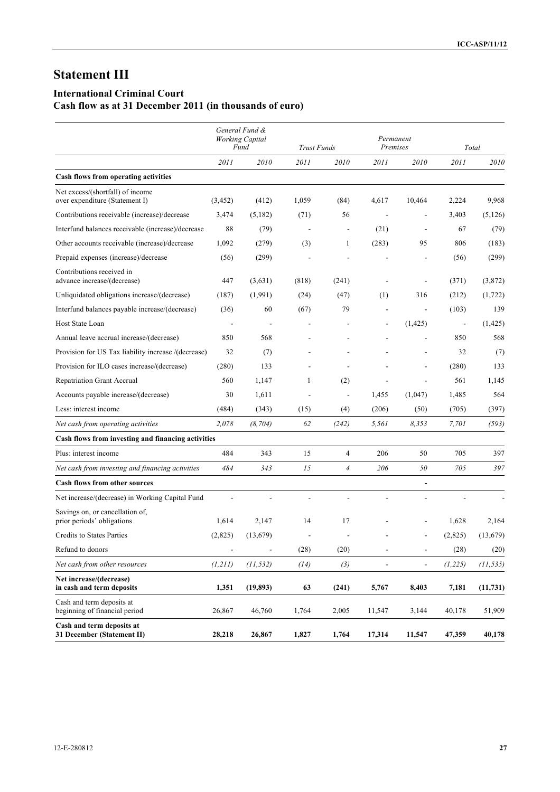## **Statement III**

## **International Criminal Court**

## **Cash flow as at 31 December 2011 (in thousands of euro)**

|                                                                    |                          | General Fund &<br><b>Working Capital</b><br>Fund | <b>Trust Funds</b>       |                | Permanent<br>Premises    |                          |          | Total     |
|--------------------------------------------------------------------|--------------------------|--------------------------------------------------|--------------------------|----------------|--------------------------|--------------------------|----------|-----------|
|                                                                    | 2011                     | 2010                                             | 2011                     | 2010           | 2011                     | 2010                     | 2011     | 2010      |
| Cash flows from operating activities                               |                          |                                                  |                          |                |                          |                          |          |           |
| Net excess/(shortfall) of income<br>over expenditure (Statement I) | (3, 452)                 | (412)                                            | 1,059                    | (84)           | 4,617                    | 10,464                   | 2,224    | 9,968     |
| Contributions receivable (increase)/decrease                       | 3,474                    | (5,182)                                          | (71)                     | 56             | $\overline{a}$           | $\overline{\phantom{a}}$ | 3,403    | (5,126)   |
| Interfund balances receivable (increase)/decrease                  | 88                       | (79)                                             | $\overline{\phantom{a}}$ | $\sim$         | (21)                     | $\overline{\phantom{a}}$ | 67       | (79)      |
| Other accounts receivable (increase)/decrease                      | 1,092                    | (279)                                            | (3)                      | 1              | (283)                    | 95                       | 806      | (183)     |
| Prepaid expenses (increase)/decrease                               | (56)                     | (299)                                            |                          |                |                          |                          | (56)     | (299)     |
| Contributions received in<br>advance increase/(decrease)           | 447                      | (3,631)                                          | (818)                    | (241)          |                          |                          | (371)    | (3,872)   |
| Unliquidated obligations increase/(decrease)                       | (187)                    | (1,991)                                          | (24)                     | (47)           | (1)                      | 316                      | (212)    | (1,722)   |
| Interfund balances payable increase/(decrease)                     | (36)                     | 60                                               | (67)                     | 79             |                          |                          | (103)    | 139       |
| Host State Loan                                                    |                          |                                                  |                          |                |                          | (1, 425)                 |          | (1, 425)  |
| Annual leave accrual increase/(decrease)                           | 850                      | 568                                              |                          |                |                          |                          | 850      | 568       |
| Provision for US Tax liability increase /(decrease)                | 32                       | (7)                                              |                          |                |                          | $\overline{a}$           | 32       | (7)       |
| Provision for ILO cases increase/(decrease)                        | (280)                    | 133                                              |                          |                |                          |                          | (280)    | 133       |
| <b>Repatriation Grant Accrual</b>                                  | 560                      | 1,147                                            | 1                        | (2)            |                          |                          | 561      | 1,145     |
| Accounts payable increase/(decrease)                               | 30                       | 1,611                                            |                          | ÷,             | 1,455                    | (1,047)                  | 1,485    | 564       |
| Less: interest income                                              | (484)                    | (343)                                            | (15)                     | (4)            | (206)                    | (50)                     | (705)    | (397)     |
| Net cash from operating activities                                 | 2,078                    | (8, 704)                                         | 62                       | (242)          | 5,561                    | 8,353                    | 7,701    | (593)     |
| Cash flows from investing and financing activities                 |                          |                                                  |                          |                |                          |                          |          |           |
| Plus: interest income                                              | 484                      | 343                                              | 15                       | $\overline{4}$ | 206                      | 50                       | 705      | 397       |
| Net cash from investing and financing activities                   | 484                      | 343                                              | 15                       | $\overline{4}$ | 206                      | 50                       | 705      | 397       |
| <b>Cash flows from other sources</b>                               |                          |                                                  |                          |                |                          |                          |          |           |
| Net increase/(decrease) in Working Capital Fund                    |                          | ÷,                                               | $\overline{\phantom{a}}$ | L,             | L.                       | $\blacksquare$           |          |           |
| Savings on, or cancellation of,<br>prior periods' obligations      | 1,614                    | 2,147                                            | 14                       | 17             |                          | $\overline{\phantom{a}}$ | 1,628    | 2,164     |
| <b>Credits to States Parties</b>                                   | (2,825)                  | (13,679)                                         |                          |                |                          |                          | (2,825)  | (13,679)  |
| Refund to donors                                                   | $\overline{\phantom{a}}$ | $\blacksquare$                                   | (28)                     | (20)           | $\overline{a}$           | $\Box$                   | (28)     | (20)      |
| Net cash from other resources                                      | (1, 211)                 | (11, 532)                                        | (14)                     | (3)            | $\overline{\phantom{a}}$ | $\overline{\phantom{a}}$ | (1, 225) | (11, 535) |
| Net increase/(decrease)<br>in cash and term deposits               | 1,351                    | (19, 893)                                        | 63                       | (241)          | 5,767                    | 8,403                    | 7,181    | (11, 731) |
| Cash and term deposits at<br>beginning of financial period         | 26,867                   | 46,760                                           | 1,764                    | 2,005          | 11,547                   | 3,144                    | 40,178   | 51,909    |
| Cash and term deposits at<br>31 December (Statement II)            | 28,218                   | 26,867                                           | 1,827                    | 1,764          | 17,314                   | 11,547                   | 47,359   | 40,178    |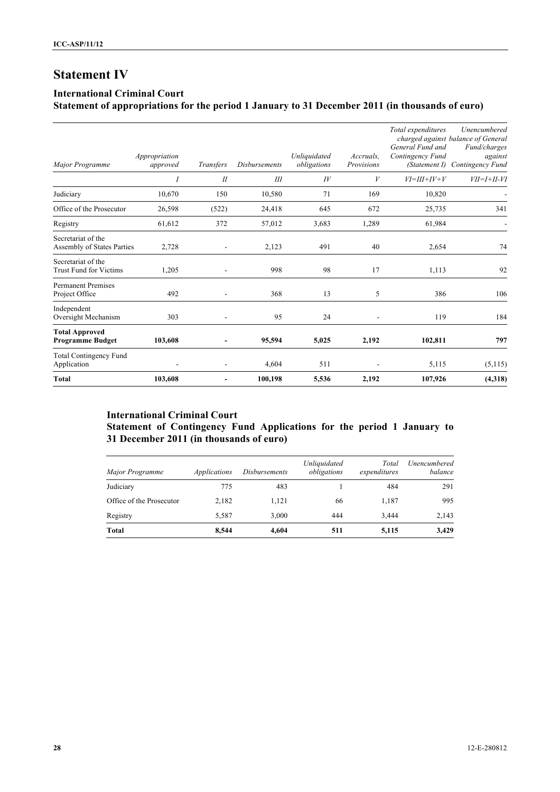## **Statement IV**

### **International Criminal Court**

## **Statement of appropriations for the period 1 January to 31 December 2011 (in thousands of euro)**

| Major Programme                                     | Appropriation<br>approved | Transfers                    | <b>Disbursements</b> | Unliquidated<br>obligations | Accruals.<br>Provisions | Total expenditures<br>General Fund and<br>Contingency Fund<br>(Statement I) | Unencumbered<br>charged against balance of General<br>Fund/charges<br>against<br>Contingency Fund |
|-----------------------------------------------------|---------------------------|------------------------------|----------------------|-----------------------------|-------------------------|-----------------------------------------------------------------------------|---------------------------------------------------------------------------------------------------|
|                                                     | 1                         | I                            | Ш                    | $I\bar{V}$                  | V                       | $VI=III+IV+V$                                                               | $VII = I + II - VI$                                                                               |
| Judiciary                                           | 10,670                    | 150                          | 10,580               | 71                          | 169                     | 10,820                                                                      |                                                                                                   |
| Office of the Prosecutor                            | 26,598                    | (522)                        | 24,418               | 645                         | 672                     | 25,735                                                                      | 341                                                                                               |
| Registry                                            | 61,612                    | 372                          | 57,012               | 3,683                       | 1,289                   | 61,984                                                                      |                                                                                                   |
| Secretariat of the<br>Assembly of States Parties    | 2,728                     | $\overline{a}$               | 2,123                | 491                         | 40                      | 2,654                                                                       | 74                                                                                                |
| Secretariat of the<br><b>Trust Fund for Victims</b> | 1,205                     | $\blacksquare$               | 998                  | 98                          | 17                      | 1,113                                                                       | 92                                                                                                |
| <b>Permanent Premises</b><br>Project Office         | 492                       | $\overline{\phantom{a}}$     | 368                  | 13                          | 5                       | 386                                                                         | 106                                                                                               |
| Independent<br>Oversight Mechanism                  | 303                       |                              | 95                   | 24                          |                         | 119                                                                         | 184                                                                                               |
| <b>Total Approved</b><br><b>Programme Budget</b>    | 103,608                   | $\qquad \qquad \blacksquare$ | 95,594               | 5,025                       | 2,192                   | 102,811                                                                     | 797                                                                                               |
| <b>Total Contingency Fund</b><br>Application        |                           | $\overline{a}$               | 4,604                | 511                         |                         | 5,115                                                                       | (5,115)                                                                                           |
| Total                                               | 103,608                   | $\qquad \qquad \blacksquare$ | 100,198              | 5,536                       | 2,192                   | 107,926                                                                     | (4,318)                                                                                           |

## **International Criminal Court Statement of Contingency Fund Applications for the period 1 January to 31 December 2011 (in thousands of euro)**

| Major Programme          | <i>Applications</i> | <i>Disbursements</i> | Unliquidated<br>obligations | Total<br>expenditures | Unencumbered<br>balance |
|--------------------------|---------------------|----------------------|-----------------------------|-----------------------|-------------------------|
| Judiciary                | 775                 | 483                  |                             | 484                   | 291                     |
| Office of the Prosecutor | 2,182               | 1,121                | 66                          | 1,187                 | 995                     |
| Registry                 | 5,587               | 3.000                | 444                         | 3.444                 | 2,143                   |
| Total                    | 8,544               | 4,604                | 511                         | 5,115                 | 3,429                   |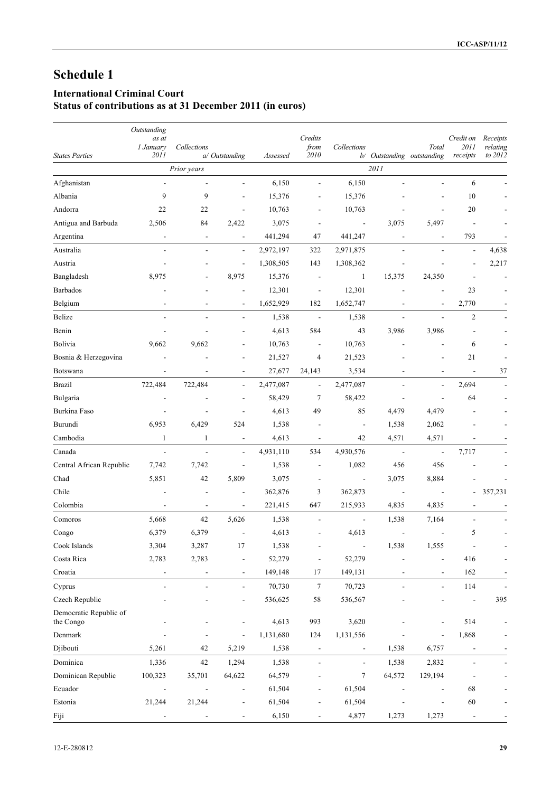## **International Criminal Court**

**Status of contributions as at 31 December 2011 (in euros)**

|                                     | Outstanding                  |                          |                          |           |                              |                          |                            |                          |                   |                      |
|-------------------------------------|------------------------------|--------------------------|--------------------------|-----------|------------------------------|--------------------------|----------------------------|--------------------------|-------------------|----------------------|
|                                     | as at<br>1 January           | Collections              |                          |           | Credits<br>from              | Collections              |                            | Total                    | Credit on<br>2011 | Receipts<br>relating |
| <b>States Parties</b>               | 2011                         |                          | a/ Outstanding           | Assessed  | 2010                         |                          | b/ Outstanding outstanding |                          | receipts          | to 2012              |
|                                     |                              | Prior years              |                          |           |                              |                          | 2011                       |                          |                   |                      |
| Afghanistan                         |                              |                          |                          | 6,150     | L,                           | 6,150                    |                            |                          | 6                 |                      |
| Albania                             | 9                            | 9                        |                          | 15,376    |                              | 15,376                   |                            |                          | 10                |                      |
| Andorra                             | 22                           | 22                       |                          | 10,763    |                              | 10,763                   |                            |                          | 20                |                      |
| Antigua and Barbuda                 | 2,506                        | 84                       | 2,422                    | 3,075     |                              | $\blacksquare$           | 3,075                      | 5,497                    | L,                |                      |
| Argentina                           | $\overline{\phantom{a}}$     | $\overline{\phantom{a}}$ | $\overline{\phantom{a}}$ | 441,294   | 47                           | 441,247                  | $\overline{\phantom{a}}$   | $\sim$                   | 793               |                      |
| Australia                           |                              | $\overline{\phantom{a}}$ | $\frac{1}{2}$            | 2,972,197 | 322                          | 2,971,875                |                            |                          | $\overline{a}$    | 4,638                |
| Austria                             |                              |                          | $\blacksquare$           | 1,308,505 | 143                          | 1,308,362                | $\overline{a}$             |                          |                   | 2,217                |
| Bangladesh                          | 8,975                        |                          | 8,975                    | 15,376    | $\overline{a}$               | $\mathbf{1}$             | 15,375                     | 24,350                   |                   |                      |
| Barbados                            |                              |                          |                          | 12,301    | $\overline{a}$               | 12,301                   |                            |                          | 23                |                      |
| Belgium                             |                              | $\overline{\phantom{a}}$ | $\blacksquare$           | 1,652,929 | 182                          | 1,652,747                | $\overline{a}$             | $\overline{\phantom{a}}$ | 2,770             |                      |
| Belize                              |                              |                          | $\blacksquare$           | 1,538     | $\overline{\phantom{a}}$     | 1,538                    | $\frac{1}{2}$              |                          | $\overline{2}$    |                      |
| Benin                               |                              |                          |                          | 4,613     | 584                          | 43                       | 3,986                      | 3,986                    |                   |                      |
| Bolivia                             | 9,662                        | 9,662                    |                          | 10,763    |                              | 10,763                   |                            |                          | 6                 |                      |
| Bosnia & Herzegovina                |                              |                          |                          | 21,527    | $\overline{4}$               | 21,523                   |                            |                          | 21                |                      |
| Botswana                            | $\overline{\phantom{a}}$     | $\blacksquare$           | $\blacksquare$           | 27,677    | 24,143                       | 3,534                    | $\overline{a}$             | $\overline{a}$           | $\frac{1}{2}$     | 37                   |
| <b>Brazil</b>                       | 722,484                      | 722,484                  | $\frac{1}{2}$            | 2,477,087 | $\frac{1}{2}$                | 2,477,087                |                            | $\overline{\phantom{a}}$ | 2,694             |                      |
| Bulgaria                            |                              |                          |                          | 58,429    | 7                            | 58,422                   | $\overline{a}$             |                          | 64                |                      |
| Burkina Faso                        |                              |                          |                          | 4,613     | 49                           | 85                       | 4,479                      | 4,479                    |                   |                      |
| Burundi                             | 6,953                        | 6,429                    | 524                      | 1,538     |                              | $\overline{\phantom{a}}$ | 1,538                      | 2,062                    |                   |                      |
| Cambodia                            | $\mathbf{1}$                 | $\mathbf{1}$             | $\overline{a}$           | 4,613     |                              | 42                       | 4,571                      | 4,571                    |                   |                      |
| Canada                              | $\overline{\phantom{a}}$     | $\frac{1}{2}$            | $\blacksquare$           | 4,931,110 | 534                          | 4,930,576                | $\overline{\phantom{a}}$   | $\blacksquare$           | 7,717             |                      |
| Central African Republic            | 7,742                        | 7,742                    | $\overline{a}$           | 1,538     |                              | 1,082                    | 456                        | 456                      |                   |                      |
| Chad                                | 5,851                        | 42                       | 5,809                    | 3,075     |                              | $\overline{\phantom{a}}$ | 3,075                      | 8,884                    |                   |                      |
| Chile                               |                              | $\overline{\phantom{a}}$ | $\overline{\phantom{a}}$ | 362,876   | 3                            | 362,873                  | $\overline{\phantom{a}}$   |                          | ÷,                | 357,231              |
| Colombia                            |                              |                          |                          | 221,415   | 647                          | 215,933                  | 4,835                      | 4,835                    |                   |                      |
| Comoros                             | 5,668                        | 42                       | 5,626                    | 1,538     |                              | $\overline{\phantom{a}}$ | 1,538                      | 7,164                    | ÷                 |                      |
| Congo                               | 6,379                        | 6,379                    |                          | 4,613     |                              | 4,613                    | $\overline{\phantom{a}}$   |                          | 5                 |                      |
| Cook Islands                        | 3,304                        | 3,287                    | 17                       | 1,538     |                              |                          | 1,538                      | 1,555                    |                   |                      |
| Costa Rica                          | 2,783                        | 2,783                    |                          | 52,279    | $\qquad \qquad \blacksquare$ | 52,279                   |                            | $\overline{\phantom{0}}$ | 416               |                      |
| Croatia                             |                              |                          |                          | 149,148   | 17                           | 149,131                  |                            |                          | 162               |                      |
|                                     |                              |                          |                          |           | $\boldsymbol{7}$             |                          |                            |                          |                   |                      |
| Cyprus                              | $\qquad \qquad \blacksquare$ | $\overline{a}$           | $\overline{\phantom{a}}$ | 70,730    |                              | 70,723                   | $\overline{\phantom{a}}$   | $\blacksquare$           | 114               |                      |
| Czech Republic                      |                              |                          |                          | 536,625   | 58                           | 536,567                  |                            |                          |                   | 395                  |
| Democratic Republic of<br>the Congo |                              |                          | $\overline{\phantom{a}}$ | 4,613     | 993                          | 3,620                    |                            |                          | 514               |                      |
| Denmark                             |                              |                          |                          | 1,131,680 | 124                          | 1,131,556                |                            |                          | 1,868             |                      |
| Djibouti                            | 5,261                        | 42                       | 5,219                    | 1,538     | $\qquad \qquad \blacksquare$ |                          | 1,538                      | 6,757                    |                   |                      |
| Dominica                            | 1,336                        | 42                       | 1,294                    | 1,538     |                              | $\blacksquare$           | 1,538                      | 2,832                    |                   |                      |
| Dominican Republic                  | 100,323                      | 35,701                   | 64,622                   | 64,579    |                              | 7                        | 64,572                     | 129,194                  |                   |                      |
| Ecuador                             |                              |                          | $\overline{a}$           | 61,504    |                              | 61,504                   |                            |                          | 68                |                      |
| Estonia                             | 21,244                       | 21,244                   |                          | 61,504    |                              | 61,504                   |                            |                          | 60                |                      |
| Fiji                                |                              |                          |                          | 6,150     |                              | 4,877                    | 1,273                      | 1,273                    | $\frac{1}{2}$     |                      |
|                                     |                              |                          |                          |           |                              |                          |                            |                          |                   |                      |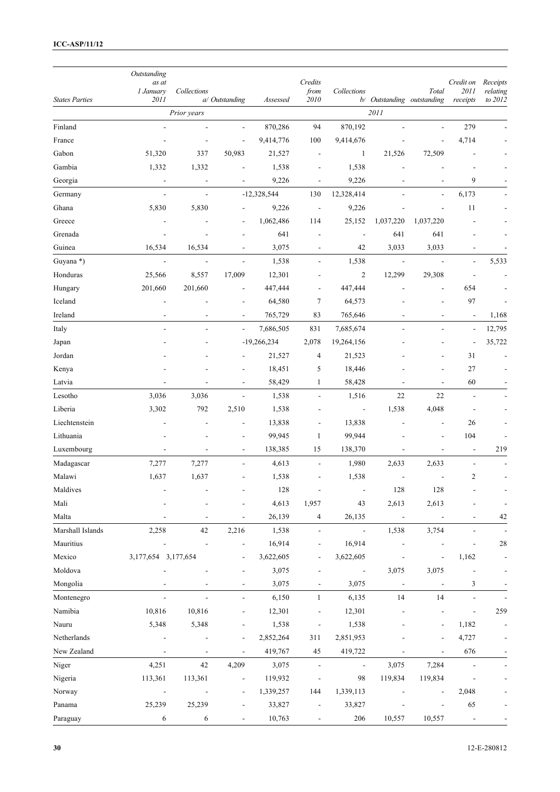|                       | Outstanding              |                |                              |               |                          |                          |                            |                          |                          |                      |
|-----------------------|--------------------------|----------------|------------------------------|---------------|--------------------------|--------------------------|----------------------------|--------------------------|--------------------------|----------------------|
|                       | as at<br>1 January       | Collections    |                              |               | Credits<br>from          | Collections              |                            | Total                    | Credit on<br>2011        | Receipts<br>relating |
| <b>States Parties</b> | 2011                     |                | a/ Outstanding               | Assessed      | 2010                     |                          | b/ Outstanding outstanding |                          | receipts                 | to 2012              |
|                       |                          | Prior years    |                              |               |                          |                          | 2011                       |                          |                          |                      |
| Finland               | $\overline{\phantom{a}}$ |                | $\overline{a}$               | 870,286       | 94                       | 870,192                  | L,                         |                          | 279                      |                      |
| France                |                          |                | $\overline{a}$               | 9,414,776     | 100                      | 9,414,676                |                            |                          | 4,714                    |                      |
| Gabon                 | 51,320                   | 337            | 50,983                       | 21,527        | $\overline{\phantom{a}}$ | $\mathbf{1}$             | 21,526                     | 72,509                   |                          |                      |
| Gambia                | 1,332                    | 1,332          |                              | 1,538         |                          | 1,538                    |                            |                          |                          |                      |
| Georgia               | $\blacksquare$           | $\blacksquare$ |                              | 9,226         | L,                       | 9,226                    | $\overline{a}$             |                          | 9                        |                      |
| Germany               | $\overline{\phantom{a}}$ | $\frac{1}{2}$  |                              | $-12,328,544$ | 130                      | 12,328,414               |                            |                          | 6,173                    |                      |
| Ghana                 | 5,830                    | 5,830          |                              | 9,226         | $\overline{\phantom{a}}$ | 9,226                    |                            |                          | 11                       |                      |
| Greece                |                          |                |                              | 1,062,486     | 114                      | 25,152                   | 1,037,220                  | 1,037,220                |                          |                      |
| Grenada               |                          |                |                              | 641           |                          |                          | 641                        | 641                      |                          |                      |
| Guinea                | 16,534                   | 16,534         |                              | 3,075         | $\overline{\phantom{a}}$ | 42                       | 3,033                      | 3,033                    |                          |                      |
| Guyana*)              | $\overline{\phantom{a}}$ | $\overline{a}$ | $\overline{\phantom{a}}$     | 1,538         | ۰                        | 1,538                    | $\overline{\phantom{a}}$   | $\overline{\phantom{a}}$ | $\overline{\phantom{a}}$ | 5,533                |
| Honduras              | 25,566                   | 8,557          | 17,009                       | 12,301        |                          | $\overline{c}$           | 12,299                     | 29,308                   |                          |                      |
| Hungary               | 201,660                  | 201,660        |                              | 447,444       |                          | 447,444                  |                            |                          | 654                      |                      |
| Iceland               |                          |                |                              | 64,580        | $\tau$                   | 64,573                   |                            |                          | 97                       |                      |
| Ireland               | $\overline{\phantom{a}}$ |                |                              | 765,729       | 83                       | 765,646                  |                            |                          | $\overline{\phantom{a}}$ | 1,168                |
| Italy                 | $\overline{\phantom{a}}$ | $\overline{a}$ | $\frac{1}{2}$                | 7,686,505     | 831                      | 7,685,674                | $\frac{1}{2}$              |                          | $\overline{a}$           | 12,795               |
| Japan                 |                          |                |                              | $-19,266,234$ | 2,078                    | 19,264,156               |                            |                          | $\overline{a}$           | 35,722               |
| Jordan                |                          |                |                              | 21,527        | 4                        | 21,523                   |                            |                          | 31                       |                      |
| Kenya                 |                          |                | $\overline{a}$               | 18,451        | 5                        | 18,446                   |                            |                          | 27                       |                      |
| Latvia                |                          |                | $\frac{1}{2}$                | 58,429        | $\mathbf{1}$             | 58,428                   | $\sim$                     | $\overline{a}$           | 60                       |                      |
| Lesotho               | 3,036                    | 3,036          | $\overline{a}$               | 1,538         |                          | 1,516                    | 22                         | 22                       |                          |                      |
| Liberia               | 3,302                    | 792            | 2,510                        | 1,538         |                          | $\overline{\phantom{a}}$ | 1,538                      | 4,048                    |                          |                      |
| Liechtenstein         |                          |                |                              | 13,838        | ٠                        | 13,838                   | $\overline{a}$             | $\blacksquare$           | 26                       |                      |
| Lithuania             |                          |                |                              | 99,945        | $\mathbf{1}$             | 99,944                   |                            |                          | 104                      |                      |
| Luxembourg            | $\overline{\phantom{a}}$ |                |                              | 138,385       | 15                       | 138,370                  | $\overline{\phantom{a}}$   | $\overline{a}$           | $\overline{a}$           | 219                  |
| Madagascar            | 7,277                    | 7,277          |                              | 4,613         |                          | 1,980                    | 2,633                      | 2,633                    |                          |                      |
| Malawi                | 1,637                    | 1,637          |                              | 1,538         |                          | 1,538                    | ÷                          |                          | $\boldsymbol{2}$         |                      |
| Maldives              |                          |                |                              | 128           |                          |                          | 128                        | 128                      |                          |                      |
| Mali                  |                          |                |                              | 4,613         | 1,957                    | 43                       | 2,613                      | 2,613                    |                          |                      |
| Malta                 |                          |                |                              | 26,139        | 4                        | 26,135                   | $\overline{\phantom{a}}$   |                          |                          | $42\,$               |
| Marshall Islands      | 2,258                    | 42             | 2,216                        | 1,538         |                          | $\blacksquare$           | 1,538                      | 3,754                    |                          |                      |
| Mauritius             |                          |                |                              | 16,914        |                          | 16,914                   |                            |                          |                          | 28                   |
| Mexico                | 3,177,654 3,177,654      |                |                              | 3,622,605     |                          | 3,622,605                |                            |                          | 1,162                    |                      |
| Moldova               |                          |                |                              | 3,075         |                          |                          | 3,075                      | 3,075                    |                          |                      |
| Mongolia              |                          |                | $\overline{a}$               | 3,075         |                          | 3,075                    | $\blacksquare$             |                          | 3                        |                      |
| Montenegro            |                          |                | $\overline{a}$               | 6,150         | $\mathbf{1}$             | 6,135                    | 14                         | 14                       |                          |                      |
| Namibia               | 10,816                   | 10,816         |                              | 12,301        |                          | 12,301                   |                            |                          |                          | 259                  |
| Nauru                 | 5,348                    | 5,348          |                              | 1,538         | -                        | 1,538                    |                            |                          | 1,182                    |                      |
| Netherlands           |                          |                |                              | 2,852,264     | 311                      | 2,851,953                |                            |                          | 4,727                    |                      |
| New Zealand           |                          |                |                              |               |                          |                          |                            |                          |                          |                      |
|                       | $\overline{\phantom{a}}$ |                |                              | 419,767       | 45                       | 419,722                  |                            |                          | 676                      |                      |
| Niger                 | 4,251                    | 42             | 4,209                        | 3,075         |                          | $\overline{a}$           | 3,075                      | 7,284                    |                          |                      |
| Nigeria               | 113,361                  | 113,361        |                              | 119,932       |                          | 98                       | 119,834                    | 119,834                  |                          |                      |
| Norway                |                          |                | $\overline{a}$               | 1,339,257     | 144                      | 1,339,113                |                            |                          | 2,048                    |                      |
| Panama                | 25,239                   | 25,239         |                              | 33,827        |                          | 33,827                   |                            |                          | 65                       |                      |
| Paraguay              | 6                        | 6              | $\qquad \qquad \blacksquare$ | 10,763        |                          | 206                      | 10,557                     | 10,557                   |                          |                      |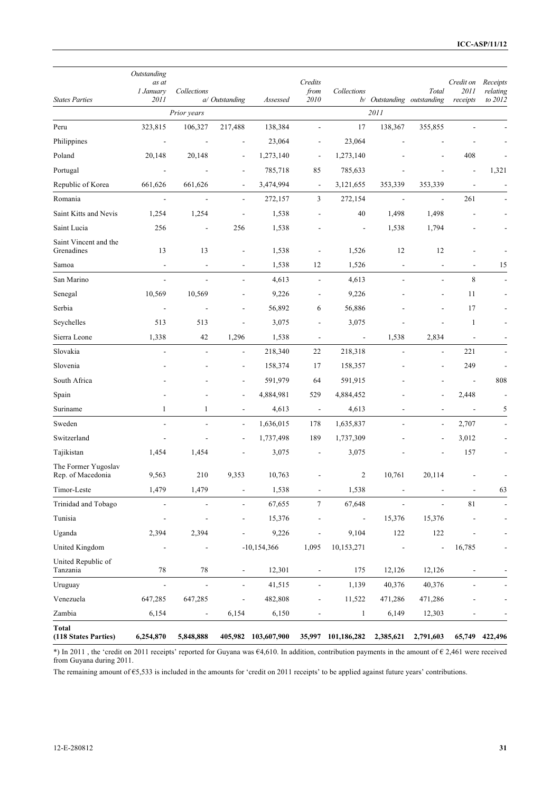|                                          | Outstanding<br>as at     |                          |                          |                     | Credits                      |                          |                            |                          | Credit on                | Receipts            |
|------------------------------------------|--------------------------|--------------------------|--------------------------|---------------------|------------------------------|--------------------------|----------------------------|--------------------------|--------------------------|---------------------|
| <b>States Parties</b>                    | 1 January<br>2011        | Collections              | a/ Outstanding           | Assessed            | from<br>2010                 | Collections              | b/ Outstanding outstanding | Total                    | 2011<br>receipts         | relating<br>to 2012 |
|                                          |                          | Prior years              |                          |                     |                              |                          | 2011                       |                          |                          |                     |
| Peru                                     | 323,815                  | 106,327                  | 217,488                  | 138,384             |                              | 17                       | 138,367                    | 355,855                  |                          |                     |
| Philippines                              |                          |                          |                          | 23,064              |                              | 23,064                   |                            |                          |                          |                     |
| Poland                                   | 20,148                   | 20,148                   | $\overline{a}$           | 1,273,140           |                              | 1,273,140                |                            |                          | 408                      |                     |
| Portugal                                 |                          |                          | $\overline{a}$           | 785,718             | 85                           | 785,633                  |                            |                          | ÷,                       | 1,321               |
| Republic of Korea                        | 661,626                  | 661,626                  |                          | 3,474,994           | $\qquad \qquad \blacksquare$ | 3,121,655                | 353,339                    | 353,339                  | L,                       |                     |
| Romania                                  | $\overline{\phantom{a}}$ | $\overline{\phantom{a}}$ | $\overline{a}$           | 272,157             | 3                            | 272,154                  | $\blacksquare$             | $\overline{\phantom{a}}$ | 261                      |                     |
| Saint Kitts and Nevis                    | 1,254                    | 1,254                    | $\overline{a}$           | 1,538               |                              | 40                       | 1,498                      | 1,498                    |                          |                     |
| Saint Lucia                              | 256                      | $\overline{\phantom{a}}$ | 256                      | 1,538               |                              | $\overline{\phantom{a}}$ | 1,538                      | 1,794                    |                          |                     |
| Saint Vincent and the<br>Grenadines      | 13                       | 13                       | $\overline{a}$           | 1,538               |                              | 1,526                    | 12                         | 12                       |                          |                     |
| Samoa                                    | $\blacksquare$           | $\overline{a}$           | $\overline{a}$           | 1,538               | 12                           | 1,526                    | $\overline{a}$             |                          |                          | 15                  |
| San Marino                               | $\overline{\phantom{a}}$ | $\overline{\phantom{a}}$ | L,                       | 4,613               | $\overline{a}$               | 4,613                    | L,                         | L.                       | 8                        |                     |
| Senegal                                  | 10,569                   | 10,569                   |                          | 9,226               |                              | 9,226                    |                            |                          | 11                       |                     |
| Serbia                                   |                          |                          | ÷,                       | 56,892              | 6                            | 56,886                   |                            |                          | 17                       |                     |
| Seychelles                               | 513                      | 513                      | ÷,                       | 3,075               |                              | 3,075                    |                            |                          | 1                        |                     |
| Sierra Leone                             | 1,338                    | 42                       | 1,296                    | 1,538               | $\qquad \qquad \blacksquare$ | $\overline{\phantom{a}}$ | 1,538                      | 2,834                    | $\overline{\phantom{a}}$ |                     |
| Slovakia                                 | $\overline{a}$           | $\overline{\phantom{a}}$ | $\overline{\phantom{a}}$ | 218,340             | 22                           | 218,318                  | $\overline{a}$             | $\overline{\phantom{a}}$ | 221                      |                     |
| Slovenia                                 |                          |                          |                          | 158,374             | 17                           | 158,357                  |                            |                          | 249                      |                     |
| South Africa                             |                          |                          | $\overline{\phantom{a}}$ | 591,979             | 64                           | 591,915                  |                            |                          | $\overline{a}$           | 808                 |
| Spain                                    |                          |                          |                          | 4,884,981           | 529                          | 4,884,452                |                            |                          | 2,448                    |                     |
| Suriname                                 | 1                        | 1                        | $\overline{\phantom{a}}$ | 4,613               | $\blacksquare$               | 4,613                    |                            | $\overline{\phantom{a}}$ | $\Box$                   | 5                   |
| Sweden                                   |                          |                          | $\overline{a}$           | 1,636,015           | 178                          | 1,635,837                |                            | $\overline{a}$           | 2,707                    |                     |
| Switzerland                              |                          |                          | $\overline{a}$           | 1,737,498           | 189                          | 1,737,309                |                            |                          | 3,012                    |                     |
| Tajikistan                               | 1,454                    | 1,454                    |                          | 3,075               |                              | 3,075                    |                            |                          | 157                      |                     |
| The Former Yugoslav<br>Rep. of Macedonia | 9,563                    | 210                      | 9,353                    | 10,763              |                              | 2                        | 10,761                     | 20,114                   |                          |                     |
| Timor-Leste                              | 1,479                    | 1,479                    |                          | 1,538               |                              | 1,538                    |                            |                          |                          | 63                  |
| Trinidad and Tobago                      | $\overline{\phantom{0}}$ |                          | $\blacksquare$           | 67,655              | $\tau$                       | 67,648                   | $\overline{a}$             | $\overline{\phantom{a}}$ | $8\sqrt{1}$              |                     |
| Tunisia                                  |                          |                          |                          | 15,376              |                              | $\blacksquare$           | 15,376                     | 15,376                   |                          |                     |
| Uganda                                   | 2,394                    | 2,394                    |                          | 9,226               | -                            | 9,104                    | 122                        | 122                      |                          |                     |
| United Kingdom                           |                          |                          |                          | $-10,154,366$       | 1,095                        | 10,153,271               |                            |                          | 16,785                   |                     |
| United Republic of<br>Tanzania           | $78\,$                   | $78\,$                   | $\blacksquare$           | 12,301              |                              | 175                      | 12,126                     | 12,126                   |                          |                     |
| Uruguay                                  | $\Box$                   | $\blacksquare$           | $\overline{\phantom{a}}$ | 41,515              | $\overline{\phantom{0}}$     | 1,139                    | 40,376                     | 40,376                   |                          |                     |
| Venezuela                                | 647,285                  | 647,285                  |                          | 482,808             |                              | 11,522                   | 471,286                    | 471,286                  |                          |                     |
| Zambia                                   | 6,154                    |                          | 6,154                    | 6,150               |                              | $\mathbf{1}$             | 6,149                      | 12,303                   |                          |                     |
| Total<br>(118 States Parties)            | 6,254,870                | 5,848,888                |                          | 405,982 103,607,900 |                              | 35,997 101,186,282       | 2,385,621                  | 2,791,603                |                          | 65,749 422,496      |

\*) In 2011 , the 'credit on 2011 receipts' reported for Guyana was €4,610. In addition, contribution payments in the amount of € 2,461 were received from Guyana during 2011.

The remaining amount of €5,533 is included in the amounts for 'credit on 2011 receipts' to be applied against future years' contributions.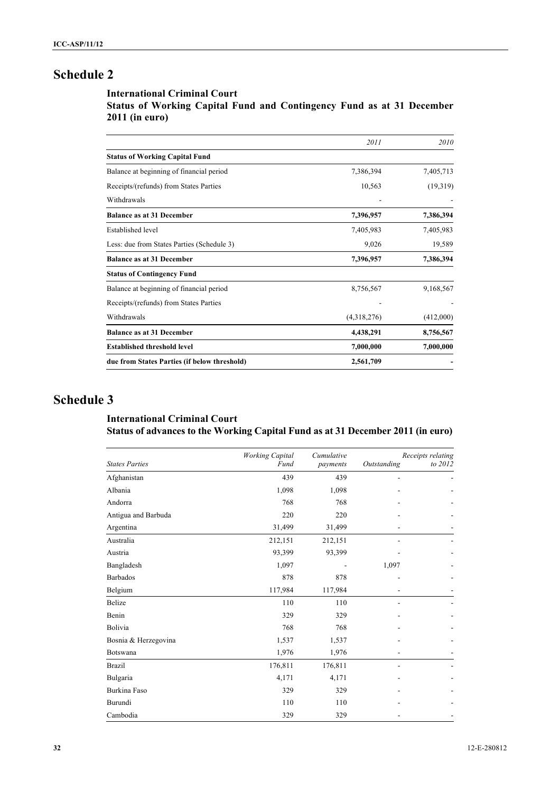### **International Criminal Court**

**Status of Working Capital Fund and Contingency Fund as at 31 December 2011 (in euro)**

|                                              | 2011        | 2010      |
|----------------------------------------------|-------------|-----------|
| <b>Status of Working Capital Fund</b>        |             |           |
| Balance at beginning of financial period     | 7,386,394   | 7,405,713 |
| Receipts/(refunds) from States Parties       | 10,563      | (19,319)  |
| Withdrawals                                  |             |           |
| <b>Balance as at 31 December</b>             | 7,396,957   | 7,386,394 |
| <b>Established level</b>                     | 7,405,983   | 7,405,983 |
| Less: due from States Parties (Schedule 3)   | 9,026       | 19,589    |
| <b>Balance as at 31 December</b>             | 7,396,957   | 7,386,394 |
| <b>Status of Contingency Fund</b>            |             |           |
| Balance at beginning of financial period     | 8,756,567   | 9,168,567 |
| Receipts/(refunds) from States Parties       |             |           |
| Withdrawals                                  | (4,318,276) | (412,000) |
| <b>Balance as at 31 December</b>             | 4,438,291   | 8,756,567 |
| <b>Established threshold level</b>           | 7,000,000   | 7,000,000 |
| due from States Parties (if below threshold) | 2,561,709   |           |

## **Schedule 3**

## **International Criminal Court Status of advances to the Working Capital Fund as at 31 December 2011 (in euro)**

| <b>States Parties</b> | <b>Working Capital</b><br>Fund | Cumulative<br>payments | Outstanding | Receipts relating<br>to 2012 |
|-----------------------|--------------------------------|------------------------|-------------|------------------------------|
| Afghanistan           | 439                            | 439                    | Ē,          |                              |
| Albania               | 1,098                          | 1,098                  |             |                              |
| Andorra               | 768                            | 768                    |             |                              |
| Antigua and Barbuda   | 220                            | 220                    |             |                              |
| Argentina             | 31,499                         | 31,499                 |             |                              |
| Australia             | 212,151                        | 212,151                |             |                              |
| Austria               | 93,399                         | 93,399                 |             |                              |
| Bangladesh            | 1,097                          |                        | 1,097       |                              |
| <b>Barbados</b>       | 878                            | 878                    |             |                              |
| Belgium               | 117,984                        | 117,984                |             |                              |
| <b>Belize</b>         | 110                            | 110                    |             |                              |
| Benin                 | 329                            | 329                    |             |                              |
| Bolivia               | 768                            | 768                    |             |                              |
| Bosnia & Herzegovina  | 1,537                          | 1,537                  |             |                              |
| Botswana              | 1,976                          | 1,976                  |             |                              |
| <b>Brazil</b>         | 176,811                        | 176,811                |             |                              |
| Bulgaria              | 4,171                          | 4,171                  |             |                              |
| Burkina Faso          | 329                            | 329                    |             |                              |
| Burundi               | 110                            | 110                    |             |                              |
| Cambodia              | 329                            | 329                    |             |                              |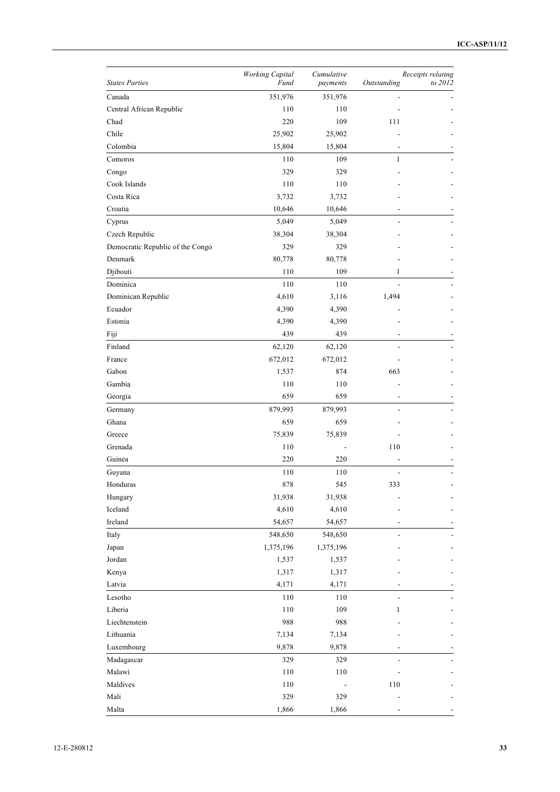|                                  | <b>Working Capital</b> | Cumulative |                | Receipts relating |
|----------------------------------|------------------------|------------|----------------|-------------------|
| <b>States Parties</b>            | Fund                   | payments   | Outstanding    | to 2012           |
| Canada                           | 351,976                | 351,976    |                |                   |
| Central African Republic         | 110                    | 110        |                |                   |
| Chad                             | 220                    | 109        | 111            |                   |
| Chile                            | 25,902                 | 25,902     |                |                   |
| Colombia                         | 15,804                 | 15,804     |                |                   |
| Comoros                          | 110                    | 109        | 1              |                   |
| Congo                            | 329                    | 329        |                |                   |
| Cook Islands                     | 110                    | 110        |                |                   |
| Costa Rica                       | 3,732                  | 3,732      |                |                   |
| Croatia                          | 10,646                 | 10,646     |                |                   |
| Cyprus                           | 5,049                  | 5,049      |                |                   |
| Czech Republic                   | 38,304                 | 38,304     |                |                   |
| Democratic Republic of the Congo | 329                    | 329        |                |                   |
| Denmark                          | 80,778                 | 80,778     |                |                   |
| Djibouti                         | 110                    | 109        | 1              |                   |
| Dominica                         | 110                    | 110        |                |                   |
| Dominican Republic               | 4,610                  | 3,116      | 1,494          |                   |
| Ecuador                          | 4,390                  | 4,390      |                |                   |
| Estonia                          | 4,390                  | 4,390      |                |                   |
| Fiji                             | 439                    | 439        |                |                   |
| Finland                          | 62,120                 | 62,120     |                |                   |
| France                           | 672,012                | 672,012    |                |                   |
| Gabon                            | 1,537                  | 874        | 663            |                   |
| Gambia                           | 110                    | 110        |                |                   |
| Georgia                          | 659                    | 659        |                |                   |
| Germany                          | 879,993                | 879,993    |                |                   |
| Ghana                            | 659                    | 659        |                |                   |
| Greece                           | 75,839                 | 75,839     |                |                   |
| Grenada                          | 110                    |            | 110            |                   |
| Guinea                           | 220                    | 220        |                |                   |
| Guyana                           | 110                    | 110        |                |                   |
| Honduras                         | 878                    | 545        | 333            |                   |
| Hungary                          | 31,938                 | 31,938     |                |                   |
| Iceland                          | 4,610                  | 4,610      |                |                   |
| Ireland                          | 54,657                 | 54,657     |                |                   |
| Italy                            | 548,650                | 548,650    | $\overline{a}$ |                   |
| Japan                            | 1,375,196              | 1,375,196  |                |                   |
| Jordan                           | 1,537                  | 1,537      |                |                   |
| Kenya                            | 1,317                  | 1,317      |                |                   |
| Latvia                           | 4,171                  | 4,171      |                |                   |
| Lesotho                          | 110                    | 110        |                |                   |
| Liberia                          | 110                    | 109        | 1              |                   |
| Liechtenstein                    | 988                    | 988        |                |                   |
| Lithuania                        | 7,134                  | 7,134      |                |                   |
| Luxembourg                       | 9,878                  | 9,878      |                |                   |
| Madagascar                       | 329                    | 329        | $\overline{a}$ |                   |
| Malawi                           | 110                    | $110\,$    |                |                   |
| Maldives                         | 110                    |            | 110            |                   |
| Mali                             | 329                    | 329        |                |                   |
| Malta                            | 1,866                  | 1,866      |                |                   |
|                                  |                        |            |                |                   |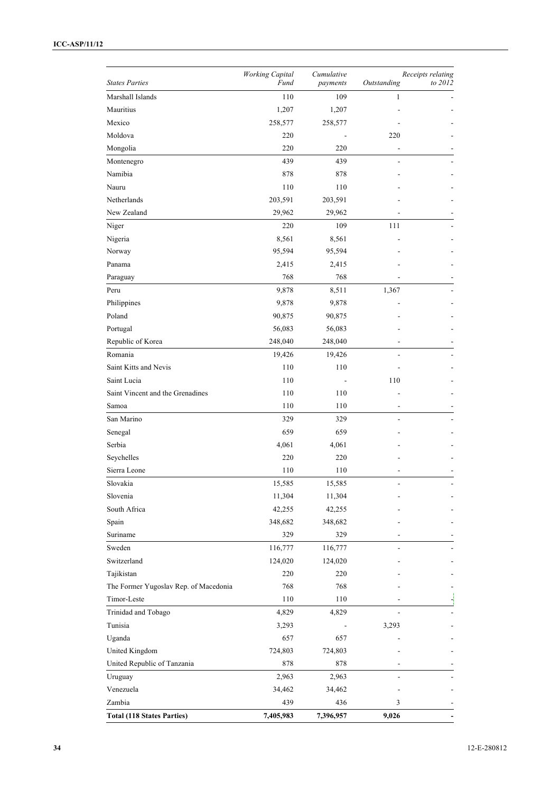### **ICC-ASP/11/12**

|                                       | <b>Working Capital</b> | Cumulative |             | Receipts relating |
|---------------------------------------|------------------------|------------|-------------|-------------------|
| <b>States Parties</b>                 | Fund                   | payments   | Outstanding | to 2012           |
| Marshall Islands                      | 110                    | 109        | 1           |                   |
| Mauritius                             | 1,207                  | 1,207      |             |                   |
| Mexico                                | 258,577                | 258,577    |             |                   |
| Moldova                               | 220                    |            | 220         |                   |
| Mongolia                              | 220                    | 220        |             |                   |
| Montenegro                            | 439                    | 439        |             |                   |
| Namibia                               | 878                    | 878        |             |                   |
| Nauru                                 | 110                    | 110        |             |                   |
| Netherlands                           | 203,591                | 203,591    |             |                   |
| New Zealand                           | 29,962                 | 29,962     |             |                   |
| Niger                                 | 220                    | 109        | 111         |                   |
| Nigeria                               | 8,561                  | 8,561      |             |                   |
| Norway                                | 95,594                 | 95,594     |             |                   |
| Panama                                | 2,415                  | 2,415      |             |                   |
| Paraguay                              | 768                    | 768        |             |                   |
| Peru                                  | 9,878                  | 8,511      | 1,367       |                   |
| Philippines                           | 9,878                  | 9,878      |             |                   |
| Poland                                | 90,875                 | 90,875     |             |                   |
| Portugal                              | 56,083                 | 56,083     |             |                   |
| Republic of Korea                     | 248,040                | 248,040    |             |                   |
| Romania                               | 19,426                 | 19,426     |             |                   |
| Saint Kitts and Nevis                 | 110                    | 110        |             |                   |
| Saint Lucia                           | 110                    |            | 110         |                   |
| Saint Vincent and the Grenadines      | 110                    | 110        |             |                   |
| Samoa                                 | 110                    | 110        |             |                   |
| San Marino                            | 329                    | 329        |             |                   |
| Senegal                               | 659                    | 659        |             |                   |
| Serbia                                | 4,061                  | 4,061      |             |                   |
| Seychelles                            | 220                    | 220        |             |                   |
| Sierra Leone                          | 110                    | 110        |             |                   |
| Slovakia                              | 15,585                 | 15,585     |             |                   |
| Slovenia                              | 11,304                 | 11,304     |             |                   |
| South Africa                          | 42,255                 | 42,255     |             |                   |
| Spain                                 | 348,682                | 348,682    |             |                   |
| Suriname                              | 329                    | 329        |             |                   |
| Sweden                                | 116,777                | 116,777    |             |                   |
| Switzerland                           | 124,020                | 124,020    |             |                   |
| Tajikistan                            | 220                    | 220        |             |                   |
| The Former Yugoslav Rep. of Macedonia | 768                    | 768        |             |                   |
| Timor-Leste                           | 110                    | 110        |             | $\frac{1}{2}$     |
| Trinidad and Tobago                   | 4,829                  | 4,829      |             |                   |
| Tunisia                               | 3,293                  |            | 3,293       |                   |
| Uganda                                | 657                    | 657        |             |                   |
| United Kingdom                        | 724,803                | 724,803    |             |                   |
| United Republic of Tanzania           | 878                    | 878        |             |                   |
| Uruguay                               | 2,963                  | 2,963      |             |                   |
| Venezuela                             | 34,462                 | 34,462     |             |                   |
| Zambia                                | 439                    | 436        | 3           |                   |
| <b>Total (118 States Parties)</b>     | 7,405,983              | 7,396,957  | 9,026       |                   |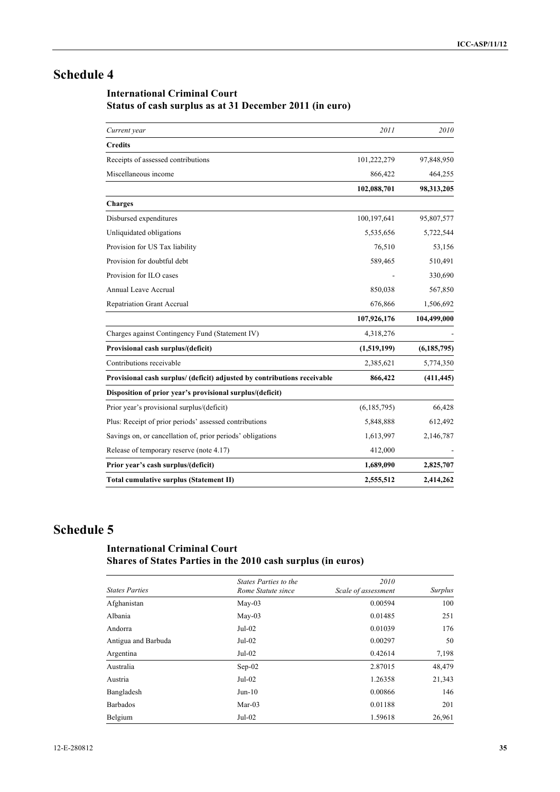## **International Criminal Court Status of cash surplus as at 31 December 2011 (in euro)**

| Current year                                                             | 2011        | 2010          |
|--------------------------------------------------------------------------|-------------|---------------|
| <b>Credits</b>                                                           |             |               |
| Receipts of assessed contributions                                       | 101,222,279 | 97,848,950    |
| Miscellaneous income                                                     | 866,422     | 464,255       |
|                                                                          | 102,088,701 | 98,313,205    |
| <b>Charges</b>                                                           |             |               |
| Disbursed expenditures                                                   | 100,197,641 | 95,807,577    |
| Unliquidated obligations                                                 | 5,535,656   | 5,722,544     |
| Provision for US Tax liability                                           | 76,510      | 53,156        |
| Provision for doubtful debt                                              | 589,465     | 510,491       |
| Provision for ILO cases                                                  |             | 330,690       |
| Annual Leave Accrual                                                     | 850,038     | 567,850       |
| Repatriation Grant Accrual                                               | 676,866     | 1,506,692     |
|                                                                          | 107,926,176 | 104,499,000   |
| Charges against Contingency Fund (Statement IV)                          | 4,318,276   |               |
| Provisional cash surplus/(deficit)                                       | (1,519,199) | (6, 185, 795) |
| Contributions receivable                                                 | 2,385,621   | 5,774,350     |
| Provisional cash surplus/ (deficit) adjusted by contributions receivable | 866,422     | (411, 445)    |
| Disposition of prior year's provisional surplus/(deficit)                |             |               |
| Prior year's provisional surplus/(deficit)                               | (6,185,795) | 66,428        |
| Plus: Receipt of prior periods' assessed contributions                   | 5,848,888   | 612,492       |
| Savings on, or cancellation of, prior periods' obligations               | 1,613,997   | 2,146,787     |
| Release of temporary reserve (note 4.17)                                 | 412,000     |               |
| Prior year's cash surplus/(deficit)                                      | 1,689,090   | 2,825,707     |
| Total cumulative surplus (Statement II)                                  | 2,555,512   | 2,414,262     |

## **Schedule 5**

## **International Criminal Court Shares of States Parties in the 2010 cash surplus (in euros)**

| <b>States Parties</b> | States Parties to the<br>Rome Statute since | 2010<br>Scale of assessment | <b>Surplus</b> |
|-----------------------|---------------------------------------------|-----------------------------|----------------|
| Afghanistan           | $Mav-03$                                    | 0.00594                     | 100            |
| Albania               | $Mav-03$                                    | 0.01485                     | 251            |
| Andorra               | $Jul-02$                                    | 0.01039                     | 176            |
| Antigua and Barbuda   | $Jul-02$                                    | 0.00297                     | 50             |
| Argentina             | $Jul-02$                                    | 0.42614                     | 7,198          |
| Australia             | $Sep-02$                                    | 2.87015                     | 48,479         |
| Austria               | $Jul-02$                                    | 1.26358                     | 21,343         |
| Bangladesh            | $Jun-10$                                    | 0.00866                     | 146            |
| <b>Barbados</b>       | $Mar-03$                                    | 0.01188                     | 201            |
| Belgium               | $Jul-02$                                    | 1.59618                     | 26,961         |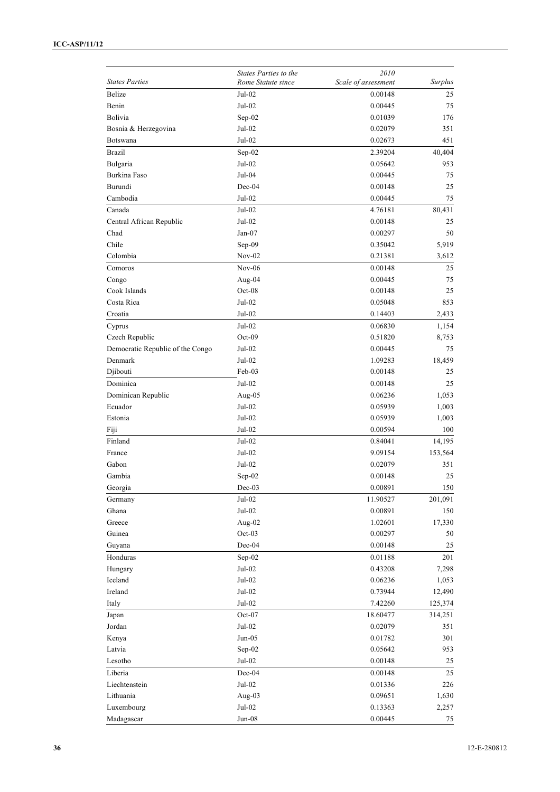| <b>States Parties</b>            | States Parties to the<br>Rome Statute since | 2010<br>Scale of assessment | <b>Surplus</b> |
|----------------------------------|---------------------------------------------|-----------------------------|----------------|
| Belize                           | Jul-02                                      | 0.00148                     | 25             |
| Benin                            | Jul-02                                      | 0.00445                     | 75             |
| Bolivia                          | Sep-02                                      | 0.01039                     | 176            |
| Bosnia & Herzegovina             | Jul-02                                      | 0.02079                     | 351            |
| <b>Botswana</b>                  | Jul-02                                      | 0.02673                     | 451            |
|                                  |                                             |                             |                |
| <b>Brazil</b>                    | Sep-02                                      | 2.39204                     | 40,404         |
| Bulgaria                         | Jul-02                                      | 0.05642                     | 953            |
| Burkina Faso                     | Jul-04                                      | 0.00445                     | 75             |
| Burundi                          | $Dec-04$                                    | 0.00148                     | 25             |
| Cambodia                         | $Jul-02$                                    | 0.00445                     | 75             |
| Canada                           | Jul-02                                      | 4.76181                     | 80,431         |
| Central African Republic         | Jul-02                                      | 0.00148                     | 25             |
| Chad                             | Jan-07                                      | 0.00297                     | 50             |
| Chile                            | Sep-09                                      | 0.35042                     | 5,919          |
| Colombia                         | $Nov-02$                                    | 0.21381                     | 3,612          |
| Comoros                          | $Nov-06$                                    | 0.00148                     | 25             |
| Congo                            | Aug-04                                      | 0.00445                     | 75             |
| Cook Islands                     | $Oct-08$                                    | 0.00148                     | 25             |
| Costa Rica                       | $Jul-02$                                    | 0.05048                     | 853            |
| Croatia                          | Jul-02                                      | 0.14403                     | 2,433          |
| Cyprus                           | Jul-02                                      | 0.06830                     | 1,154          |
| Czech Republic                   | $Oct-09$                                    | 0.51820                     | 8,753          |
| Democratic Republic of the Congo | Jul-02                                      | 0.00445                     | 75             |
| Denmark                          | Jul-02                                      | 1.09283                     | 18,459         |
| Djibouti                         | Feb-03                                      | 0.00148                     | 25             |
| Dominica                         | $Jul-02$                                    | 0.00148                     | 25             |
| Dominican Republic               | Aug- $05$                                   | 0.06236                     | 1,053          |
| Ecuador                          | Jul-02                                      | 0.05939                     | 1,003          |
| Estonia                          | Jul-02                                      | 0.05939                     | 1,003          |
| Fiji                             | Jul-02                                      | 0.00594                     | 100            |
| Finland                          | Jul-02                                      | 0.84041                     | 14,195         |
| France                           | Jul-02                                      | 9.09154                     | 153,564        |
| Gabon                            | Jul-02                                      | 0.02079                     | 351            |
| Gambia                           | Sep-02                                      | 0.00148                     | 25             |
| Georgia                          | $Dec-03$                                    | 0.00891                     | 150            |
| Germany                          | $Jul-02$                                    | 11.90527                    | 201,091        |
| Ghana                            | $Jul-02$                                    | 0.00891                     | 150            |
| Greece                           | Aug-02                                      | 1.02601                     | 17,330         |
| Guinea                           | Oct-03                                      | 0.00297                     | 50             |
| Guyana                           | Dec-04                                      | 0.00148                     | 25             |
| Honduras                         | $Sep-02$                                    | 0.01188                     | 201            |
| Hungary                          | $Jul-02$                                    | 0.43208                     | 7,298          |
| Iceland                          | $Jul-02$                                    | 0.06236                     | 1,053          |
| Ireland                          | $Jul-02$                                    | 0.73944                     | 12,490         |
| Italy                            | $Jul-02$                                    | 7.42260                     | 125,374        |
| Japan                            | Oct-07                                      | 18.60477                    | 314,251        |
| Jordan                           | $Jul-02$                                    | 0.02079                     | 351            |
| Kenya                            | $Jun-05$                                    | 0.01782                     | 301            |
| Latvia                           | Sep-02                                      | 0.05642                     | 953            |
| Lesotho                          | $Jul-02$                                    | 0.00148                     | 25             |
| Liberia                          | Dec-04                                      | 0.00148                     | 25             |
| Liechtenstein                    | $Jul-02$                                    | 0.01336                     | 226            |
| Lithuania                        | Aug-03                                      | 0.09651                     | 1,630          |
| Luxembourg                       | $Jul-02$                                    | 0.13363                     | 2,257          |
| Madagascar                       | $Jun-08$                                    | 0.00445                     | 75             |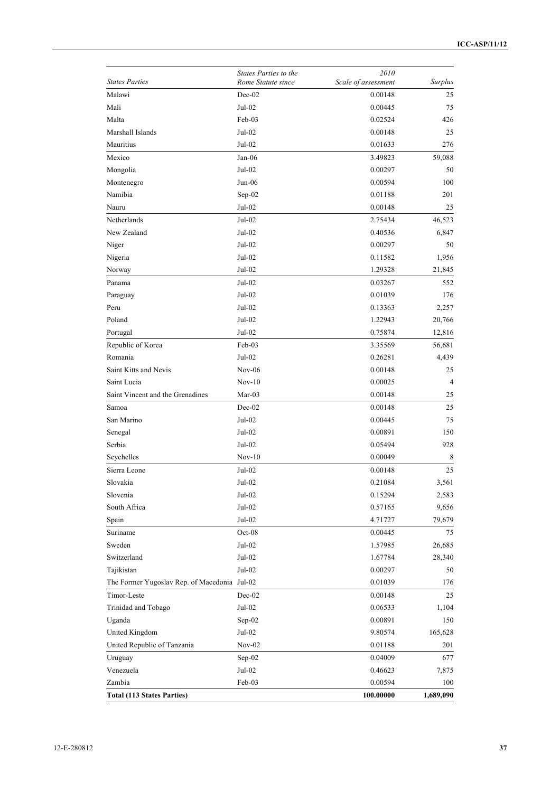| <b>States Parties</b>                        | <b>States Parties to the</b><br>Rome Statute since | 2010<br>Scale of assessment | <b>Surplus</b> |
|----------------------------------------------|----------------------------------------------------|-----------------------------|----------------|
| Malawi                                       | Dec-02                                             | 0.00148                     | 25             |
| Mali                                         | Jul-02                                             | 0.00445                     | 75             |
| Malta                                        | Feb-03                                             | 0.02524                     | 426            |
| Marshall Islands                             | Jul-02                                             | 0.00148                     | 25             |
| Mauritius                                    | Jul-02                                             | 0.01633                     | 276            |
| Mexico                                       | $Jan-06$                                           | 3.49823                     | 59,088         |
| Mongolia                                     | $Jul-02$                                           | 0.00297                     | 50             |
| Montenegro                                   | Jun-06                                             | 0.00594                     | 100            |
| Namibia                                      | $Sep-02$                                           | 0.01188                     | 201            |
| Nauru                                        | Jul-02                                             | 0.00148                     | 25             |
| Netherlands                                  | Jul-02                                             | 2.75434                     | 46,523         |
| New Zealand                                  | $Jul-02$                                           | 0.40536                     | 6,847          |
| Niger                                        | Jul-02                                             | 0.00297                     | 50             |
| Nigeria                                      | Jul-02                                             | 0.11582                     | 1,956          |
| Norway                                       | Jul-02                                             | 1.29328                     | 21,845         |
| Panama                                       | $Jul-02$                                           | 0.03267                     | 552            |
| Paraguay                                     | Jul-02                                             | 0.01039                     | 176            |
| Peru                                         | Jul-02                                             | 0.13363                     | 2,257          |
| Poland                                       | Jul-02                                             | 1.22943                     | 20,766         |
| Portugal                                     | Jul-02                                             | 0.75874                     | 12,816         |
| Republic of Korea                            | $Feb-03$                                           | 3.35569                     | 56,681         |
| Romania                                      | Jul-02                                             | 0.26281                     | 4,439          |
| Saint Kitts and Nevis                        | $Nov-06$                                           | 0.00148                     | 25             |
| Saint Lucia                                  | $Nov-10$                                           | 0.00025                     | 4              |
| Saint Vincent and the Grenadines             | Mar-03                                             | 0.00148                     | 25             |
| Samoa                                        | Dec-02                                             | 0.00148                     | 25             |
| San Marino                                   | Jul-02                                             | 0.00445                     | 75             |
| Senegal                                      | Jul-02                                             | 0.00891                     | 150            |
| Serbia                                       | Jul-02                                             | 0.05494                     | 928            |
| Seychelles                                   | $Nov-10$                                           | 0.00049                     | 8              |
| Sierra Leone                                 | Jul-02                                             | 0.00148                     | 25             |
| Slovakia                                     | Jul-02                                             | 0.21084                     | 3,561          |
| Slovenia                                     | Jul-02                                             | 0.15294                     | 2,583          |
| South Africa                                 | $Jul-02$                                           | 0.57165                     | 9,656          |
| Spain                                        | $Jul-02$                                           | 4.71727                     | 79,679         |
| Suriname                                     | Oct-08                                             | 0.00445                     | 75             |
| Sweden                                       | $Jul-02$                                           | 1.57985                     | 26,685         |
| Switzerland                                  | $Jul-02$                                           | 1.67784                     | 28,340         |
| Tajikistan                                   | Jul-02                                             | 0.00297                     | 50             |
| The Former Yugoslav Rep. of Macedonia Jul-02 |                                                    | 0.01039                     | 176            |
| Timor-Leste                                  | Dec-02                                             | 0.00148                     | 25             |
| Trinidad and Tobago                          | $Jul-02$                                           | 0.06533                     | 1,104          |
| Uganda                                       | Sep-02                                             | 0.00891                     | 150            |
| United Kingdom                               | $Jul-02$                                           | 9.80574                     | 165,628        |
| United Republic of Tanzania                  | $Nov-02$                                           | 0.01188                     | 201            |
| Uruguay                                      | Sep-02                                             | 0.04009                     | 677            |
| Venezuela                                    | $Jul-02$                                           | 0.46623                     | 7,875          |
| Zambia                                       | Feb-03                                             | 0.00594                     | 100            |
| <b>Total (113 States Parties)</b>            |                                                    |                             |                |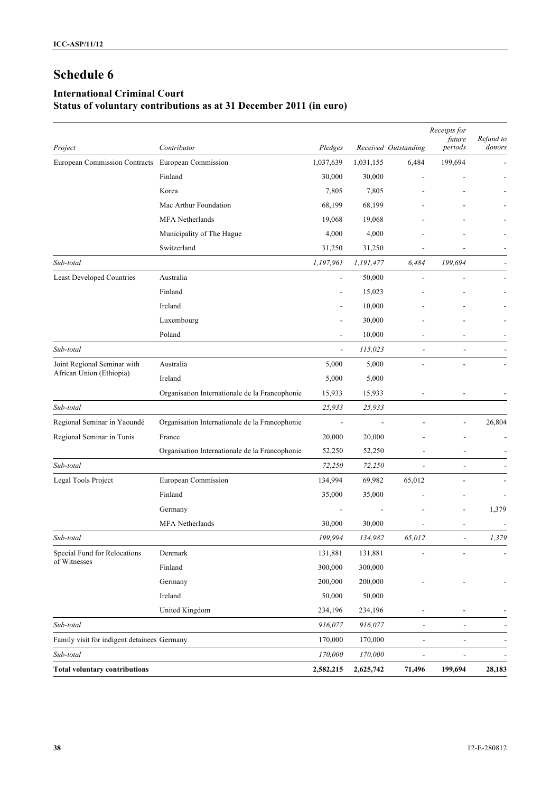## **International Criminal Court Status of voluntary contributions as at 31 December 2011 (in euro)**

| Project                                                 | Contributor                                    | Pledges                  |           | Received Outstanding     | Receipts for<br>future<br>periods | Refund to<br>donors      |
|---------------------------------------------------------|------------------------------------------------|--------------------------|-----------|--------------------------|-----------------------------------|--------------------------|
| European Commission Contracts European Commission       |                                                | 1,037,639                | 1,031,155 | 6,484                    | 199,694                           |                          |
|                                                         | Finland                                        | 30,000                   | 30,000    |                          |                                   |                          |
|                                                         | Korea                                          | 7,805                    | 7,805     |                          |                                   |                          |
|                                                         | Mac Arthur Foundation                          | 68,199                   | 68,199    |                          |                                   |                          |
|                                                         | <b>MFA</b> Netherlands                         | 19,068                   | 19,068    |                          |                                   |                          |
|                                                         | Municipality of The Hague                      | 4,000                    | 4,000     |                          |                                   |                          |
|                                                         | Switzerland                                    | 31,250                   | 31,250    |                          |                                   |                          |
| Sub-total                                               |                                                | 1,197,961                | 1,191,477 | 6,484                    | 199,694                           |                          |
| <b>Least Developed Countries</b>                        | Australia                                      | $\overline{\phantom{a}}$ | 50,000    |                          |                                   |                          |
|                                                         | Finland                                        |                          | 15,023    |                          |                                   |                          |
|                                                         | Ireland                                        |                          | 10,000    |                          |                                   |                          |
|                                                         | Luxembourg                                     |                          | 30,000    |                          |                                   |                          |
|                                                         | Poland                                         |                          | 10,000    |                          |                                   |                          |
| Sub-total                                               |                                                | $\overline{\phantom{a}}$ | 115,023   | $\overline{\phantom{a}}$ | $\overline{a}$                    |                          |
| Joint Regional Seminar with<br>African Union (Ethiopia) | Australia                                      | 5,000                    | 5,000     |                          | L,                                |                          |
|                                                         | Ireland                                        | 5,000                    | 5,000     |                          |                                   |                          |
|                                                         | Organisation Internationale de la Francophonie | 15,933                   | 15,933    |                          |                                   |                          |
| Sub-total                                               |                                                | 25,933                   | 25,933    |                          |                                   |                          |
| Regional Seminar in Yaoundé                             | Organisation Internationale de la Francophonie | $\overline{\phantom{a}}$ |           |                          |                                   | 26,804                   |
| Regional Seminar in Tunis                               | France                                         | 20,000                   | 20,000    |                          |                                   |                          |
|                                                         | Organisation Internationale de la Francophonie | 52,250                   | 52,250    |                          |                                   |                          |
| Sub-total                                               |                                                | 72,250                   | 72,250    | $\overline{\phantom{a}}$ | $\overline{a}$                    |                          |
| Legal Tools Project                                     | European Commission                            | 134,994                  | 69,982    | 65,012                   |                                   |                          |
|                                                         | Finland                                        | 35,000                   | 35,000    |                          |                                   |                          |
|                                                         | Germany                                        |                          |           |                          |                                   | 1,379                    |
|                                                         | <b>MFA</b> Netherlands                         | 30,000                   | 30,000    |                          | L,                                |                          |
| Sub-total                                               |                                                | 199,994                  | 134,982   | 65,012                   | $\overline{a}$                    | 1,379                    |
| Special Fund for Relocations                            | Denmark                                        | 131,881                  | 131,881   |                          |                                   | $\overline{\phantom{a}}$ |
| of Witnesses                                            | Finland                                        | 300,000                  | 300,000   |                          |                                   |                          |
|                                                         | Germany                                        | 200,000                  | 200,000   |                          |                                   |                          |
|                                                         | Ireland                                        | 50,000                   | 50,000    |                          |                                   |                          |
|                                                         | United Kingdom                                 | 234,196                  | 234,196   | $\overline{a}$           |                                   |                          |
| Sub-total                                               |                                                | 916,077                  | 916,077   | $\blacksquare$           | $\overline{a}$                    |                          |
| Family visit for indigent detainees Germany             |                                                | 170,000                  | 170,000   | $\blacksquare$           | $\overline{\phantom{0}}$          |                          |
| Sub-total                                               |                                                | 170,000                  | 170,000   | $\overline{a}$           | $\overline{\phantom{0}}$          |                          |
| <b>Total voluntary contributions</b>                    |                                                | 2,582,215                | 2,625,742 | 71,496                   | 199,694                           | 28,183                   |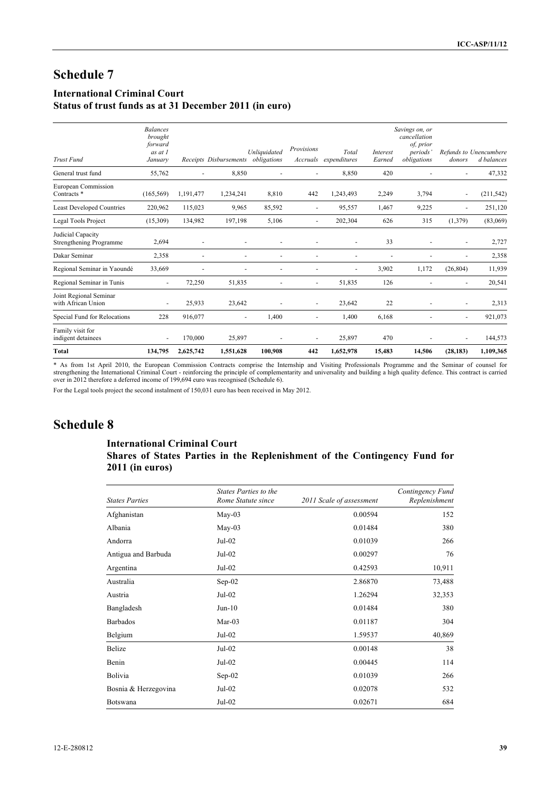## **International Criminal Court**

## **Status of trust funds as at 31 December 2011 (in euro)**

| <b>Trust Fund</b>                             | <b>Balances</b><br>brought<br>forward<br>as at 1<br>January |           | Receipts Disbursements | Unliquidated<br>obligations | Provisions<br>Accruals   | Total<br>expenditures | Interest<br>Earned       | Savings on, or<br>cancellation<br>of, prior<br>periods'<br>obligations | donors                   | Refunds to Unencumbere<br>d balances |
|-----------------------------------------------|-------------------------------------------------------------|-----------|------------------------|-----------------------------|--------------------------|-----------------------|--------------------------|------------------------------------------------------------------------|--------------------------|--------------------------------------|
| General trust fund                            | 55,762                                                      |           | 8,850                  | ÷,                          |                          | 8,850                 | 420                      |                                                                        |                          | 47,332                               |
| European Commission<br>Contracts <sup>*</sup> | (165, 569)                                                  | 1,191,477 | 1,234,241              | 8,810                       | 442                      | 1,243,493             | 2,249                    | 3,794                                                                  | $\overline{\phantom{a}}$ | (211, 542)                           |
| <b>Least Developed Countries</b>              | 220,962                                                     | 115,023   | 9,965                  | 85,592                      | $\blacksquare$           | 95,557                | 1,467                    | 9,225                                                                  | ٠                        | 251,120                              |
| Legal Tools Project                           | (15,309)                                                    | 134,982   | 197,198                | 5,106                       |                          | 202,304               | 626                      | 315                                                                    | (1,379)                  | (83,069)                             |
| Judicial Capacity<br>Strengthening Programme  | 2,694                                                       | ٠         |                        |                             |                          |                       | 33                       |                                                                        |                          | 2,727                                |
| Dakar Seminar                                 | 2,358                                                       | ٠         |                        |                             |                          |                       | $\overline{\phantom{a}}$ |                                                                        |                          | 2,358                                |
| Regional Seminar in Yaoundé                   | 33,669                                                      |           |                        | ٠                           |                          | ٠                     | 3,902                    | 1,172                                                                  | (26, 804)                | 11,939                               |
| Regional Seminar in Tunis                     | $\overline{\phantom{a}}$                                    | 72,250    | 51,835                 | ä,                          | $\overline{\phantom{a}}$ | 51,835                | 126                      |                                                                        | ٠                        | 20,541                               |
| Joint Regional Seminar<br>with African Union  | ٠                                                           | 25,933    | 23,642                 |                             | $\overline{\phantom{a}}$ | 23,642                | 22                       |                                                                        | ٠                        | 2,313                                |
| Special Fund for Relocations                  | 228                                                         | 916,077   | $\sim$                 | 1,400                       | $\blacksquare$           | 1,400                 | 6,168                    |                                                                        | $\overline{\phantom{0}}$ | 921,073                              |
| Family visit for<br>indigent detainees        | $\overline{\phantom{a}}$                                    | 170,000   | 25,897                 | Ē,                          |                          | 25,897                | 470                      |                                                                        |                          | 144,573                              |
| <b>Total</b>                                  | 134,795                                                     | 2,625,742 | 1,551,628              | 100,908                     | 442                      | 1,652,978             | 15,483                   | 14,506                                                                 | (28, 183)                | 1,109,365                            |

\* As from 1st April 2010, the European Commission Contracts comprise the Internship and Visiting Professionals Programme and the Seminar of counsel for strengthening the International Criminal Court - reinforcing the princ over in 2012 therefore a deferred income of 199,694 euro was recognised (Schedule 6).

For the Legal tools project the second instalment of 150,031 euro has been received in May 2012.

## **Schedule 8**

### **International Criminal Court Shares of States Parties in the Replenishment of the Contingency Fund for 2011 (in euros)**

| <b>States Parties</b> | States Parties to the<br>Rome Statute since | 2011 Scale of assessment | Contingency Fund<br>Replenishment |
|-----------------------|---------------------------------------------|--------------------------|-----------------------------------|
| Afghanistan           | $May-03$                                    | 0.00594                  | 152                               |
| Albania               | May-03                                      | 0.01484                  | 380                               |
| Andorra               | $Jul-02$                                    | 0.01039                  | 266                               |
| Antigua and Barbuda   | Jul-02                                      | 0.00297                  | 76                                |
| Argentina             | Jul-02                                      | 0.42593                  | 10,911                            |
| Australia             | $Sep-02$                                    | 2.86870                  | 73,488                            |
| Austria               | Jul-02                                      | 1.26294                  | 32,353                            |
| Bangladesh            | $Jun-10$                                    | 0.01484                  | 380                               |
| <b>Barbados</b>       | Mar-03                                      | 0.01187                  | 304                               |
| Belgium               | Jul-02                                      | 1.59537                  | 40,869                            |
| Belize                | Jul-02                                      | 0.00148                  | 38                                |
| Benin                 | Jul-02                                      | 0.00445                  | 114                               |
| Bolivia               | $Sep-02$                                    | 0.01039                  | 266                               |
| Bosnia & Herzegovina  | Jul-02                                      | 0.02078                  | 532                               |
| Botswana              | Jul-02                                      | 0.02671                  | 684                               |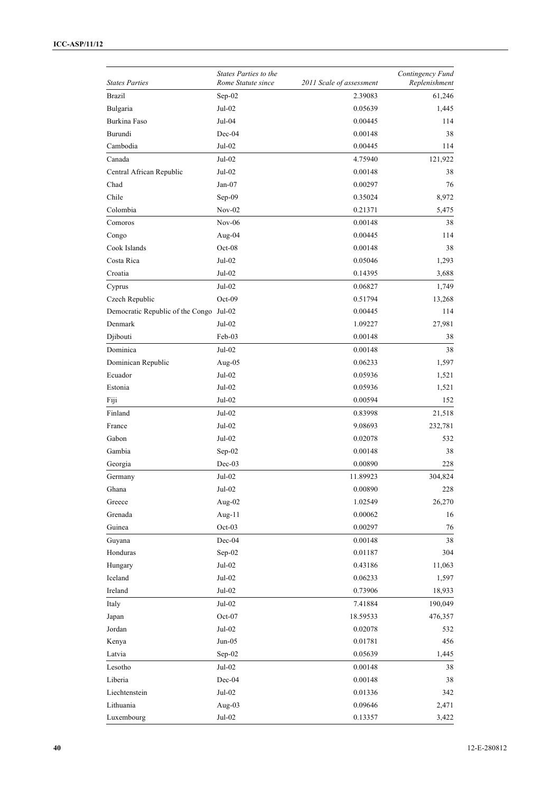|                                         | <b>States Parties to the</b> |                          | Contingency Fund |
|-----------------------------------------|------------------------------|--------------------------|------------------|
| <b>States Parties</b>                   | Rome Statute since           | 2011 Scale of assessment | Replenishment    |
| <b>Brazil</b>                           | Sep-02                       | 2.39083                  | 61,246           |
| Bulgaria                                | $Jul-02$                     | 0.05639                  | 1,445            |
| Burkina Faso                            | Jul-04                       | 0.00445                  | 114              |
| Burundi                                 | $Dec-04$                     | 0.00148                  | 38               |
| Cambodia                                | $\rm{Jul}\textrm{-}02$       | 0.00445                  | 114              |
| Canada                                  | Jul-02                       | 4.75940                  | 121,922          |
| Central African Republic                | $Jul-02$                     | 0.00148                  | 38               |
| Chad                                    | $Jan-07$                     | 0.00297                  | 76               |
| Chile                                   | Sep-09                       | 0.35024                  | 8,972            |
| Colombia                                | $Nov-02$                     | 0.21371                  | 5,475            |
| Comoros                                 | $Nov-06$                     | 0.00148                  | 38               |
| Congo                                   | Aug-04                       | 0.00445                  | 114              |
| Cook Islands                            | $Oct-08$                     | 0.00148                  | 38               |
| Costa Rica                              | Jul-02                       | 0.05046                  | 1,293            |
| Croatia                                 | Jul-02                       | 0.14395                  | 3,688            |
| Cyprus                                  | $Jul-02$                     | 0.06827                  | 1,749            |
| Czech Republic                          | Oct-09                       | 0.51794                  | 13,268           |
| Democratic Republic of the Congo Jul-02 |                              | 0.00445                  | 114              |
| Denmark                                 | Jul-02                       | 1.09227                  | 27,981           |
| Djibouti                                | Feb-03                       | 0.00148                  | 38               |
| Dominica                                | $Jul-02$                     | 0.00148                  | 38               |
| Dominican Republic                      | Aug-05                       | 0.06233                  | 1,597            |
| Ecuador                                 | $Jul-02$                     | 0.05936                  | 1,521            |
| Estonia                                 | $Jul-02$                     | 0.05936                  | 1,521            |
|                                         |                              |                          |                  |
| Fiji                                    | $Jul-02$                     | 0.00594                  | 152              |
| Finland                                 | $Jul-02$                     | 0.83998                  | 21,518           |
| France                                  | $Jul-02$                     | 9.08693                  | 232,781          |
| Gabon                                   | Jul-02                       | 0.02078                  | 532              |
| Gambia                                  | Sep-02                       | 0.00148                  | 38               |
| Georgia                                 | $Dec-03$                     | 0.00890                  | 228              |
| Germany                                 | Jul-02                       | 11.89923                 | 304,824          |
| Ghana                                   | $\rm{Jul}\textrm{-}02$       | 0.00890                  | 228              |
| Greece                                  | Aug-02                       | 1.02549                  | 26,270           |
| Grenada                                 | Aug-11                       | 0.00062                  | 16               |
| Guinea                                  | Oct-03                       | 0.00297                  | 76               |
| Guyana                                  | Dec-04                       | 0.00148                  | 38               |
| Honduras                                | Sep-02                       | $0.01187\,$              | 304              |
| Hungary                                 | $Jul-02$                     | 0.43186                  | 11,063           |
| Iceland                                 | $Jul-02$                     | 0.06233                  | 1,597            |
| Ireland                                 | $Jul-02$                     | 0.73906                  | 18,933           |
| Italy                                   | Jul-02                       | 7.41884                  | 190,049          |
| Japan                                   | Oct-07                       | 18.59533                 | 476,357          |
| Jordan                                  | Jul-02                       | 0.02078                  | 532              |
| Kenya                                   | $Jun-05$                     | 0.01781                  | 456              |
| Latvia                                  | Sep-02                       | 0.05639                  | 1,445            |
| Lesotho                                 | Jul-02                       | 0.00148                  | 38               |
| Liberia                                 | Dec-04                       | 0.00148                  | 38               |
| Liechtenstein                           | $Jul-02$                     | 0.01336                  | 342              |
| Lithuania                               | Aug-03                       | 0.09646                  | 2,471            |
| Luxembourg                              | $\rm{Jul}\textrm{-}02$       | 0.13357                  | 3,422            |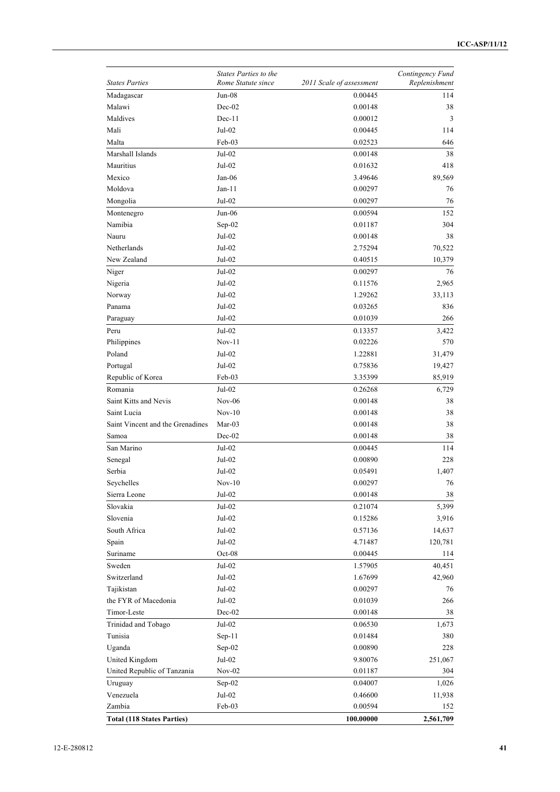|                                   | States Parties to the  |                          | Contingency Fund |
|-----------------------------------|------------------------|--------------------------|------------------|
| <b>States Parties</b>             | Rome Statute since     | 2011 Scale of assessment | Replenishment    |
| Madagascar                        | $Jun-08$               | 0.00445                  | 114              |
| Malawi                            | $Dec-02$               | 0.00148                  | 38               |
| Maldives                          | $Dec-11$               | 0.00012                  | 3                |
| Mali                              | Jul-02                 | 0.00445                  | 114              |
| Malta                             | Feb-03                 | 0.02523                  | 646              |
| Marshall Islands                  | $Jul-02$               | 0.00148                  | 38               |
| Mauritius                         | $Jul-02$               | 0.01632                  | 418              |
| Mexico                            | Jan-06                 | 3.49646                  | 89,569           |
| Moldova                           | $Jan-11$               | 0.00297                  | 76               |
| Mongolia                          | Jul-02                 | 0.00297                  | 76               |
| Montenegro                        | $Jun-06$               | 0.00594                  | 152              |
| Namibia                           | Sep-02                 | 0.01187                  | 304              |
| Nauru                             | Jul-02                 | 0.00148                  | 38               |
| Netherlands                       | $Jul-02$               | 2.75294                  | 70,522           |
| New Zealand                       | $\rm{Jul}\textrm{-}02$ | 0.40515                  | 10,379           |
| Niger                             | Jul-02                 | 0.00297                  | 76               |
| Nigeria                           | Jul-02                 | 0.11576                  | 2,965            |
| Norway                            | $Jul-02$               | 1.29262                  | 33,113           |
| Panama                            | Jul-02                 | 0.03265                  | 836              |
| Paraguay                          | $Jul-02$               | 0.01039                  | 266              |
| Peru                              | Jul-02                 | 0.13357                  | 3,422            |
| Philippines                       | $Nov-11$               | 0.02226                  | 570              |
| Poland                            | $Jul-02$               | 1.22881                  | 31,479           |
| Portugal                          | $Jul-02$               | 0.75836                  | 19,427           |
| Republic of Korea                 | Feb-03                 | 3.35399                  | 85,919           |
| Romania                           | Jul-02                 | 0.26268                  | 6,729            |
| Saint Kitts and Nevis             | $Nov-06$               | 0.00148                  | 38               |
| Saint Lucia                       | $Nov-10$               | 0.00148                  | 38               |
| Saint Vincent and the Grenadines  | $Mar-03$               | 0.00148                  | 38               |
| Samoa                             | Dec-02                 | 0.00148                  | 38               |
| San Marino                        | Jul-02                 | 0.00445                  | 114              |
| Senegal                           | Jul-02                 | 0.00890                  | 228              |
| Serbia                            | Jul-02                 |                          | 1,407            |
|                                   |                        | 0.05491                  |                  |
| Seychelles                        | $Nov-10$               | 0.00297                  | 76               |
| Sierra Leone                      | Jul-02                 | 0.00148                  | 38               |
| Slovakia                          | $Jul-02$               | 0.21074                  | 5,399            |
| Slovenia                          | Jul-02                 | 0.15286                  | 3,916            |
| South Africa                      | Jul-02                 | 0.57136                  | 14,637           |
| Spain                             | Jul-02                 | 4.71487                  | 120,781          |
| Suriname                          | $Oct-08$               | 0.00445                  | 114              |
| Sweden                            | $Jul-02$               | 1.57905                  | 40,451           |
| Switzerland                       | $Jul-02$               | 1.67699                  | 42,960           |
| Tajikistan                        | Jul-02                 | 0.00297                  | 76               |
| the FYR of Macedonia              | Jul-02                 | 0.01039                  | 266              |
| Timor-Leste                       | $Dec-02$               | 0.00148                  | 38               |
| Trinidad and Tobago               | Jul-02                 | 0.06530                  | 1,673            |
| Tunisia                           | $Sep-11$               | 0.01484                  | 380              |
| Uganda                            | $Sep-02$               | 0.00890                  | 228              |
| United Kingdom                    | Jul-02                 | 9.80076                  | 251,067          |
| United Republic of Tanzania       | $Nov-02$               | 0.01187                  | 304              |
| Uruguay                           | $Sep-02$               | 0.04007                  | 1,026            |
| Venezuela                         | $Jul-02$               | 0.46600                  | 11,938           |
| Zambia                            | Feb-03                 | 0.00594                  | 152              |
| <b>Total (118 States Parties)</b> |                        | 100.00000                | 2,561,709        |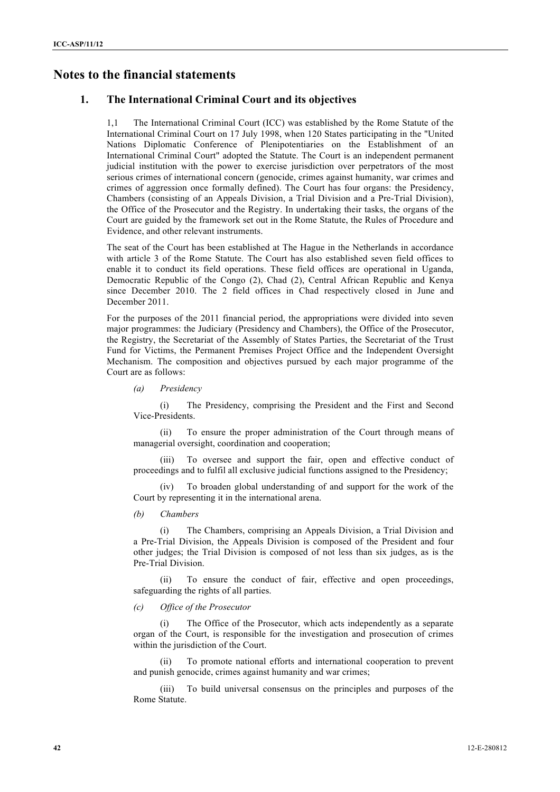## **Notes to the financial statements**

## **1. The International Criminal Court and its objectives**

1,1 The International Criminal Court (ICC) was established by the Rome Statute of the International Criminal Court on 17 July 1998, when 120 States participating in the "United Nations Diplomatic Conference of Plenipotentiaries on the Establishment of an International Criminal Court" adopted the Statute. The Court is an independent permanent judicial institution with the power to exercise jurisdiction over perpetrators of the most serious crimes of international concern (genocide, crimes against humanity, war crimes and crimes of aggression once formally defined). The Court has four organs: the Presidency, Chambers (consisting of an Appeals Division, a Trial Division and a Pre-Trial Division), the Office of the Prosecutor and the Registry. In undertaking their tasks, the organs of the Court are guided by the framework set out in the Rome Statute, the Rules of Procedure and Evidence, and other relevant instruments.

The seat of the Court has been established at The Hague in the Netherlands in accordance with article 3 of the Rome Statute. The Court has also established seven field offices to enable it to conduct its field operations. These field offices are operational in Uganda, Democratic Republic of the Congo (2), Chad (2), Central African Republic and Kenya since December 2010. The 2 field offices in Chad respectively closed in June and December 2011.

For the purposes of the 2011 financial period, the appropriations were divided into seven major programmes: the Judiciary (Presidency and Chambers), the Office of the Prosecutor, the Registry, the Secretariat of the Assembly of States Parties, the Secretariat of the Trust Fund for Victims, the Permanent Premises Project Office and the Independent Oversight Mechanism. The composition and objectives pursued by each major programme of the Court are as follows:

*(a) Presidency*

(i) The Presidency, comprising the President and the First and Second Vice-Presidents.

(ii) To ensure the proper administration of the Court through means of managerial oversight, coordination and cooperation;

(iii) To oversee and support the fair, open and effective conduct of proceedings and to fulfil all exclusive judicial functions assigned to the Presidency;

(iv) To broaden global understanding of and support for the work of the Court by representing it in the international arena.

*(b) Chambers*

(i) The Chambers, comprising an Appeals Division, a Trial Division and a Pre-Trial Division, the Appeals Division is composed of the President and four other judges; the Trial Division is composed of not less than six judges, as is the Pre-Trial Division.

(ii) To ensure the conduct of fair, effective and open proceedings, safeguarding the rights of all parties.

#### *(c) Office of the Prosecutor*

The Office of the Prosecutor, which acts independently as a separate organ of the Court, is responsible for the investigation and prosecution of crimes within the jurisdiction of the Court.

(ii) To promote national efforts and international cooperation to prevent and punish genocide, crimes against humanity and war crimes;

(iii) To build universal consensus on the principles and purposes of the Rome Statute.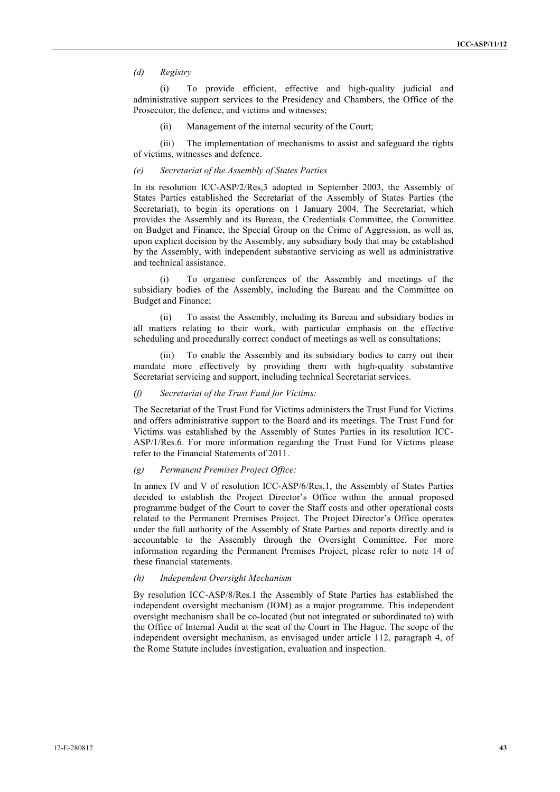#### *(d) Registry*

(i) To provide efficient, effective and high-quality judicial and administrative support services to the Presidency and Chambers, the Office of the Prosecutor, the defence, and victims and witnesses;

(ii) Management of the internal security of the Court;

(iii) The implementation of mechanisms to assist and safeguard the rights of victims, witnesses and defence.

#### *(e) Secretariat of the Assembly of States Parties*

In its resolution ICC-ASP/2/Res,3 adopted in September 2003, the Assembly of States Parties established the Secretariat of the Assembly of States Parties (the Secretariat), to begin its operations on 1 January 2004. The Secretariat, which provides the Assembly and its Bureau, the Credentials Committee, the Committee on Budget and Finance, the Special Group on the Crime of Aggression, as well as, upon explicit decision by the Assembly, any subsidiary body that may be established by the Assembly, with independent substantive servicing as well as administrative and technical assistance.

To organise conferences of the Assembly and meetings of the subsidiary bodies of the Assembly, including the Bureau and the Committee on Budget and Finance;

(ii) To assist the Assembly, including its Bureau and subsidiary bodies in all matters relating to their work, with particular emphasis on the effective scheduling and procedurally correct conduct of meetings as well as consultations;

(iii) To enable the Assembly and its subsidiary bodies to carry out their mandate more effectively by providing them with high-quality substantive Secretariat servicing and support, including technical Secretariat services.

#### *(f) Secretariat of the Trust Fund for Victims:*

The Secretariat of the Trust Fund for Victims administers the Trust Fund for Victims and offers administrative support to the Board and its meetings. The Trust Fund for Victims was established by the Assembly of States Parties in its resolution ICC-ASP/1/Res.6. For more information regarding the Trust Fund for Victims please refer to the Financial Statements of 2011.

#### *(g) Permanent Premises Project Office:*

In annex IV and V of resolution ICC-ASP/6/Res,1, the Assembly of States Parties decided to establish the Project Director's Office within the annual proposed programme budget of the Court to cover the Staff costs and other operational costs related to the Permanent Premises Project. The Project Director's Office operates under the full authority of the Assembly of State Parties and reports directly and is accountable to the Assembly through the Oversight Committee. For more information regarding the Permanent Premises Project, please refer to note 14 of these financial statements.

#### *(h) Independent Oversight Mechanism*

By resolution ICC-ASP/8/Res.1 the Assembly of State Parties has established the independent oversight mechanism (IOM) as a major programme. This independent oversight mechanism shall be co-located (but not integrated or subordinated to) with the Office of Internal Audit at the seat of the Court in The Hague. The scope of the independent oversight mechanism, as envisaged under article 112, paragraph 4, of the Rome Statute includes investigation, evaluation and inspection.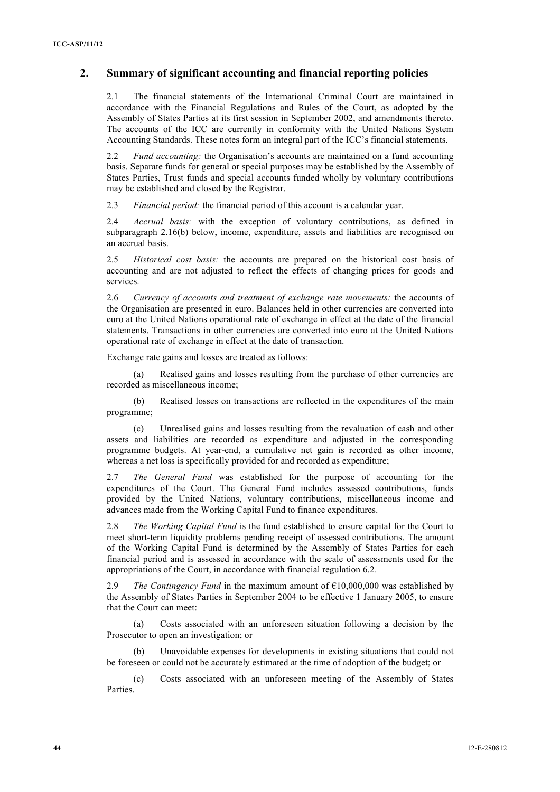## **2. Summary of significant accounting and financial reporting policies**

2.1 The financial statements of the International Criminal Court are maintained in accordance with the Financial Regulations and Rules of the Court, as adopted by the Assembly of States Parties at its first session in September 2002, and amendments thereto. The accounts of the ICC are currently in conformity with the United Nations System Accounting Standards. These notes form an integral part of the ICC's financial statements.

2.2 *Fund accounting:* the Organisation's accounts are maintained on a fund accounting basis. Separate funds for general or special purposes may be established by the Assembly of States Parties, Trust funds and special accounts funded wholly by voluntary contributions may be established and closed by the Registrar.

2.3 *Financial period:* the financial period of this account is a calendar year.

2.4 *Accrual basis:* with the exception of voluntary contributions, as defined in subparagraph 2.16(b) below, income, expenditure, assets and liabilities are recognised on an accrual basis.

2.5 *Historical cost basis:* the accounts are prepared on the historical cost basis of accounting and are not adjusted to reflect the effects of changing prices for goods and services.

2.6 *Currency of accounts and treatment of exchange rate movements:* the accounts of the Organisation are presented in euro. Balances held in other currencies are converted into euro at the United Nations operational rate of exchange in effect at the date of the financial statements. Transactions in other currencies are converted into euro at the United Nations operational rate of exchange in effect at the date of transaction.

Exchange rate gains and losses are treated as follows:

(a) Realised gains and losses resulting from the purchase of other currencies are recorded as miscellaneous income;

(b) Realised losses on transactions are reflected in the expenditures of the main programme;

(c) Unrealised gains and losses resulting from the revaluation of cash and other assets and liabilities are recorded as expenditure and adjusted in the corresponding programme budgets. At year-end, a cumulative net gain is recorded as other income, whereas a net loss is specifically provided for and recorded as expenditure;

2.7 *The General Fund* was established for the purpose of accounting for the expenditures of the Court. The General Fund includes assessed contributions, funds provided by the United Nations, voluntary contributions, miscellaneous income and advances made from the Working Capital Fund to finance expenditures.

2.8 *The Working Capital Fund* is the fund established to ensure capital for the Court to meet short-term liquidity problems pending receipt of assessed contributions. The amount of the Working Capital Fund is determined by the Assembly of States Parties for each financial period and is assessed in accordance with the scale of assessments used for the appropriations of the Court, in accordance with financial regulation 6.2.

2.9 *The Contingency Fund* in the maximum amount of  $\epsilon$ 10,000,000 was established by the Assembly of States Parties in September 2004 to be effective 1 January 2005, to ensure that the Court can meet:

(a) Costs associated with an unforeseen situation following a decision by the Prosecutor to open an investigation; or

Unavoidable expenses for developments in existing situations that could not be foreseen or could not be accurately estimated at the time of adoption of the budget; or

(c) Costs associated with an unforeseen meeting of the Assembly of States Parties.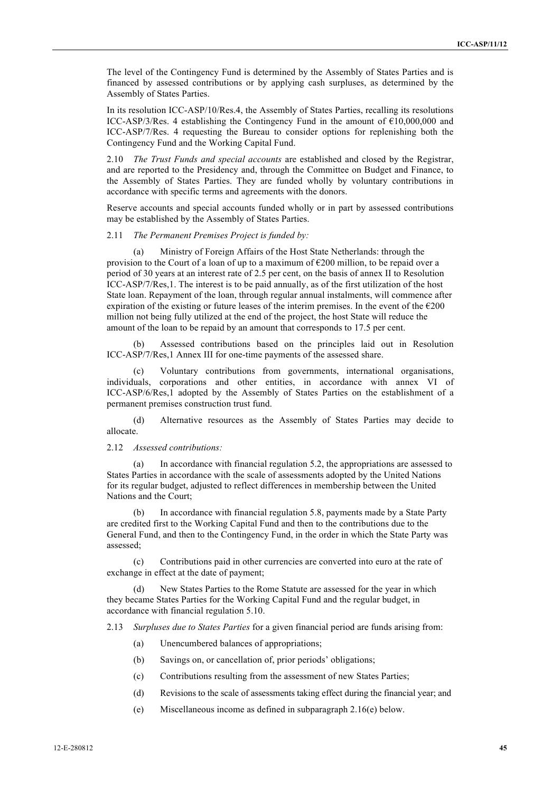The level of the Contingency Fund is determined by the Assembly of States Parties and is financed by assessed contributions or by applying cash surpluses, as determined by the Assembly of States Parties.

In its resolution ICC-ASP/10/Res.4, the Assembly of States Parties, recalling its resolutions ICC-ASP/3/Res. 4 establishing the Contingency Fund in the amount of €10,000,000 and ICC-ASP/7/Res. 4 requesting the Bureau to consider options for replenishing both the Contingency Fund and the Working Capital Fund.

2.10 *The Trust Funds and special accounts* are established and closed by the Registrar, and are reported to the Presidency and, through the Committee on Budget and Finance, to the Assembly of States Parties. They are funded wholly by voluntary contributions in accordance with specific terms and agreements with the donors.

Reserve accounts and special accounts funded wholly or in part by assessed contributions may be established by the Assembly of States Parties.

#### 2.11 *The Permanent Premises Project is funded by:*

(a) Ministry of Foreign Affairs of the Host State Netherlands: through the provision to the Court of a loan of up to a maximum of  $\epsilon$ 200 million, to be repaid over a period of 30 years at an interest rate of 2.5 per cent, on the basis of annex II to Resolution ICC-ASP/7/Res,1. The interest is to be paid annually, as of the first utilization of the host State loan. Repayment of the loan, through regular annual instalments, will commence after expiration of the existing or future leases of the interim premises. In the event of the  $\epsilon$ 200 million not being fully utilized at the end of the project, the host State will reduce the amount of the loan to be repaid by an amount that corresponds to 17.5 per cent.

(b) Assessed contributions based on the principles laid out in Resolution ICC-ASP/7/Res,1 Annex III for one-time payments of the assessed share.

(c) Voluntary contributions from governments, international organisations, individuals, corporations and other entities, in accordance with annex VI of ICC-ASP/6/Res,1 adopted by the Assembly of States Parties on the establishment of a permanent premises construction trust fund.

(d) Alternative resources as the Assembly of States Parties may decide to allocate.

#### 2.12 *Assessed contributions:*

(a) In accordance with financial regulation 5.2, the appropriations are assessed to States Parties in accordance with the scale of assessments adopted by the United Nations for its regular budget, adjusted to reflect differences in membership between the United Nations and the Court;

(b) In accordance with financial regulation 5.8, payments made by a State Party are credited first to the Working Capital Fund and then to the contributions due to the General Fund, and then to the Contingency Fund, in the order in which the State Party was assessed;

(c) Contributions paid in other currencies are converted into euro at the rate of exchange in effect at the date of payment;

New States Parties to the Rome Statute are assessed for the year in which they became States Parties for the Working Capital Fund and the regular budget, in accordance with financial regulation 5.10.

2.13 *Surpluses due to States Parties* for a given financial period are funds arising from:

- (a) Unencumbered balances of appropriations;
- (b) Savings on, or cancellation of, prior periods' obligations;
- (c) Contributions resulting from the assessment of new States Parties;
- (d) Revisions to the scale of assessments taking effect during the financial year; and
- (e) Miscellaneous income as defined in subparagraph 2.16(e) below.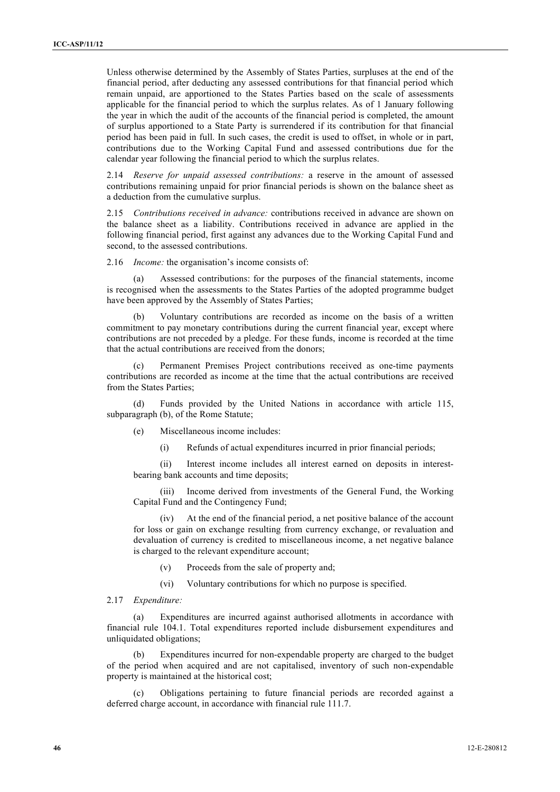Unless otherwise determined by the Assembly of States Parties, surpluses at the end of the financial period, after deducting any assessed contributions for that financial period which remain unpaid, are apportioned to the States Parties based on the scale of assessments applicable for the financial period to which the surplus relates. As of 1 January following the year in which the audit of the accounts of the financial period is completed, the amount of surplus apportioned to a State Party is surrendered if its contribution for that financial period has been paid in full. In such cases, the credit is used to offset, in whole or in part, contributions due to the Working Capital Fund and assessed contributions due for the calendar year following the financial period to which the surplus relates.

2.14 *Reserve for unpaid assessed contributions:* a reserve in the amount of assessed contributions remaining unpaid for prior financial periods is shown on the balance sheet as a deduction from the cumulative surplus.

2.15 *Contributions received in advance:* contributions received in advance are shown on the balance sheet as a liability. Contributions received in advance are applied in the following financial period, first against any advances due to the Working Capital Fund and second, to the assessed contributions.

2.16 *Income:* the organisation's income consists of:

(a) Assessed contributions: for the purposes of the financial statements, income is recognised when the assessments to the States Parties of the adopted programme budget have been approved by the Assembly of States Parties;

(b) Voluntary contributions are recorded as income on the basis of a written commitment to pay monetary contributions during the current financial year, except where contributions are not preceded by a pledge. For these funds, income is recorded at the time that the actual contributions are received from the donors;

Permanent Premises Project contributions received as one-time payments contributions are recorded as income at the time that the actual contributions are received from the States Parties;

(d) Funds provided by the United Nations in accordance with article 115, subparagraph (b), of the Rome Statute;

(e) Miscellaneous income includes:

(i) Refunds of actual expenditures incurred in prior financial periods;

(ii) Interest income includes all interest earned on deposits in interestbearing bank accounts and time deposits;

(iii) Income derived from investments of the General Fund, the Working Capital Fund and the Contingency Fund;

(iv) At the end of the financial period, a net positive balance of the account for loss or gain on exchange resulting from currency exchange, or revaluation and devaluation of currency is credited to miscellaneous income, a net negative balance is charged to the relevant expenditure account;

(v) Proceeds from the sale of property and;

(vi) Voluntary contributions for which no purpose is specified.

#### 2.17 *Expenditure:*

(a) Expenditures are incurred against authorised allotments in accordance with financial rule 104.1. Total expenditures reported include disbursement expenditures and unliquidated obligations;

(b) Expenditures incurred for non-expendable property are charged to the budget of the period when acquired and are not capitalised, inventory of such non-expendable property is maintained at the historical cost;

(c) Obligations pertaining to future financial periods are recorded against a deferred charge account, in accordance with financial rule 111.7.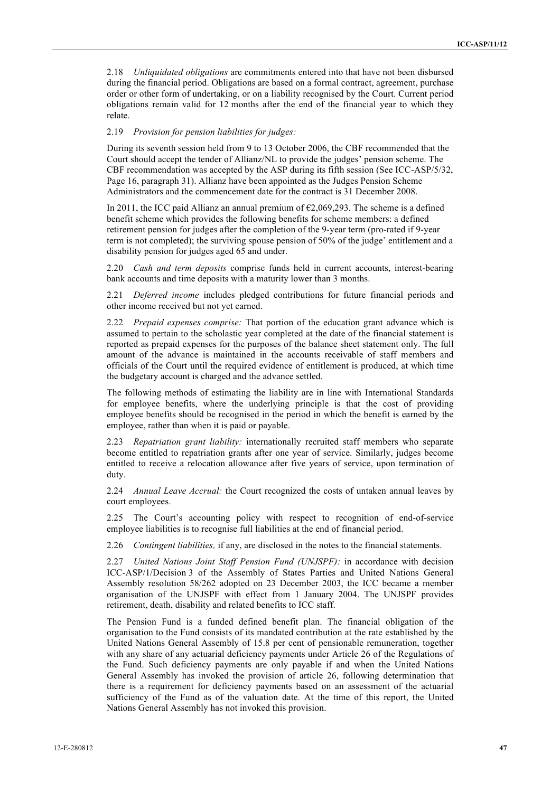2.18 *Unliquidated obligations* are commitments entered into that have not been disbursed during the financial period. Obligations are based on a formal contract, agreement, purchase order or other form of undertaking, or on a liability recognised by the Court. Current period obligations remain valid for 12 months after the end of the financial year to which they relate.

#### 2.19 *Provision for pension liabilities for judges:*

During its seventh session held from 9 to 13 October 2006, the CBF recommended that the Court should accept the tender of Allianz/NL to provide the judges' pension scheme. The CBF recommendation was accepted by the ASP during its fifth session (See ICC-ASP/5/32, Page 16, paragraph 31). Allianz have been appointed as the Judges Pension Scheme Administrators and the commencement date for the contract is 31 December 2008.

In 2011, the ICC paid Allianz an annual premium of  $\epsilon$ 2,069,293. The scheme is a defined benefit scheme which provides the following benefits for scheme members: a defined retirement pension for judges after the completion of the 9-year term (pro-rated if 9-year term is not completed); the surviving spouse pension of 50% of the judge' entitlement and a disability pension for judges aged 65 and under.

2.20 *Cash and term deposits* comprise funds held in current accounts, interest-bearing bank accounts and time deposits with a maturity lower than 3 months.

2.21 *Deferred income* includes pledged contributions for future financial periods and other income received but not yet earned.

2.22 *Prepaid expenses comprise:* That portion of the education grant advance which is assumed to pertain to the scholastic year completed at the date of the financial statement is reported as prepaid expenses for the purposes of the balance sheet statement only. The full amount of the advance is maintained in the accounts receivable of staff members and officials of the Court until the required evidence of entitlement is produced, at which time the budgetary account is charged and the advance settled.

The following methods of estimating the liability are in line with International Standards for employee benefits, where the underlying principle is that the cost of providing employee benefits should be recognised in the period in which the benefit is earned by the employee, rather than when it is paid or payable.

2.23 *Repatriation grant liability:* internationally recruited staff members who separate become entitled to repatriation grants after one year of service. Similarly, judges become entitled to receive a relocation allowance after five years of service, upon termination of duty.

2.24 *Annual Leave Accrual:* the Court recognized the costs of untaken annual leaves by court employees.

2.25 The Court's accounting policy with respect to recognition of end-of-service employee liabilities is to recognise full liabilities at the end of financial period.

2.26 *Contingent liabilities,* if any, are disclosed in the notes to the financial statements.

2.27 *United Nations Joint Staff Pension Fund (UNJSPF):* in accordance with decision ICC-ASP/1/Decision 3 of the Assembly of States Parties and United Nations General Assembly resolution 58/262 adopted on 23 December 2003, the ICC became a member organisation of the UNJSPF with effect from 1 January 2004. The UNJSPF provides retirement, death, disability and related benefits to ICC staff.

The Pension Fund is a funded defined benefit plan. The financial obligation of the organisation to the Fund consists of its mandated contribution at the rate established by the United Nations General Assembly of 15.8 per cent of pensionable remuneration, together with any share of any actuarial deficiency payments under Article 26 of the Regulations of the Fund. Such deficiency payments are only payable if and when the United Nations General Assembly has invoked the provision of article 26, following determination that there is a requirement for deficiency payments based on an assessment of the actuarial sufficiency of the Fund as of the valuation date. At the time of this report, the United Nations General Assembly has not invoked this provision.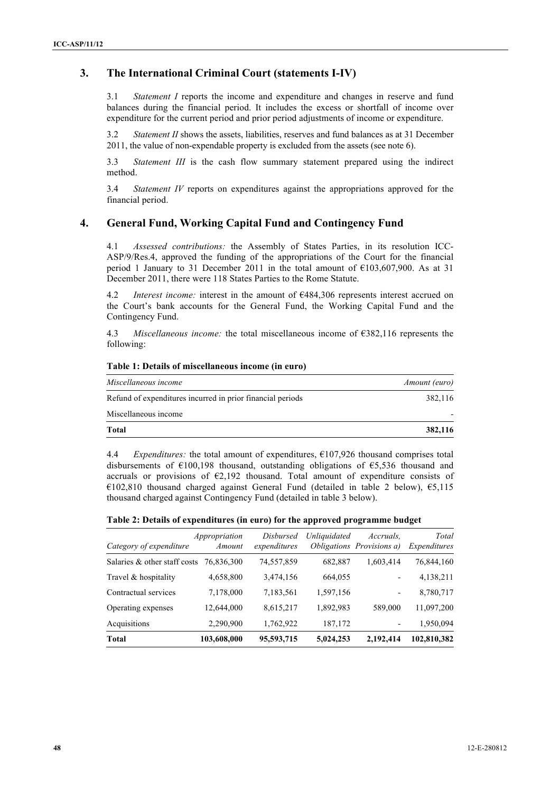## **3. The International Criminal Court (statements I-IV)**

3.1 *Statement I* reports the income and expenditure and changes in reserve and fund balances during the financial period. It includes the excess or shortfall of income over expenditure for the current period and prior period adjustments of income or expenditure.

3.2 *Statement II* shows the assets, liabilities, reserves and fund balances as at 31 December 2011, the value of non-expendable property is excluded from the assets (see note 6).

3.3 *Statement III* is the cash flow summary statement prepared using the indirect method.

3.4 *Statement IV* reports on expenditures against the appropriations approved for the financial period.

### **4. General Fund, Working Capital Fund and Contingency Fund**

4.1 *Assessed contributions:* the Assembly of States Parties, in its resolution ICC-ASP/9/Res.4, approved the funding of the appropriations of the Court for the financial period 1 January to 31 December 2011 in the total amount of €103,607,900. As at 31 December 2011, there were 118 States Parties to the Rome Statute.

4.2 *Interest income:* interest in the amount of €484,306 represents interest accrued on the Court's bank accounts for the General Fund, the Working Capital Fund and the Contingency Fund.

4.3 *Miscellaneous income:* the total miscellaneous income of €382,116 represents the following:

| Miscellaneous income                                       | Amount (euro) |
|------------------------------------------------------------|---------------|
| Refund of expenditures incurred in prior financial periods | 382.116       |
| Miscellaneous income                                       |               |
| Total                                                      | 382,116       |

#### **Table 1: Details of miscellaneous income (in euro)**

4.4 *Expenditures:* the total amount of expenditures, €107,926 thousand comprises total disbursements of €100,198 thousand, outstanding obligations of €5,536 thousand and accruals or provisions of  $E2,192$  thousand. Total amount of expenditure consists of €102,810 thousand charged against General Fund (detailed in table 2 below), €5,115 thousand charged against Contingency Fund (detailed in table 3 below).

| Table 2: Details of expenditures (in euro) for the approved programme budget |  |  |
|------------------------------------------------------------------------------|--|--|
|                                                                              |  |  |

| Category of expenditure      | Appropriation<br>Amount | <i>Disbursed</i><br>expenditures | Unliquidated | Accruals.<br><i>Obligations Provisions a)</i> | Total<br>Expenditures |
|------------------------------|-------------------------|----------------------------------|--------------|-----------------------------------------------|-----------------------|
| Salaries & other staff costs | 76.836.300              | 74,557,859                       | 682,887      | 1,603,414                                     | 76,844,160            |
| Travel & hospitality         | 4,658,800               | 3,474,156                        | 664,055      | -                                             | 4,138,211             |
| Contractual services         | 7,178,000               | 7,183,561                        | 1,597,156    |                                               | 8,780,717             |
| Operating expenses           | 12,644,000              | 8,615,217                        | 1,892,983    | 589,000                                       | 11,097,200            |
| Acquisitions                 | 2,290,900               | 1,762,922                        | 187,172      |                                               | 1,950,094             |
| <b>Total</b>                 | 103,608,000             | 95,593,715                       | 5,024,253    | 2,192,414                                     | 102,810,382           |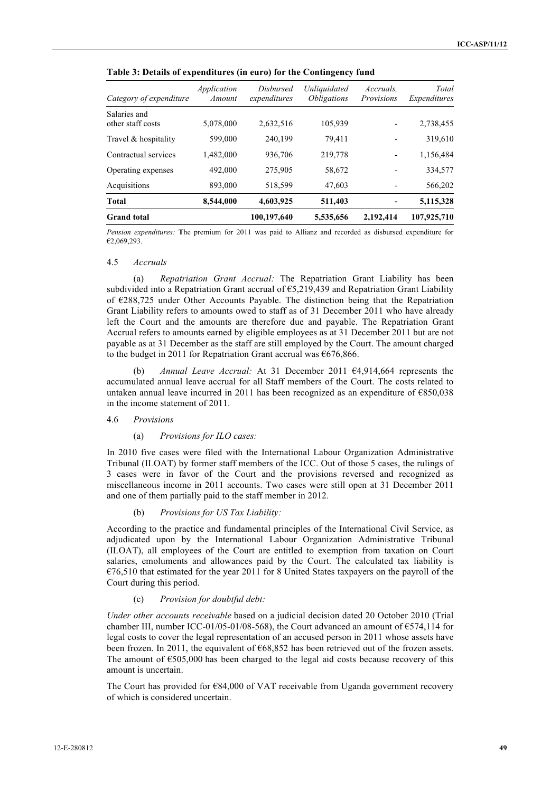| Category of expenditure           | Application<br>Amount | Disbursed<br>expenditures | Unliquidated<br><i><b>Obligations</b></i> | Accruals.<br>Provisions | Total<br>Expenditures |
|-----------------------------------|-----------------------|---------------------------|-------------------------------------------|-------------------------|-----------------------|
| Salaries and<br>other staff costs | 5,078,000             | 2,632,516                 | 105,939                                   |                         | 2,738,455             |
| Travel & hospitality              | 599,000               | 240,199                   | 79,411                                    |                         | 319,610               |
| Contractual services              | 1,482,000             | 936,706                   | 219,778                                   |                         | 1,156,484             |
| Operating expenses                | 492,000               | 275,905                   | 58,672                                    |                         | 334,577               |
| Acquisitions                      | 893,000               | 518,599                   | 47,603                                    |                         | 566,202               |
| Total                             | 8,544,000             | 4,603,925                 | 511,403                                   |                         | 5,115,328             |
| <b>Grand</b> total                |                       | 100,197,640               | 5,535,656                                 | 2,192,414               | 107,925,710           |

**Table 3: Details of expenditures (in euro) for the Contingency fund**

*Pension expenditures:* **T**he premium for 2011 was paid to Allianz and recorded as disbursed expenditure for  $€2,069,293.$ 

#### 4.5 *Accruals*

(a) *Repatriation Grant Accrual:* The Repatriation Grant Liability has been subdivided into a Repatriation Grant accrual of  $\epsilon$ 5,219,439 and Repatriation Grant Liability of €288,725 under Other Accounts Payable. The distinction being that the Repatriation Grant Liability refers to amounts owed to staff as of 31 December 2011 who have already left the Court and the amounts are therefore due and payable. The Repatriation Grant Accrual refers to amounts earned by eligible employees as at 31 December 2011 but are not payable as at 31 December as the staff are still employed by the Court. The amount charged to the budget in 2011 for Repatriation Grant accrual was €676,866.

(b) *Annual Leave Accrual:* At 31 December 2011 €4,914,664 represents the accumulated annual leave accrual for all Staff members of the Court. The costs related to untaken annual leave incurred in 2011 has been recognized as an expenditure of €850,038 in the income statement of 2011.

#### 4.6 *Provisions*

#### (a) *Provisions for ILO cases:*

In 2010 five cases were filed with the International Labour Organization Administrative Tribunal (ILOAT) by former staff members of the ICC. Out of those 5 cases, the rulings of 3 cases were in favor of the Court and the provisions reversed and recognized as miscellaneous income in 2011 accounts. Two cases were still open at 31 December 2011 and one of them partially paid to the staff member in 2012.

#### (b) *Provisions for US Tax Liability:*

According to the practice and fundamental principles of the International Civil Service, as adjudicated upon by the International Labour Organization Administrative Tribunal (ILOAT), all employees of the Court are entitled to exemption from taxation on Court salaries, emoluments and allowances paid by the Court. The calculated tax liability is  $\epsilon$ 76,510 that estimated for the year 2011 for 8 United States taxpayers on the payroll of the Court during this period.

#### (c) *Provision for doubtful debt:*

*Under other accounts receivable* based on a judicial decision dated 20 October 2010 (Trial chamber III, number ICC-01/05-01/08-568), the Court advanced an amount of  $\epsilon$ 574,114 for legal costs to cover the legal representation of an accused person in 2011 whose assets have been frozen. In 2011, the equivalent of  $668,852$  has been retrieved out of the frozen assets. The amount of  $\epsilon$ 505,000 has been charged to the legal aid costs because recovery of this amount is uncertain.

The Court has provided for €84,000 of VAT receivable from Uganda government recovery of which is considered uncertain.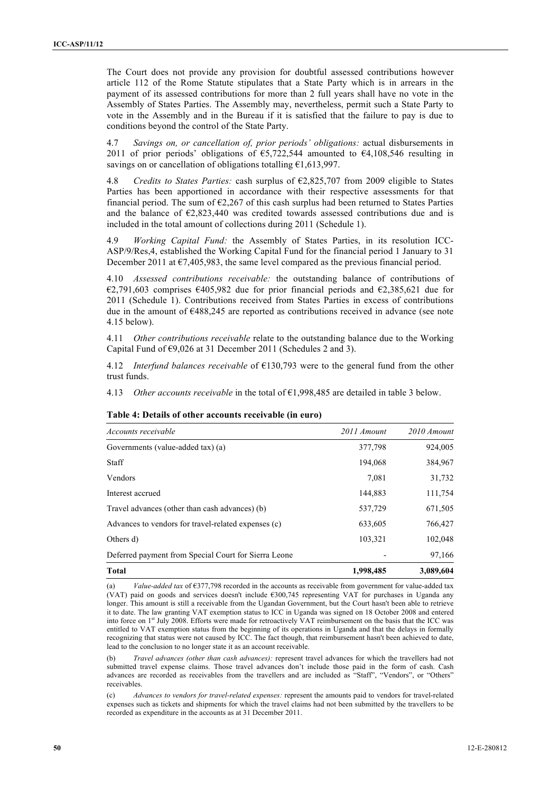The Court does not provide any provision for doubtful assessed contributions however article 112 of the Rome Statute stipulates that a State Party which is in arrears in the payment of its assessed contributions for more than 2 full years shall have no vote in the Assembly of States Parties. The Assembly may, nevertheless, permit such a State Party to vote in the Assembly and in the Bureau if it is satisfied that the failure to pay is due to conditions beyond the control of the State Party.

4.7 *Savings on, or cancellation of, prior periods' obligations:* actual disbursements in 2011 of prior periods' obligations of  $\epsilon$ 5,722,544 amounted to  $\epsilon$ 4,108,546 resulting in savings on or cancellation of obligations totalling €1,613,997.

4.8 *Credits to States Parties:* cash surplus of €2,825,707 from 2009 eligible to States Parties has been apportioned in accordance with their respective assessments for that financial period. The sum of  $\epsilon$ 2,267 of this cash surplus had been returned to States Parties and the balance of  $E2,823,440$  was credited towards assessed contributions due and is included in the total amount of collections during 2011 (Schedule 1).

4.9 *Working Capital Fund:* the Assembly of States Parties, in its resolution ICC-ASP/9/Res,4, established the Working Capital Fund for the financial period 1 January to 31 December 2011 at  $\epsilon$ 7,405,983, the same level compared as the previous financial period.

4.10 *Assessed contributions receivable:* the outstanding balance of contributions of €2,791,603 comprises €405,982 due for prior financial periods and €2,385,621 due for 2011 (Schedule 1). Contributions received from States Parties in excess of contributions due in the amount of  $\epsilon$ 488,245 are reported as contributions received in advance (see note 4.15 below).

4.11 *Other contributions receivable* relate to the outstanding balance due to the Working Capital Fund of  $\epsilon$ 9,026 at 31 December 2011 (Schedules 2 and 3).

4.12 *Interfund balances receivable* of €130,793 were to the general fund from the other trust funds.

4.13 *Other accounts receivable* in the total of €1,998,485 are detailed in table 3 below.

| Accounts receivable                                  | 2011 Amount | 2010 Amount |
|------------------------------------------------------|-------------|-------------|
| Governments (value-added tax) (a)                    | 377,798     | 924,005     |
| Staff                                                | 194,068     | 384,967     |
| Vendors                                              | 7,081       | 31,732      |
| Interest accrued                                     | 144,883     | 111,754     |
| Travel advances (other than cash advances) (b)       | 537,729     | 671,505     |
| Advances to vendors for travel-related expenses (c)  | 633,605     | 766,427     |
| Others d)                                            | 103,321     | 102,048     |
| Deferred payment from Special Court for Sierra Leone |             | 97,166      |
| <b>Total</b>                                         | 1,998,485   | 3,089,604   |

#### **Table 4: Details of other accounts receivable (in euro)**

(a) *Value-added tax* of  $\epsilon$ 377,798 recorded in the accounts as receivable from government for value-added tax (VAT) paid on goods and services doesn't include  $\epsilon$ 300,745 representing VAT for purchases in Uganda any longer. This amount is still a receivable from the Ugandan Government, but the Court hasn't been able to retrieve it to date. The law granting VAT exemption status to ICC in Uganda was signed on 18 October 2008 and entered into force on 1<sup>st</sup> July 2008. Efforts were made for retroactively VAT reimbursement on the basis that the ICC was entitled to VAT exemption status from the beginning of its operations in Uganda and that the delays in formally recognizing that status were not caused by ICC. The fact though, that reimbursement hasn't been achieved to date, lead to the conclusion to no longer state it as an account receivable.

(b) *Travel advances (other than cash advances):* represent travel advances for which the travellers had not submitted travel expense claims. Those travel advances don't include those paid in the form of cash. Cash advances are recorded as receivables from the travellers and are included as "Staff", "Vendors", or "Others" receivables.

(c) *Advances to vendors for travel-related expenses:* represent the amounts paid to vendors for travel-related expenses such as tickets and shipments for which the travel claims had not been submitted by the travellers to be recorded as expenditure in the accounts as at 31 December 2011.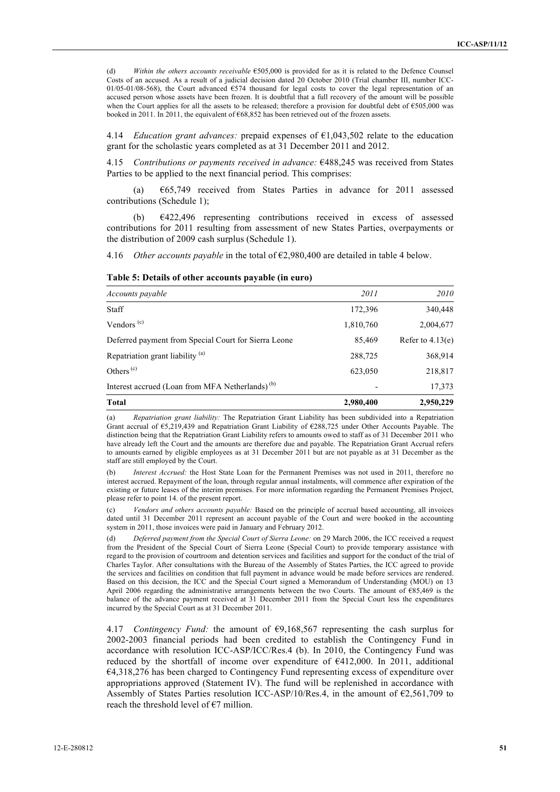(d) *Within the others accounts receivable* €505,000 is provided for as it is related to the Defence Counsel Costs of an accused. As a result of a judicial decision dated 20 October 2010 (Trial chamber III, number ICC-01/05-01/08-568), the Court advanced  $\epsilon$ 574 thousand for legal costs to cover the legal representation of an accused person whose assets have been frozen. It is doubtful that a full recovery of the amount will be possible when the Court applies for all the assets to be released; therefore a provision for doubtful debt of  $\epsilon$ 505,000 was booked in 2011. In 2011, the equivalent of €68,852 has been retrieved out of the frozen assets.

4.14 *Education grant advances:* prepaid expenses of €1,043,502 relate to the education grant for the scholastic years completed as at 31 December 2011 and 2012.

4.15 *Contributions or payments received in advance:* €488,245 was received from States Parties to be applied to the next financial period. This comprises:

(a) €65,749 received from States Parties in advance for 2011 assessed contributions (Schedule 1);

(b) €422,496 representing contributions received in excess of assessed contributions for 2011 resulting from assessment of new States Parties, overpayments or the distribution of 2009 cash surplus (Schedule 1).

4.16 *Other accounts payable* in the total of €2,980,400 are detailed in table 4 below.

| Accounts payable                                            | 2011      | 2010               |
|-------------------------------------------------------------|-----------|--------------------|
| Staff                                                       | 172,396   | 340,448            |
| Vendors <sup>(c)</sup>                                      | 1,810,760 | 2,004,677          |
| Deferred payment from Special Court for Sierra Leone        | 85,469    | Refer to $4.13(e)$ |
| Repatriation grant liability <sup>(a)</sup>                 | 288,725   | 368,914            |
| Others $(c)$                                                | 623,050   | 218,817            |
| Interest accrued (Loan from MFA Netherlands) <sup>(b)</sup> |           | 17,373             |
| <b>Total</b>                                                | 2,980,400 | 2,950,229          |

**Table 5: Details of other accounts payable (in euro)**

(a) *Repatriation grant liability:* The Repatriation Grant Liability has been subdivided into a Repatriation Grant accrual of €5,219,439 and Repatriation Grant Liability of €288,725 under Other Accounts Payable. The distinction being that the Repatriation Grant Liability refers to amounts owed to staff as of 31 December 2011 who have already left the Court and the amounts are therefore due and payable. The Repatriation Grant Accrual refers to amounts earned by eligible employees as at 31 December 2011 but are not payable as at 31 December as the staff are still employed by the Court.

(b) *Interest Accrued:* the Host State Loan for the Permanent Premises was not used in 2011, therefore no interest accrued. Repayment of the loan, through regular annual instalments, will commence after expiration of the existing or future leases of the interim premises. For more information regarding the Permanent Premises Project, please refer to point 14. of the present report.

(c) *Vendors and others accounts payable:* Based on the principle of accrual based accounting, all invoices dated until 31 December 2011 represent an account payable of the Court and were booked in the accounting system in 2011, those invoices were paid in January and February 2012.

(d) *Deferred payment from the Special Court of Sierra Leone:* on 29 March 2006, the ICC received a request from the President of the Special Court of Sierra Leone (Special Court) to provide temporary assistance with regard to the provision of courtroom and detention services and facilities and support for the conduct of the trial of Charles Taylor. After consultations with the Bureau of the Assembly of States Parties, the ICC agreed to provide the services and facilities on condition that full payment in advance would be made before services are rendered. Based on this decision, the ICC and the Special Court signed a Memorandum of Understanding (MOU) on 13 April 2006 regarding the administrative arrangements between the two Courts. The amount of €85,469 is the balance of the advance payment received at 31 December 2011 from the Special Court less the expenditures incurred by the Special Court as at 31 December 2011.

4.17 *Contingency Fund:* the amount of  $\epsilon$ 9,168,567 representing the cash surplus for 2002-2003 financial periods had been credited to establish the Contingency Fund in accordance with resolution ICC-ASP/ICC/Res.4 (b). In 2010, the Contingency Fund was reduced by the shortfall of income over expenditure of €412,000. In 2011, additional €4,318,276 has been charged to Contingency Fund representing excess of expenditure over appropriations approved (Statement IV). The fund will be replenished in accordance with Assembly of States Parties resolution ICC-ASP/10/Res.4, in the amount of  $\epsilon$ 2,561,709 to reach the threshold level of  $\epsilon$ 7 million.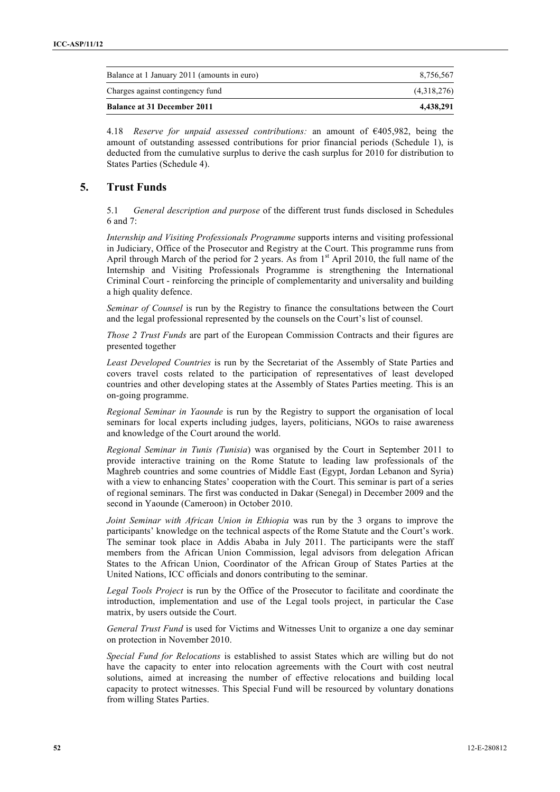| <b>Balance at 31 December 2011</b>          | 4.438.291   |
|---------------------------------------------|-------------|
| Charges against contingency fund            | (4,318,276) |
| Balance at 1 January 2011 (amounts in euro) | 8.756.567   |

4.18 *Reserve for unpaid assessed contributions:* an amount of €405,982, being the amount of outstanding assessed contributions for prior financial periods (Schedule 1), is deducted from the cumulative surplus to derive the cash surplus for 2010 for distribution to States Parties (Schedule 4).

## **5. Trust Funds**

5.1 *General description and purpose* of the different trust funds disclosed in Schedules 6 and 7:

*Internship and Visiting Professionals Programme* supports interns and visiting professional in Judiciary, Office of the Prosecutor and Registry at the Court. This programme runs from April through March of the period for 2 years. As from  $1<sup>st</sup>$  April 2010, the full name of the Internship and Visiting Professionals Programme is strengthening the International Criminal Court - reinforcing the principle of complementarity and universality and building a high quality defence.

*Seminar of Counsel* is run by the Registry to finance the consultations between the Court and the legal professional represented by the counsels on the Court's list of counsel.

*Those 2 Trust Funds* are part of the European Commission Contracts and their figures are presented together

*Least Developed Countries* is run by the Secretariat of the Assembly of State Parties and covers travel costs related to the participation of representatives of least developed countries and other developing states at the Assembly of States Parties meeting. This is an on-going programme.

*Regional Seminar in Yaounde* is run by the Registry to support the organisation of local seminars for local experts including judges, layers, politicians, NGOs to raise awareness and knowledge of the Court around the world.

*Regional Seminar in Tunis (Tunisia*) was organised by the Court in September 2011 to provide interactive training on the Rome Statute to leading law professionals of the Maghreb countries and some countries of Middle East (Egypt, Jordan Lebanon and Syria) with a view to enhancing States' cooperation with the Court. This seminar is part of a series of regional seminars. The first was conducted in Dakar (Senegal) in December 2009 and the second in Yaounde (Cameroon) in October 2010.

*Joint Seminar with African Union in Ethiopia* was run by the 3 organs to improve the participants' knowledge on the technical aspects of the Rome Statute and the Court's work. The seminar took place in Addis Ababa in July 2011. The participants were the staff members from the African Union Commission, legal advisors from delegation African States to the African Union, Coordinator of the African Group of States Parties at the United Nations, ICC officials and donors contributing to the seminar.

*Legal Tools Project* is run by the Office of the Prosecutor to facilitate and coordinate the introduction, implementation and use of the Legal tools project, in particular the Case matrix, by users outside the Court.

*General Trust Fund* is used for Victims and Witnesses Unit to organize a one day seminar on protection in November 2010.

*Special Fund for Relocations* is established to assist States which are willing but do not have the capacity to enter into relocation agreements with the Court with cost neutral solutions, aimed at increasing the number of effective relocations and building local capacity to protect witnesses. This Special Fund will be resourced by voluntary donations from willing States Parties.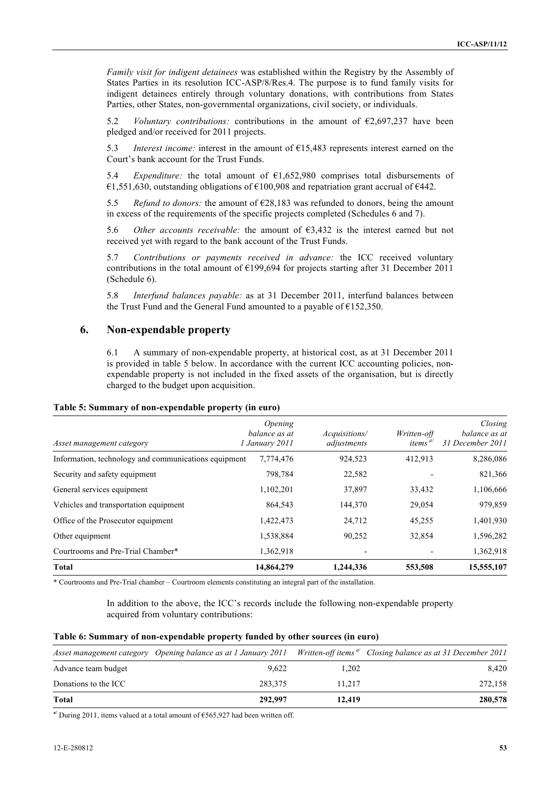*Family visit for indigent detainees* was established within the Registry by the Assembly of States Parties in its resolution ICC-ASP/8/Res.4. The purpose is to fund family visits for indigent detainees entirely through voluntary donations, with contributions from States Parties, other States, non-governmental organizations, civil society, or individuals.

5.2 *Voluntary contributions:* contributions in the amount of €2,697,237 have been pledged and/or received for 2011 projects.

5.3 *Interest income:* interest in the amount of €15,483 represents interest earned on the Court's bank account for the Trust Funds.

5.4 *Expenditure:* the total amount of €1,652,980 comprises total disbursements of  $\epsilon$ 1,551,630, outstanding obligations of  $\epsilon$ 100,908 and repatriation grant accrual of  $\epsilon$ 442.

5.5 *Refund to donors:* the amount of €28,183 was refunded to donors, being the amount in excess of the requirements of the specific projects completed (Schedules 6 and 7).

5.6 *Other accounts receivable:* the amount of  $\epsilon$ 3,432 is the interest earned but not received yet with regard to the bank account of the Trust Funds.

5.7 *Contributions or payments received in advance:* the ICC received voluntary contributions in the total amount of €199,694 for projects starting after 31 December 2011 (Schedule 6).

5.8 *Interfund balances payable:* as at 31 December 2011, interfund balances between the Trust Fund and the General Fund amounted to a payable of  $E$ 152,350.

#### **6. Non-expendable property**

6.1 A summary of non-expendable property, at historical cost, as at 31 December 2011 is provided in table 5 below. In accordance with the current ICC accounting policies, nonexpendable property is not included in the fixed assets of the organisation, but is directly charged to the budget upon acquisition.

| Asset management category                            | <i><b>Opening</b></i><br>balance as at<br>1 January 2011 | Acquisitions/<br>adjustments | Written-off<br>items $\omega$ | Closing<br>balance as at<br>31 December 2011 |
|------------------------------------------------------|----------------------------------------------------------|------------------------------|-------------------------------|----------------------------------------------|
| Information, technology and communications equipment | 7,774,476                                                | 924,523                      | 412,913                       | 8,286,086                                    |
| Security and safety equipment                        | 798,784                                                  | 22,582                       |                               | 821,366                                      |
| General services equipment                           | 1,102,201                                                | 37,897                       | 33,432                        | 1,106,666                                    |
| Vehicles and transportation equipment                | 864,543                                                  | 144,370                      | 29,054                        | 979,859                                      |
| Office of the Prosecutor equipment                   | 1,422,473                                                | 24,712                       | 45,255                        | 1,401,930                                    |
| Other equipment                                      | 1,538,884                                                | 90,252                       | 32,854                        | 1,596,282                                    |
| Courtrooms and Pre-Trial Chamber*                    | 1,362,918                                                |                              |                               | 1,362,918                                    |
| <b>Total</b>                                         | 14,864,279                                               | 1,244,336                    | 553,508                       | 15,555,107                                   |

\* Courtrooms and Pre-Trial chamber – Courtroom elements constituting an integral part of the installation.

In addition to the above, the ICC's records include the following non-expendable property acquired from voluntary contributions:

|  |  | Table 6: Summary of non-expendable property funded by other sources (in euro) |
|--|--|-------------------------------------------------------------------------------|
|  |  |                                                                               |

|                      |         |        | Asset management category Opening balance as at 1 January 2011 Written-off items "Closing balance as at 31 December 2011 |
|----------------------|---------|--------|--------------------------------------------------------------------------------------------------------------------------|
| Advance team budget  | 9.622   | 1,202  | 8.420                                                                                                                    |
| Donations to the ICC | 283.375 | 11.217 | 272,158                                                                                                                  |
| <b>Total</b>         | 292,997 | 12,419 | 280,578                                                                                                                  |

**a/** During 2011, items valued at a total amount of €565,927 had been written off.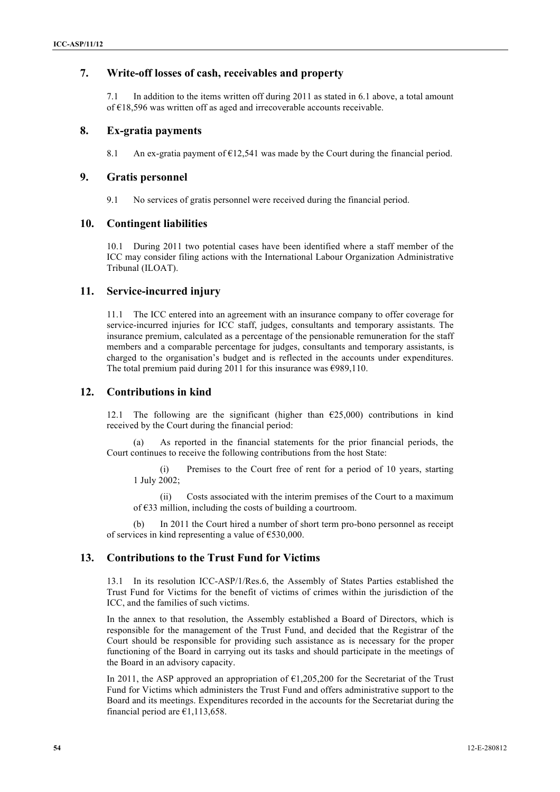## **7. Write-off losses of cash, receivables and property**

7.1 In addition to the items written off during 2011 as stated in 6.1 above, a total amount of €18,596 was written off as aged and irrecoverable accounts receivable.

### **8. Ex-gratia payments**

8.1 An ex-gratia payment of  $\epsilon$ 12,541 was made by the Court during the financial period.

#### **9. Gratis personnel**

9.1 No services of gratis personnel were received during the financial period.

#### **10. Contingent liabilities**

10.1 During 2011 two potential cases have been identified where a staff member of the ICC may consider filing actions with the International Labour Organization Administrative Tribunal (ILOAT).

### **11. Service-incurred injury**

11.1 The ICC entered into an agreement with an insurance company to offer coverage for service-incurred injuries for ICC staff, judges, consultants and temporary assistants. The insurance premium, calculated as a percentage of the pensionable remuneration for the staff members and a comparable percentage for judges, consultants and temporary assistants, is charged to the organisation's budget and is reflected in the accounts under expenditures. The total premium paid during 2011 for this insurance was  $\epsilon$ 989,110.

#### **12. Contributions in kind**

12.1 The following are the significant (higher than  $\epsilon$ 25,000) contributions in kind received by the Court during the financial period:

As reported in the financial statements for the prior financial periods, the Court continues to receive the following contributions from the host State:

(i) Premises to the Court free of rent for a period of 10 years, starting 1 July 2002;

(ii) Costs associated with the interim premises of the Court to a maximum of €33 million, including the costs of building a courtroom.

(b) In 2011 the Court hired a number of short term pro-bono personnel as receipt of services in kind representing a value of  $\epsilon$ 530,000.

### **13. Contributions to the Trust Fund for Victims**

13.1 In its resolution ICC-ASP/1/Res.6, the Assembly of States Parties established the Trust Fund for Victims for the benefit of victims of crimes within the jurisdiction of the ICC, and the families of such victims.

In the annex to that resolution, the Assembly established a Board of Directors, which is responsible for the management of the Trust Fund, and decided that the Registrar of the Court should be responsible for providing such assistance as is necessary for the proper functioning of the Board in carrying out its tasks and should participate in the meetings of the Board in an advisory capacity.

In 2011, the ASP approved an appropriation of  $E1,205,200$  for the Secretariat of the Trust Fund for Victims which administers the Trust Fund and offers administrative support to the Board and its meetings. Expenditures recorded in the accounts for the Secretariat during the financial period are  $£1,113,658$ .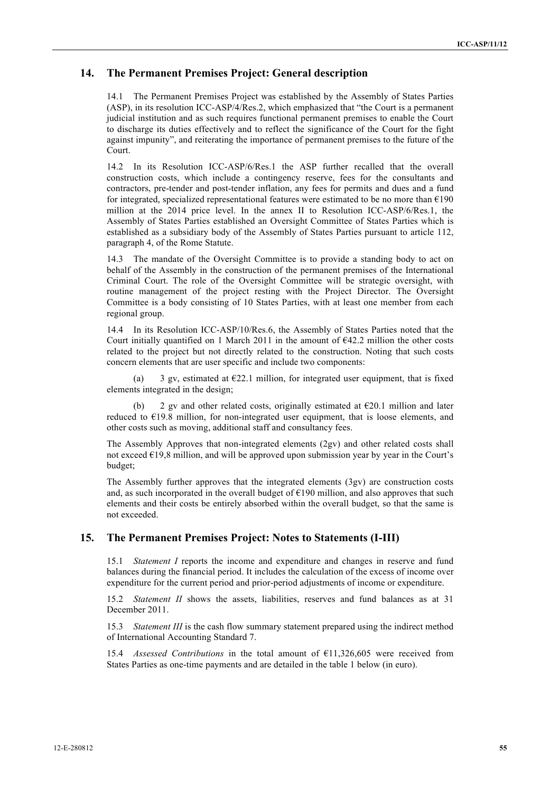## **14. The Permanent Premises Project: General description**

14.1 The Permanent Premises Project was established by the Assembly of States Parties (ASP), in its resolution ICC-ASP/4/Res.2, which emphasized that "the Court is a permanent judicial institution and as such requires functional permanent premises to enable the Court to discharge its duties effectively and to reflect the significance of the Court for the fight against impunity", and reiterating the importance of permanent premises to the future of the Court.

14.2 In its Resolution ICC-ASP/6/Res.1 the ASP further recalled that the overall construction costs, which include a contingency reserve, fees for the consultants and contractors, pre-tender and post-tender inflation, any fees for permits and dues and a fund for integrated, specialized representational features were estimated to be no more than €190 million at the 2014 price level. In the annex II to Resolution ICC-ASP/6/Res.1, the Assembly of States Parties established an Oversight Committee of States Parties which is established as a subsidiary body of the Assembly of States Parties pursuant to article 112, paragraph 4, of the Rome Statute.

14.3 The mandate of the Oversight Committee is to provide a standing body to act on behalf of the Assembly in the construction of the permanent premises of the International Criminal Court. The role of the Oversight Committee will be strategic oversight, with routine management of the project resting with the Project Director. The Oversight Committee is a body consisting of 10 States Parties, with at least one member from each regional group.

14.4 In its Resolution ICC-ASP/10/Res.6, the Assembly of States Parties noted that the Court initially quantified on 1 March 2011 in the amount of  $E42.2$  million the other costs related to the project but not directly related to the construction. Noting that such costs concern elements that are user specific and include two components:

(a) 3 gv, estimated at  $E22.1$  million, for integrated user equipment, that is fixed elements integrated in the design;

(b) 2 gv and other related costs, originally estimated at  $E20.1$  million and later reduced to €19.8 million, for non-integrated user equipment, that is loose elements, and other costs such as moving, additional staff and consultancy fees.

The Assembly Approves that non-integrated elements (2gv) and other related costs shall not exceed  $E19,8$  million, and will be approved upon submission year by year in the Court's budget;

The Assembly further approves that the integrated elements (3gv) are construction costs and, as such incorporated in the overall budget of  $E190$  million, and also approves that such elements and their costs be entirely absorbed within the overall budget, so that the same is not exceeded.

### **15. The Permanent Premises Project: Notes to Statements (I-III)**

15.1 *Statement I* reports the income and expenditure and changes in reserve and fund balances during the financial period. It includes the calculation of the excess of income over expenditure for the current period and prior-period adjustments of income or expenditure.

15.2 *Statement II* shows the assets, liabilities, reserves and fund balances as at 31 December 2011.

15.3 *Statement III* is the cash flow summary statement prepared using the indirect method of International Accounting Standard 7.

15.4 *Assessed Contributions* in the total amount of €11,326,605 were received from States Parties as one-time payments and are detailed in the table 1 below (in euro).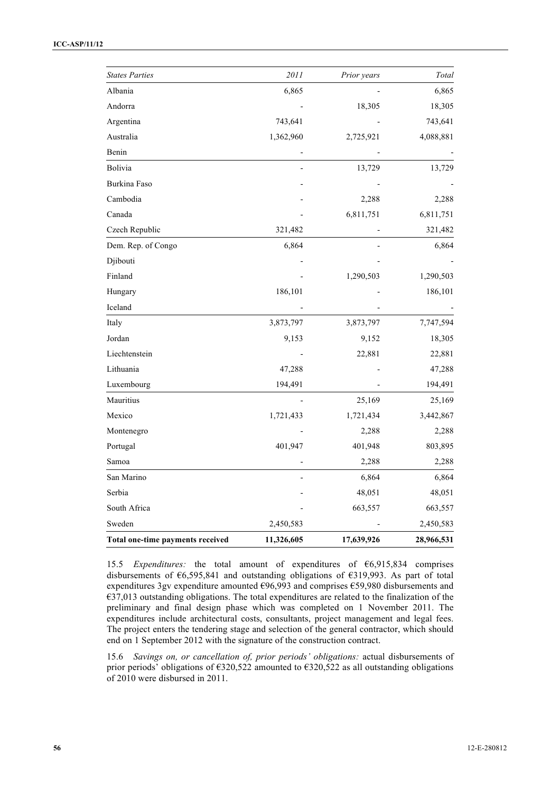| Total one-time payments received | 11,326,605 | 17,639,926  | 28,966,531 |
|----------------------------------|------------|-------------|------------|
| Sweden                           | 2,450,583  |             | 2,450,583  |
| South Africa                     |            | 663,557     | 663,557    |
| Serbia                           |            | 48,051      | 48,051     |
| San Marino                       |            | 6,864       | 6,864      |
| Samoa                            |            | 2,288       | 2,288      |
| Portugal                         | 401,947    | 401,948     | 803,895    |
| Montenegro                       |            | 2,288       | 2,288      |
| Mexico                           | 1,721,433  | 1,721,434   | 3,442,867  |
| Mauritius                        |            | 25,169      | 25,169     |
| Luxembourg                       | 194,491    |             | 194,491    |
| Lithuania                        | 47,288     |             | 47,288     |
| Liechtenstein                    |            | 22,881      | 22,881     |
| Jordan                           | 9,153      | 9,152       | 18,305     |
| Italy                            | 3,873,797  | 3,873,797   | 7,747,594  |
| Iceland                          |            |             |            |
| Hungary                          | 186,101    |             | 186,101    |
| Finland                          |            | 1,290,503   | 1,290,503  |
| Djibouti                         |            |             |            |
| Dem. Rep. of Congo               | 6,864      |             | 6,864      |
| Czech Republic                   | 321,482    |             | 321,482    |
| Canada                           |            | 6,811,751   | 6,811,751  |
| Cambodia                         |            | 2,288       | 2,288      |
| Burkina Faso                     |            |             |            |
| Bolivia                          |            | 13,729      | 13,729     |
| Benin                            |            |             |            |
| Australia                        | 1,362,960  | 2,725,921   | 4,088,881  |
| Argentina                        | 743,641    |             | 743,641    |
| Andorra                          |            | 18,305      | 18,305     |
| Albania                          | 6,865      |             | 6,865      |
| <b>States Parties</b>            | 2011       | Prior years | Total      |

15.5 *Expenditures:* the total amount of expenditures of €6,915,834 comprises disbursements of €6,595,841 and outstanding obligations of €319,993. As part of total expenditures 3gv expenditure amounted  $\epsilon$ 96,993 and comprises  $\epsilon$ 59,980 disbursements and €37,013 outstanding obligations. The total expenditures are related to the finalization of the preliminary and final design phase which was completed on 1 November 2011. The expenditures include architectural costs, consultants, project management and legal fees. The project enters the tendering stage and selection of the general contractor, which should end on 1 September 2012 with the signature of the construction contract.

15.6 *Savings on, or cancellation of, prior periods' obligations:* actual disbursements of prior periods' obligations of €320,522 amounted to €320,522 as all outstanding obligations of 2010 were disbursed in 2011.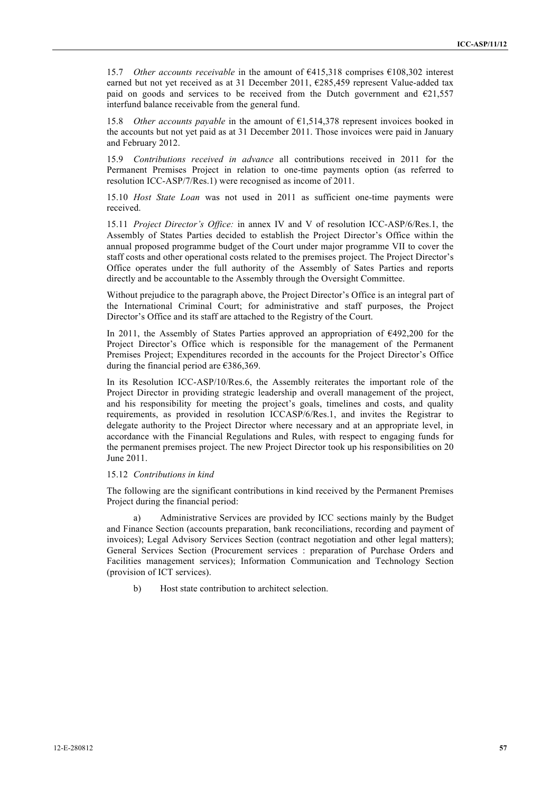15.7 *Other accounts receivable* in the amount of €415,318 comprises €108,302 interest earned but not yet received as at 31 December 2011, €285,459 represent Value-added tax paid on goods and services to be received from the Dutch government and  $E21,557$ interfund balance receivable from the general fund.

15.8 *Other accounts payable* in the amount of €1,514,378 represent invoices booked in the accounts but not yet paid as at 31 December 2011. Those invoices were paid in January and February 2012.

15.9 *Contributions received in advance* all contributions received in 2011 for the Permanent Premises Project in relation to one-time payments option (as referred to resolution ICC-ASP/7/Res.1) were recognised as income of 2011.

15.10 *Host State Loan* was not used in 2011 as sufficient one-time payments were received.

15.11 *Project Director's Office:* in annex IV and V of resolution ICC-ASP/6/Res.1, the Assembly of States Parties decided to establish the Project Director's Office within the annual proposed programme budget of the Court under major programme VII to cover the staff costs and other operational costs related to the premises project. The Project Director's Office operates under the full authority of the Assembly of Sates Parties and reports directly and be accountable to the Assembly through the Oversight Committee.

Without prejudice to the paragraph above, the Project Director's Office is an integral part of the International Criminal Court; for administrative and staff purposes, the Project Director's Office and its staff are attached to the Registry of the Court.

In 2011, the Assembly of States Parties approved an appropriation of  $\epsilon$ 492,200 for the Project Director's Office which is responsible for the management of the Permanent Premises Project; Expenditures recorded in the accounts for the Project Director's Office during the financial period are  $€386,369$ .

In its Resolution ICC-ASP/10/Res.6, the Assembly reiterates the important role of the Project Director in providing strategic leadership and overall management of the project, and his responsibility for meeting the project's goals, timelines and costs, and quality requirements, as provided in resolution ICCASP/6/Res.1, and invites the Registrar to delegate authority to the Project Director where necessary and at an appropriate level, in accordance with the Financial Regulations and Rules, with respect to engaging funds for the permanent premises project. The new Project Director took up his responsibilities on 20 June 2011.

#### 15.12 *Contributions in kind*

The following are the significant contributions in kind received by the Permanent Premises Project during the financial period:

a) Administrative Services are provided by ICC sections mainly by the Budget and Finance Section (accounts preparation, bank reconciliations, recording and payment of invoices); Legal Advisory Services Section (contract negotiation and other legal matters); General Services Section (Procurement services : preparation of Purchase Orders and Facilities management services); Information Communication and Technology Section (provision of ICT services).

b) Host state contribution to architect selection.